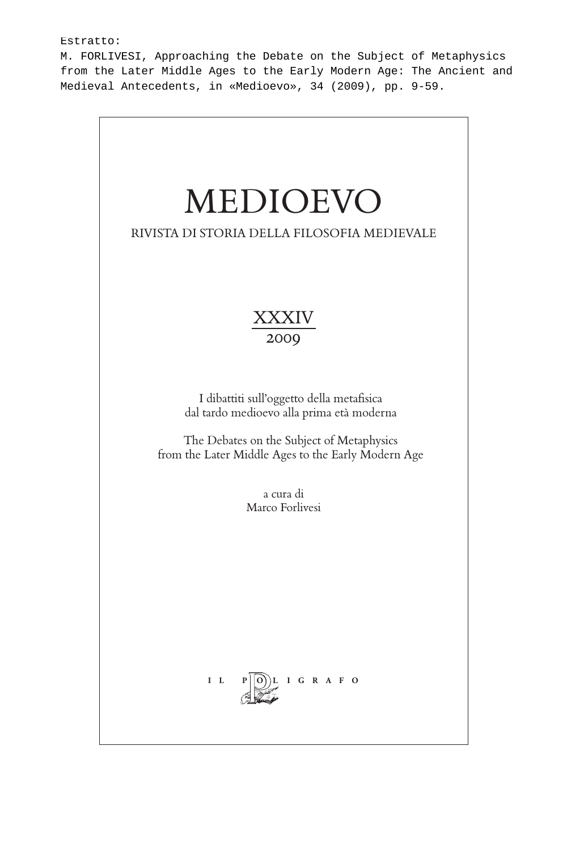#### Estratto:

M. FORLIVESI, Approaching the Debate on the Subject of Metaphysics from the Later Middle Ages to the Early Modern Age: The Ancient and Medieval Antecedents, in «Medioevo», 34 (2009), pp. 9-59.

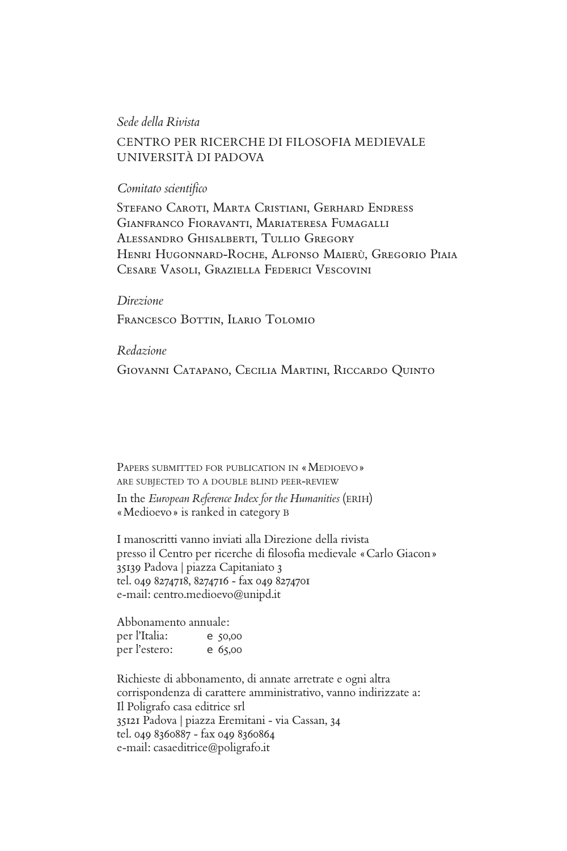#### *Sede della Rivista*

### CENTRO PER RICERCHE DI FILOSOFIA MEDIEVALE UNIVERSITÀ DI PADOVA

#### *Comitato scientifi co*

Stefano Caroti, Marta Cristiani, Gerhard Endress Gianfranco Fioravanti, Mariateresa Fumagalli Alessandro Ghisalberti, Tullio Gregory Henri Hugonnard-Roche, Alfonso Maierù, Gregorio Piaia Cesare Vasoli, Graziella Federici Vescovini

#### *Direzione*

Francesco Bottin, Ilario Tolomio

### *Redazione*

Giovanni Catapano, Cecilia Martini, Riccardo Quinto

PAPERS SUBMITTED FOR PUBLICATION IN «MEDIOEVO » ARE SUBJECTED TO <sup>A</sup> DOUBLE BLIND PEER-REVIEW

In the *European Reference Index for the Humanities* (ERIH) «Medioevo» is ranked in category B

I manoscritti vanno inviati alla Direzione della rivista presso il Centro per ricerche di filosofia medievale «Carlo Giacon» 35139 Padova | piazza Capitaniato 3 tel. 049 8274718, 8274716 - fax 049 8274701 e-mail: centro.medioevo@unipd.it

Abbonamento annuale: per l'Italia: e 50,00 per l'estero: e 65,00

Richieste di abbonamento, di annate arretrate e ogni altra corrispondenza di carattere amministrativo, vanno indirizzate a: Il Poligrafo casa editrice srl 35121 Padova | piazza Eremitani - via Cassan, 34 tel. 049 8360887 - fax 049 8360864 e-mail: casaeditrice@poligrafo.it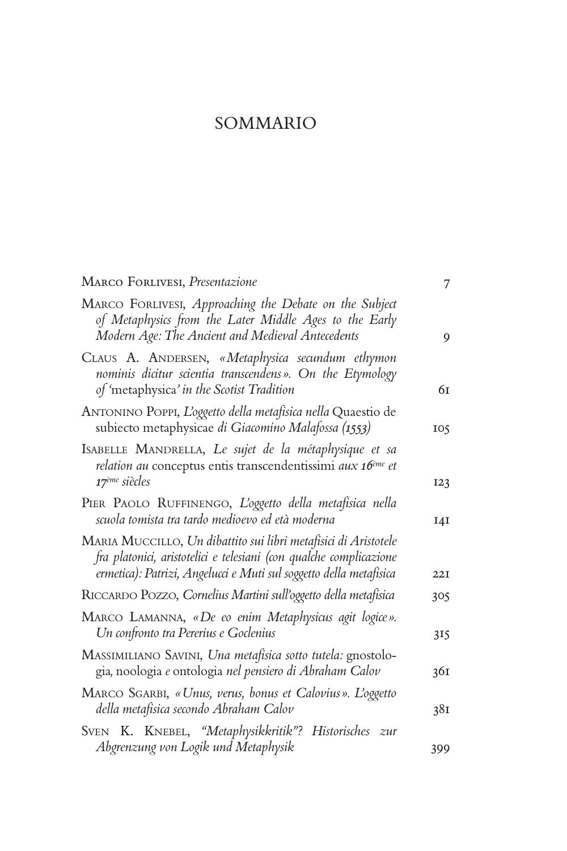# SOMMARIO

| MARCO FORLIVESI, Presentazione                                                                                                                                                                              | 7   |
|-------------------------------------------------------------------------------------------------------------------------------------------------------------------------------------------------------------|-----|
| MARCO FORLIVESI, Approaching the Debate on the Subject<br>of Metaphysics from the Later Middle Ages to the Early<br>Modern Age: The Ancient and Medieval Antecedents                                        | 9   |
| CLAUS A. ANDERSEN, «Metaphysica secundum ethymon<br>nominis dicitur scientia transcendens». On the Etymology<br>of 'metaphysica' in the Scotist Tradition                                                   | 61  |
| ANTONINO POPPI, L'oggetto della metafisica nella Quaestio de<br>subiecto metaphysicae di Giacomino Malafossa (1553)                                                                                         | 105 |
| ISABELLE MANDRELLA, Le sujet de la métaphysique et sa<br>relation au conceptus entis transcendentissimi aux 16 <sup>ème</sup> et<br>17 <sup>ème</sup> siècles                                               | I23 |
| PIER PAOLO RUFFINENGO, L'oggetto della metafisica nella<br>scuola tomista tra tardo medioevo ed età moderna                                                                                                 | I4I |
| MARIA MUCCILLO, Un dibattito sui libri metafisici di Aristotele<br>fra platonici, aristotelici e telesiani (con qualche complicazione<br>ermetica): Patrizi, Angelucci e Muti sul soggetto della metafisica | 22I |
| RICCARDO POZZO, Cornelius Martini sull'oggetto della metafisica                                                                                                                                             | 305 |
| MARCO LAMANNA, «De eo enim Metaphysicus agit logice».<br>Un confronto tra Pererius e Goclenius                                                                                                              | 315 |
| MASSIMILIANO SAVINI, Una metafisica sotto tutela: gnostolo-<br>gia, noologia e ontologia nel pensiero di Abraham Calov                                                                                      | 361 |
| MARCO SGARBI, «Unus, verus, bonus et Calovius». L'oggetto<br>della metafisica secondo Abraham Calov                                                                                                         | 38I |
| SVEN K. KNEBEL, "Metaphysikkritik"? Historisches zur<br>Abgrenzung von Logik und Metaphysik                                                                                                                 | 399 |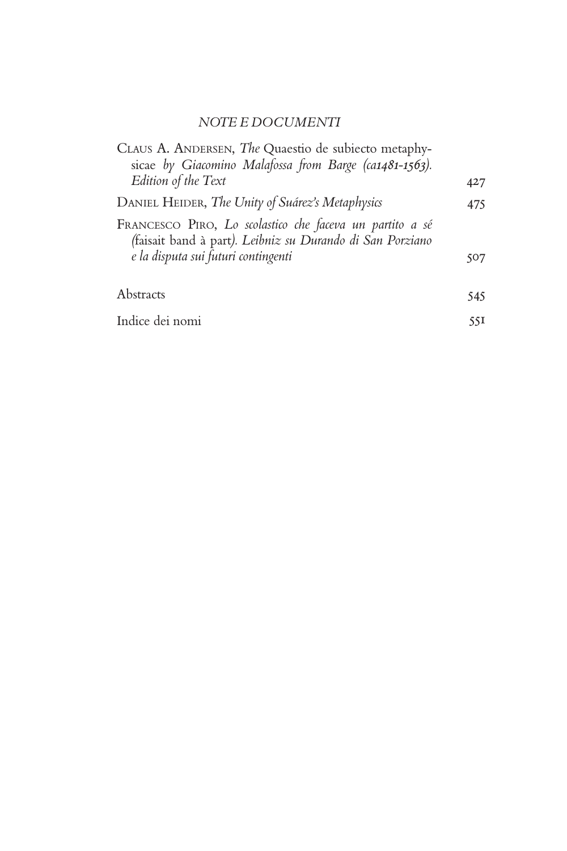# *NOTE E DOCUMENTI*

| CLAUS A. ANDERSEN, The Quaestio de subiecto metaphy-<br>sicae by Giacomino Malafossa from Barge (ca1481-1563).                                               |     |
|--------------------------------------------------------------------------------------------------------------------------------------------------------------|-----|
| Edition of the Text                                                                                                                                          | 427 |
| DANIEL HEIDER, The Unity of Suárez's Metaphysics                                                                                                             | 475 |
| FRANCESCO PIRO, Lo scolastico che faceva un partito a sé<br>(faisait band à part). Leibniz su Durando di San Porziano<br>e la disputa sui futuri contingenti | 507 |
| Abstracts                                                                                                                                                    | 545 |
| Indice dei nomi                                                                                                                                              | 55I |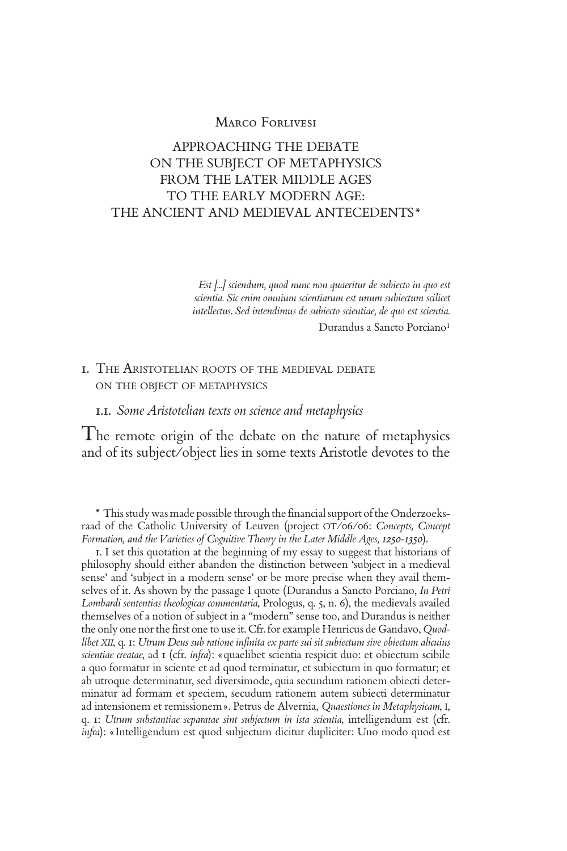# APPROACHING THE DEBATE ON THE SUBJECT OF METAPHYSICS FROM THE LATER MIDDLE AGES TO THE EARLY MODERN AGE: THE ANCIENT AND MEDIEVAL ANTECEDENTS\*

*Est [...] sciendum, quod nunc non quaeritur de subiecto in quo est scientia. Sic enim omnium scientiarum est unum subiectum scilicet intellectus. Sed intendimus de subiecto scientiae, de quo est scientia.*

Durandus a Sancto Porciano<sup>1</sup>

# 1. THE ARISTOTELIAN ROOTS OF THE MEDIEVAL DEBATE ON THE OBJECT OF METAPHYSICS

#### 1.1. *Some Aristotelian texts on science and metaphysics*

The remote origin of the debate on the nature of metaphysics and of its subject/object lies in some texts Aristotle devotes to the

\* This study was made possible through the financial support of the Onderzoeksraad of the Catholic University of Leuven (project OT/06/06: *Concepts, Concept Formation, and the Varieties of Cognitive Theory in the Later Middle Ages, 1250-1350*).

1. I set this quotation at the beginning of my essay to suggest that historians of philosophy should either abandon the distinction between 'subject in a medieval sense' and 'subject in a modern sense' or be more precise when they avail themselves of it. As shown by the passage I quote (Durandus a Sancto Porciano, *In Petri Lombardi sententias theologicas commentaria*, Prologus, q. 5, n. 6), the medievals availed themselves of a notion of subject in a "modern" sense too, and Durandus is neither the only one nor the first one to use it. Cfr. for example Henricus de Gandavo, *Quod*libet XII, q. 1: Utrum Deus sub ratione infinita ex parte sui sit subiectum sive obiectum alicuius *scientiae creatae*, ad 1 (cfr. *infra*): «quaelibet scientia respicit duo: et obiectum scibile a quo formatur in sciente et ad quod terminatur, et subiectum in quo formatur; et ab utroque determinatur, sed diversimode, quia secundum rationem obiecti determinatur ad formam et speciem, secudum rationem autem subiecti determinatur ad intensionem et remissionem». Petrus de Alvernia, *Quaestiones in Metaphysicam*, I, q. 1: *Utrum substantiae separatae sint subjectum in ista scientia*, intelligendum est (cfr. *infra*): «Intelligendum est quod subjectum dicitur dupliciter: Uno modo quod est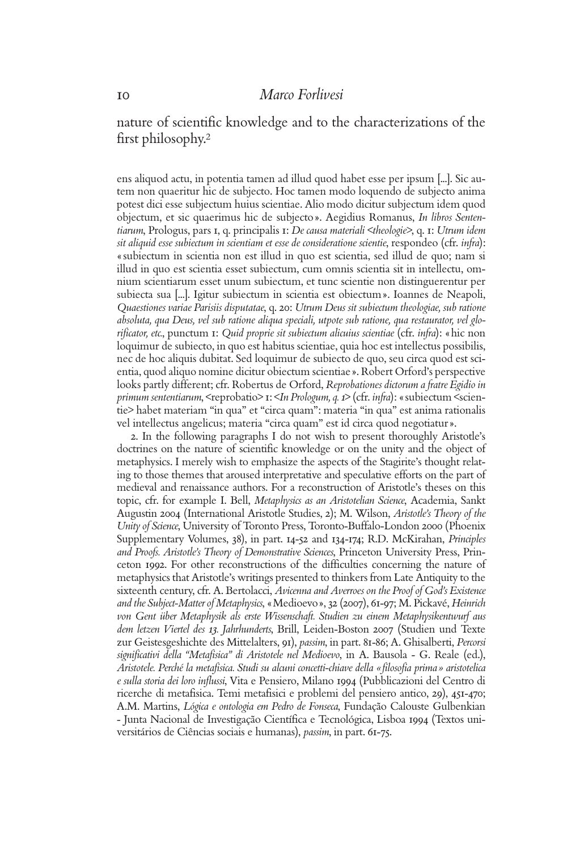nature of scientific knowledge and to the characterizations of the first philosophy.<sup>2</sup>

ens aliquod actu, in potentia tamen ad illud quod habet esse per ipsum [...]. Sic autem non quaeritur hic de subjecto. Hoc tamen modo loquendo de subjecto anima potest dici esse subjectum huius scientiae. Alio modo dicitur subjectum idem quod objectum, et sic quaerimus hic de subjecto». Aegidius Romanus, *In libros Sententiarum*, Prologus, pars 1, q. principalis 1: *De causa materiali <theologie>*, q. 1: *Utrum idem sit aliquid esse subiectum in scientiam et esse de consideratione scientie*, respondeo (cfr. *infra*): «subiectum in scientia non est illud in quo est scientia, sed illud de quo; nam si illud in quo est scientia esset subiectum, cum omnis scientia sit in intellectu, omnium scientiarum esset unum subiectum, et tunc scientie non distinguerentur per subiecta sua [...]. Igitur subiectum in scientia est obiectum». Ioannes de Neapoli, *Quaestiones variae Parisiis disputatae*, q. 20: *Utrum Deus sit subiectum theologiae, sub ratione absoluta, qua Deus, vel sub ratione aliqua speciali, utpote sub ratione, qua restaurator, vel glorifi cator, etc.*, punctum 1: *Quid proprie sit subiectum alicuius scientiae* (cfr. *infra*): «hic non loquimur de subiecto, in quo est habitus scientiae, quia hoc est intellectus possibilis, nec de hoc aliquis dubitat. Sed loquimur de subiecto de quo, seu circa quod est scientia, quod aliquo nomine dicitur obiectum scientiae». Robert Orford's perspective looks partly different; cfr. Robertus de Orford, *Reprobationes dictorum a fratre Egidio in primum sententiarum*, <reprobatio> 1: <*In Prologum, q. 1*> (cfr. *infra*): «subiectum <scientie> habet materiam "in qua" et "circa quam": materia "in qua" est anima rationalis vel intellectus angelicus; materia "circa quam" est id circa quod negotiatur».

2. In the following paragraphs I do not wish to present thoroughly Aristotle's doctrines on the nature of scientific knowledge or on the unity and the object of metaphysics. I merely wish to emphasize the aspects of the Stagirite's thought relating to those themes that aroused interpretative and speculative efforts on the part of medieval and renaissance authors. For a reconstruction of Aristotle's theses on this topic, cfr. for example I. Bell, *Metaphysics as an Aristotelian Science*, Academia, Sankt Augustin 2004 (International Aristotle Studies, 2); M. Wilson, *Aristotle's Theory of the Unity of Science*, University of Toronto Press, Toronto-Buffalo-London 2000 (Phoenix Supplementary Volumes, 38), in part. 14-52 and 134-174; R.D. McKirahan, *Principles and Proofs. Aristotle's Theory of Demonstrative Sciences*, Princeton University Press, Princeton 1992. For other reconstructions of the difficulties concerning the nature of metaphysics that Aristotle's writings presented to thinkers from Late Antiquity to the sixteenth century, cfr. A. Bertolacci, *Avicenna and Averroes on the Proof of God's Existence and the Subject-Matter of Metaphysics*, «Medioevo», 32 (2007), 61-97; M. Pickavé, *Heinrich von Gent über Metaphysik als erste Wissenschaft. Studien zu einem Metaphysikentwurf aus dem letzen Viertel des 13. Jahrhunderts*, Brill, Leiden-Boston 2007 (Studien und Texte zur Geistesgeshichte des Mittelalters, 91), *passim*, in part. 81-86; A. Ghisalberti, *Percorsi signifi cativi della "Metafi sica" di Aristotele nel Medioevo*, in A. Bausola - G. Reale (ed.), *Aristotele. Perché la metafi sica. Studi su alcuni concetti-chiave della «fi losofi a prima» aristotelica e sulla storia dei loro infl ussi*, Vita e Pensiero, Milano 1994 (Pubblicazioni del Centro di ricerche di metafisica. Temi metafisici e problemi del pensiero antico, 29), 451-470; A.M. Martins, *Lógica e ontologia em Pedro de Fonseca*, Fundação Calouste Gulbenkian - Junta Nacional de Investigação Científica e Tecnológica, Lisboa 1994 (Textos universitários de Ciências sociais e humanas), *passim*, in part. 61-75.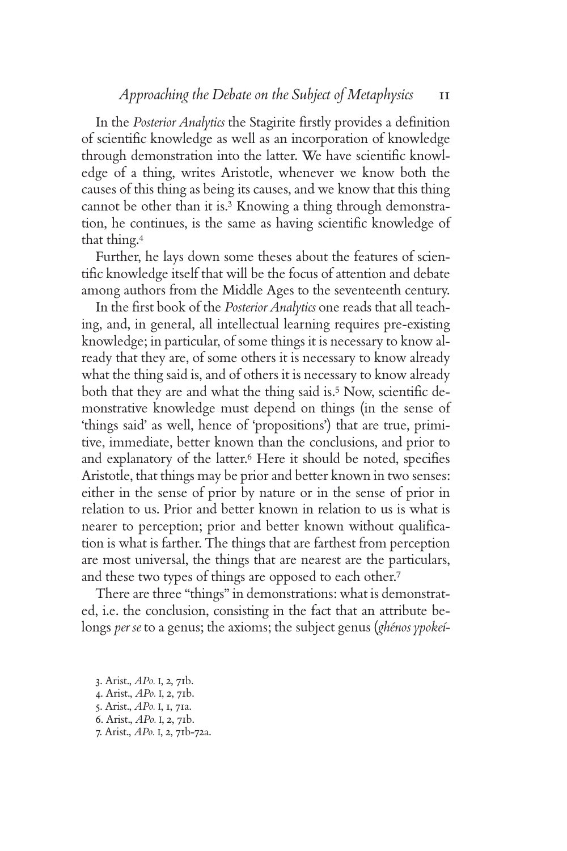In the *Posterior Analytics* the Stagirite firstly provides a definition of scientific knowledge as well as an incorporation of knowledge through demonstration into the latter. We have scientific knowledge of a thing, writes Aristotle, whenever we know both the causes of this thing as being its causes, and we know that this thing cannot be other than it is.3 Knowing a thing through demonstration, he continues, is the same as having scientific knowledge of that thing.<sup>4</sup>

Further, he lays down some theses about the features of scientific knowledge itself that will be the focus of attention and debate among authors from the Middle Ages to the seventeenth century.

In the first book of the *Posterior Analytics* one reads that all teaching, and, in general, all intellectual learning requires pre-existing knowledge; in particular, of some things it is necessary to know already that they are, of some others it is necessary to know already what the thing said is, and of others it is necessary to know already both that they are and what the thing said is.<sup>5</sup> Now, scientific demonstrative knowledge must depend on things (in the sense of 'things said' as well, hence of 'propositions') that are true, primitive, immediate, better known than the conclusions, and prior to and explanatory of the latter.<sup>6</sup> Here it should be noted, specifies Aristotle, that things may be prior and better known in two senses: either in the sense of prior by nature or in the sense of prior in relation to us. Prior and better known in relation to us is what is nearer to perception; prior and better known without qualification is what is farther. The things that are farthest from perception are most universal, the things that are nearest are the particulars, and these two types of things are opposed to each other.<sup>7</sup>

There are three "things" in demonstrations: what is demonstrated, i.e. the conclusion, consisting in the fact that an attribute belongs *per se* to a genus; the axioms; the subject genus (*ghénos ypokeí-*

3. Arist., *APo.* I, 2, 71b. 4. Arist., *APo.* I, 2, 71b. 5. Arist., *APo.* I, 1, 71a. 6. Arist., *APo.* I, 2, 71b. 7. Arist., *APo.* I, 2, 71b-72a.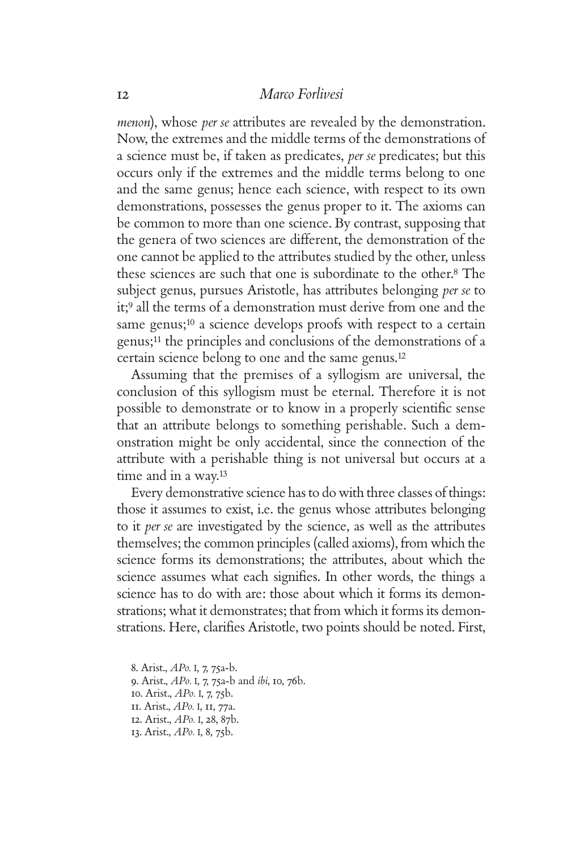*menon*), whose *per se* attributes are revealed by the demonstration. Now, the extremes and the middle terms of the demonstrations of a science must be, if taken as predicates, *per se* predicates; but this occurs only if the extremes and the middle terms belong to one and the same genus; hence each science, with respect to its own demonstrations, possesses the genus proper to it. The axioms can be common to more than one science. By contrast, supposing that the genera of two sciences are different, the demonstration of the one cannot be applied to the attributes studied by the other, unless these sciences are such that one is subordinate to the other.8 The subject genus, pursues Aristotle, has attributes belonging *per se* to it;9 all the terms of a demonstration must derive from one and the same genus;<sup>10</sup> a science develops proofs with respect to a certain genus;11 the principles and conclusions of the demonstrations of a certain science belong to one and the same genus.<sup>12</sup>

Assuming that the premises of a syllogism are universal, the conclusion of this syllogism must be eternal. Therefore it is not possible to demonstrate or to know in a properly scientific sense that an attribute belongs to something perishable. Such a demonstration might be only accidental, since the connection of the attribute with a perishable thing is not universal but occurs at a time and in a way.<sup>13</sup>

Every demonstrative science has to do with three classes of things: those it assumes to exist, i.e. the genus whose attributes belonging to it *per se* are investigated by the science, as well as the attributes themselves; the common principles (called axioms), from which the science forms its demonstrations; the attributes, about which the science assumes what each signifies. In other words, the things a science has to do with are: those about which it forms its demonstrations; what it demonstrates; that from which it forms its demonstrations. Here, clarifies Aristotle, two points should be noted. First,

8. Arist., *APo.* I, 7, 75a-b. 9. Arist., *APo.* I, 7, 75a-b and *ibi*, 10, 76b. 10. Arist., *APo.* I, 7, 75b. 11. Arist., *APo.* I, 11, 77a. 12. Arist., *APo.* I, 28, 87b. 13. Arist., *APo.* I, 8, 75b.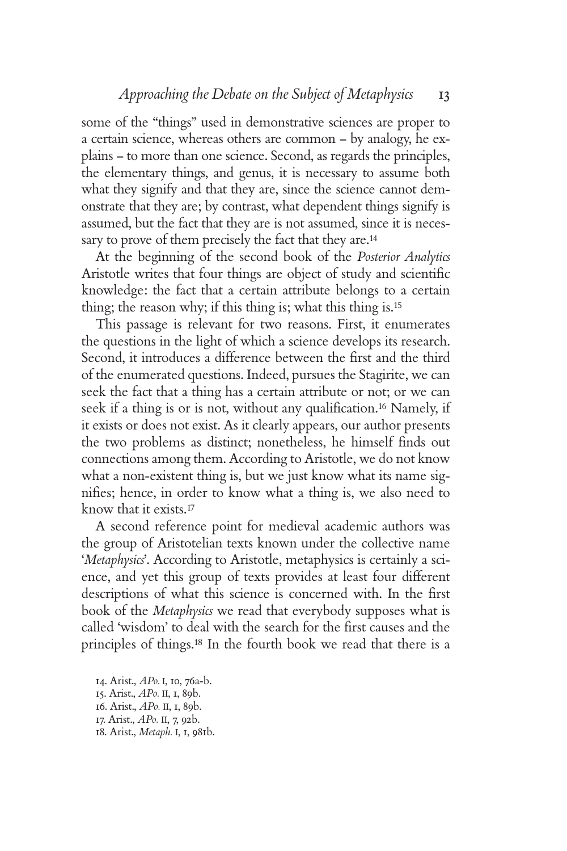some of the "things" used in demonstrative sciences are proper to a certain science, whereas others are common – by analogy, he explains – to more than one science. Second, as regards the principles, the elementary things, and genus, it is necessary to assume both what they signify and that they are, since the science cannot demonstrate that they are; by contrast, what dependent things signify is assumed, but the fact that they are is not assumed, since it is necessary to prove of them precisely the fact that they are.<sup>14</sup>

At the beginning of the second book of the *Posterior Analytics* Aristotle writes that four things are object of study and scientific knowledge: the fact that a certain attribute belongs to a certain thing; the reason why; if this thing is; what this thing is.<sup>15</sup>

This passage is relevant for two reasons. First, it enumerates the questions in the light of which a science develops its research. Second, it introduces a difference between the first and the third of the enumerated questions. Indeed, pursues the Stagirite, we can seek the fact that a thing has a certain attribute or not; or we can seek if a thing is or is not, without any qualification.<sup>16</sup> Namely, if it exists or does not exist. As it clearly appears, our author presents the two problems as distinct; nonetheless, he himself finds out connections among them. According to Aristotle, we do not know what a non-existent thing is, but we just know what its name signifies; hence, in order to know what a thing is, we also need to know that it exists.<sup>17</sup>

A second reference point for medieval academic authors was the group of Aristotelian texts known under the collective name '*Metaphysics*'. According to Aristotle, metaphysics is certainly a science, and yet this group of texts provides at least four different descriptions of what this science is concerned with. In the first book of the *Metaphysics* we read that everybody supposes what is called 'wisdom' to deal with the search for the first causes and the principles of things.18 In the fourth book we read that there is a

14. Arist., *APo.* I, 10, 76a-b. 15. Arist., *APo.* II, 1, 89b. 16. Arist., *APo.* II, 1, 89b. 17. Arist., *APo.* II, 7, 92b. 18. Arist., *Metaph.* I, 1, 981b.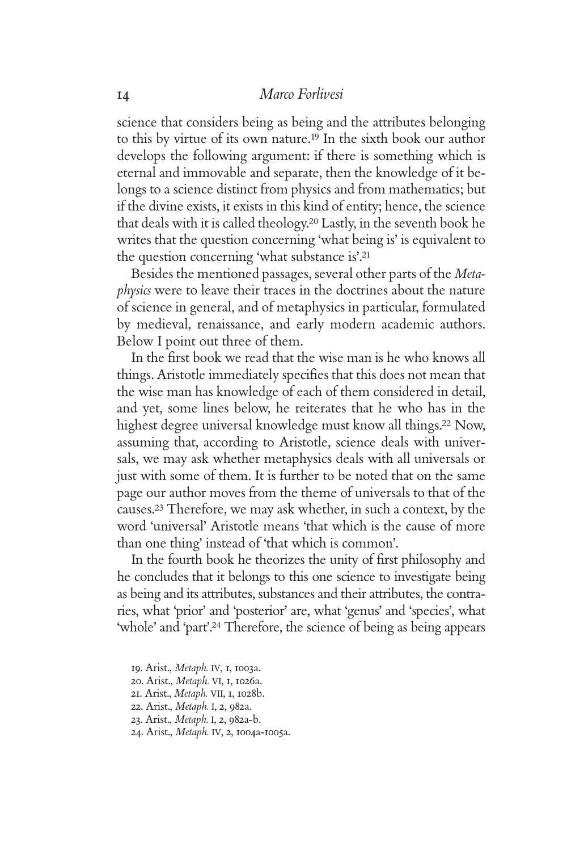science that considers being as being and the attributes belonging to this by virtue of its own nature.19 In the sixth book our author develops the following argument: if there is something which is eternal and immovable and separate, then the knowledge of it belongs to a science distinct from physics and from mathematics; but if the divine exists, it exists in this kind of entity; hence, the science that deals with it is called theology.20 Lastly, in the seventh book he writes that the question concerning 'what being is' is equivalent to the question concerning 'what substance is'.<sup>21</sup>

Besides the mentioned passages, several other parts of the *Metaphysics* were to leave their traces in the doctrines about the nature of science in general, and of metaphysics in particular, formulated by medieval, renaissance, and early modern academic authors. Below I point out three of them.

In the first book we read that the wise man is he who knows all things. Aristotle immediately specifies that this does not mean that the wise man has knowledge of each of them considered in detail, and yet, some lines below, he reiterates that he who has in the highest degree universal knowledge must know all things.<sup>22</sup> Now, assuming that, according to Aristotle, science deals with universals, we may ask whether metaphysics deals with all universals or just with some of them. It is further to be noted that on the same page our author moves from the theme of universals to that of the causes.23 Therefore, we may ask whether, in such a context, by the word 'universal' Aristotle means 'that which is the cause of more than one thing' instead of 'that which is common'.

In the fourth book he theorizes the unity of first philosophy and he concludes that it belongs to this one science to investigate being as being and its attributes, substances and their attributes, the contraries, what 'prior' and 'posterior' are, what 'genus' and 'species', what 'whole' and 'part'.24 Therefore, the science of being as being appears

- 20. Arist., *Metaph.* VI, 1, 1026a.
- 21. Arist., *Metaph.* VII, 1, 1028b.
- 22. Arist., *Metaph.* I, 2, 982a.
- 23. Arist., *Metaph.* I, 2, 982a-b.
- 24. Arist., *Metaph.* IV, 2, 1004a-1005a.

<sup>19.</sup> Arist., *Metaph.* IV, 1, 1003a.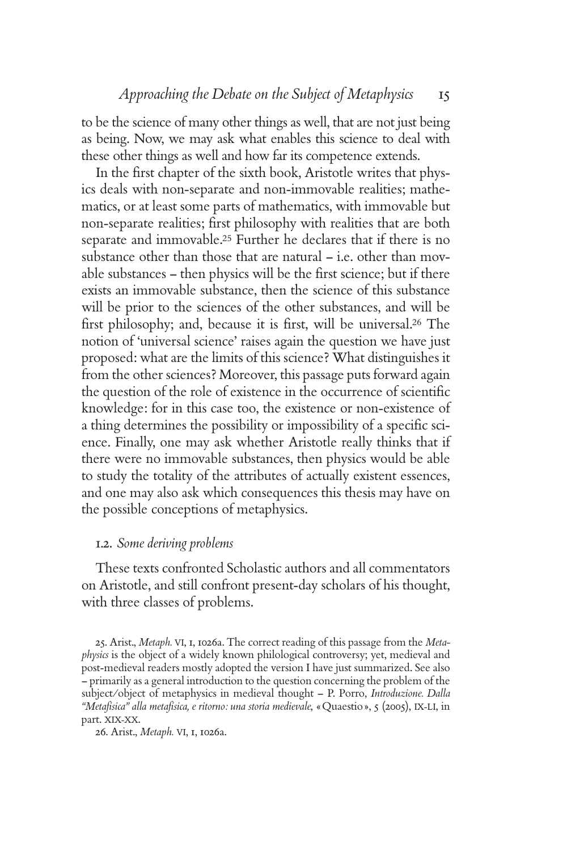to be the science of many other things as well, that are not just being as being. Now, we may ask what enables this science to deal with these other things as well and how far its competence extends.

In the first chapter of the sixth book, Aristotle writes that physics deals with non-separate and non-immovable realities; mathematics, or at least some parts of mathematics, with immovable but non-separate realities; first philosophy with realities that are both separate and immovable.25 Further he declares that if there is no substance other than those that are natural – i.e. other than movable substances - then physics will be the first science; but if there exists an immovable substance, then the science of this substance will be prior to the sciences of the other substances, and will be first philosophy; and, because it is first, will be universal.<sup>26</sup> The notion of 'universal science' raises again the question we have just proposed: what are the limits of this science? What distinguishes it from the other sciences? Moreover, this passage puts forward again the question of the role of existence in the occurrence of scientific knowledge: for in this case too, the existence or non-existence of a thing determines the possibility or impossibility of a specific science. Finally, one may ask whether Aristotle really thinks that if there were no immovable substances, then physics would be able to study the totality of the attributes of actually existent essences, and one may also ask which consequences this thesis may have on the possible conceptions of metaphysics.

## 1.2. *Some deriving problems*

These texts confronted Scholastic authors and all commentators on Aristotle, and still confront present-day scholars of his thought, with three classes of problems.

25. Arist., *Metaph.* VI, 1, 1026a. The correct reading of this passage from the *Metaphysics* is the object of a widely known philological controversy; yet, medieval and post-medieval readers mostly adopted the version I have just summarized. See also – primarily as a general introduction to the question concerning the problem of the subject/object of metaphysics in medieval thought – P. Porro, *Introduzione. Dalla "Metafi sica" alla metafi sica, e ritorno: una storia medievale*, «Quaestio», 5 (2005), IX-LI, in part. XIX-XX.

26. Arist., *Metaph.* VI, 1, 1026a.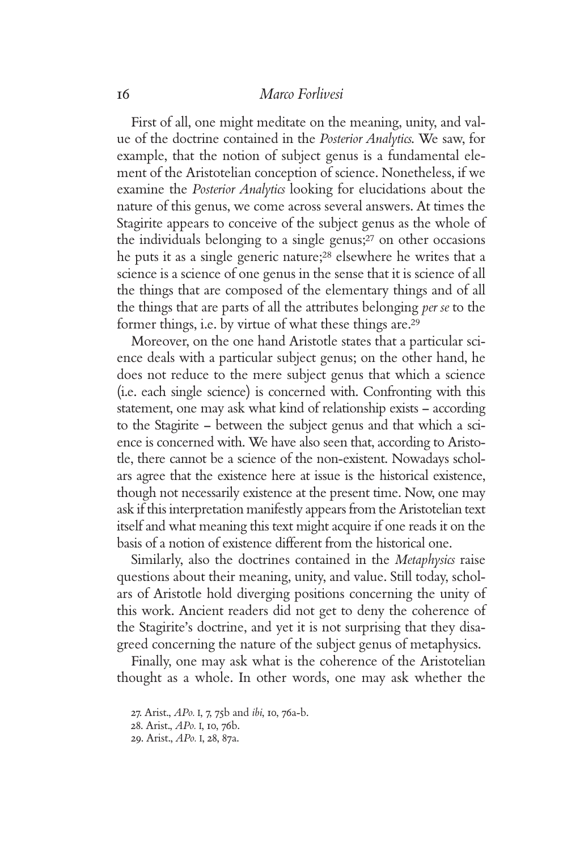First of all, one might meditate on the meaning, unity, and value of the doctrine contained in the *Posterior Analytics*. We saw, for example, that the notion of subject genus is a fundamental element of the Aristotelian conception of science. Nonetheless, if we examine the *Posterior Analytics* looking for elucidations about the nature of this genus, we come across several answers. At times the Stagirite appears to conceive of the subject genus as the whole of the individuals belonging to a single genus;27 on other occasions he puts it as a single generic nature;28 elsewhere he writes that a science is a science of one genus in the sense that it is science of all the things that are composed of the elementary things and of all the things that are parts of all the attributes belonging *per se* to the former things, i.e. by virtue of what these things are.<sup>29</sup>

Moreover, on the one hand Aristotle states that a particular science deals with a particular subject genus; on the other hand, he does not reduce to the mere subject genus that which a science (i.e. each single science) is concerned with. Confronting with this statement, one may ask what kind of relationship exists – according to the Stagirite – between the subject genus and that which a science is concerned with. We have also seen that, according to Aristotle, there cannot be a science of the non-existent. Nowadays scholars agree that the existence here at issue is the historical existence, though not necessarily existence at the present time. Now, one may ask if this interpretation manifestly appears from the Aristotelian text itself and what meaning this text might acquire if one reads it on the basis of a notion of existence different from the historical one.

Similarly, also the doctrines contained in the *Metaphysics* raise questions about their meaning, unity, and value. Still today, scholars of Aristotle hold diverging positions concerning the unity of this work. Ancient readers did not get to deny the coherence of the Stagirite's doctrine, and yet it is not surprising that they disagreed concerning the nature of the subject genus of metaphysics.

Finally, one may ask what is the coherence of the Aristotelian thought as a whole. In other words, one may ask whether the

<sup>27.</sup> Arist., *APo.* I, 7, 75b and *ibi*, 10, 76a-b.

<sup>28.</sup> Arist., *APo.* I, 10, 76b.

<sup>29.</sup> Arist., *APo.* I, 28, 87a.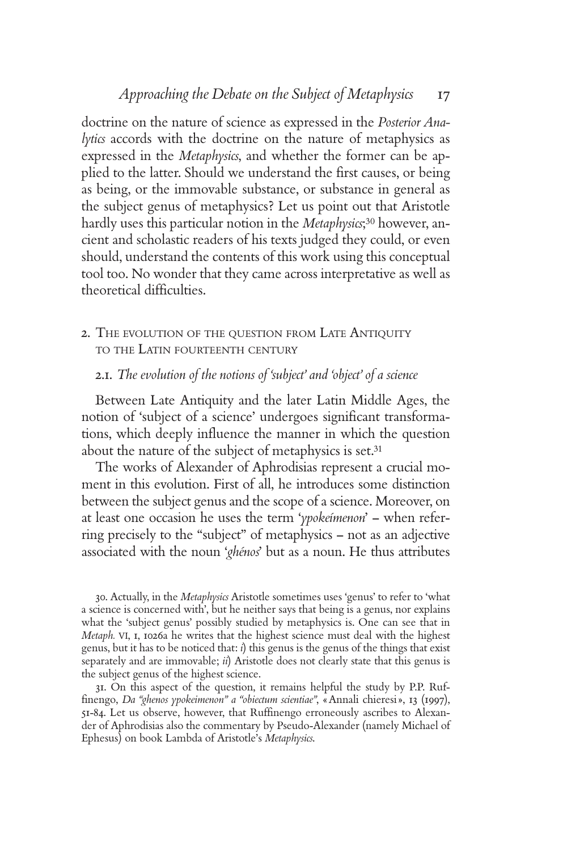doctrine on the nature of science as expressed in the *Posterior Analytics* accords with the doctrine on the nature of metaphysics as expressed in the *Metaphysics*, and whether the former can be applied to the latter. Should we understand the first causes, or being as being, or the immovable substance, or substance in general as the subject genus of metaphysics? Let us point out that Aristotle hardly uses this particular notion in the *Metaphysics*; 30 however, ancient and scholastic readers of his texts judged they could, or even should, understand the contents of this work using this conceptual tool too. No wonder that they came across interpretative as well as theoretical difficulties.

2. THE EVOLUTION OF THE QUESTION FROM LATE ANTIQUITY TO THE LATIN FOURTEENTH CENTURY

### 2.1. *The evolution of the notions of 'subject' and 'object' of a science*

Between Late Antiquity and the later Latin Middle Ages, the notion of 'subject of a science' undergoes significant transformations, which deeply influence the manner in which the question about the nature of the subject of metaphysics is set.<sup>31</sup>

The works of Alexander of Aphrodisias represent a crucial moment in this evolution. First of all, he introduces some distinction between the subject genus and the scope of a science. Moreover, on at least one occasion he uses the term '*ypokeímenon*' – when referring precisely to the "subject" of metaphysics – not as an adjective associated with the noun '*ghénos*' but as a noun. He thus attributes

30. Actually, in the *Metaphysics* Aristotle sometimes uses 'genus' to refer to 'what a science is concerned with', but he neither says that being is a genus, nor explains what the 'subject genus' possibly studied by metaphysics is. One can see that in *Metaph.* VI, 1, 1026a he writes that the highest science must deal with the highest genus, but it has to be noticed that: *i*) this genus is the genus of the things that exist separately and are immovable; *ii*) Aristotle does not clearly state that this genus is the subject genus of the highest science.

31. On this aspect of the question, it remains helpful the study by P.P. Ruffi nengo, *Da "ghenos ypokeimenon" a "obiectum scientiae"*, «Annali chieresi», 13 (1997), 51-84. Let us observe, however, that Ruffinengo erroneously ascribes to Alexander of Aphrodisias also the commentary by Pseudo-Alexander (namely Michael of Ephesus) on book Lambda of Aristotle's *Metaphysics*.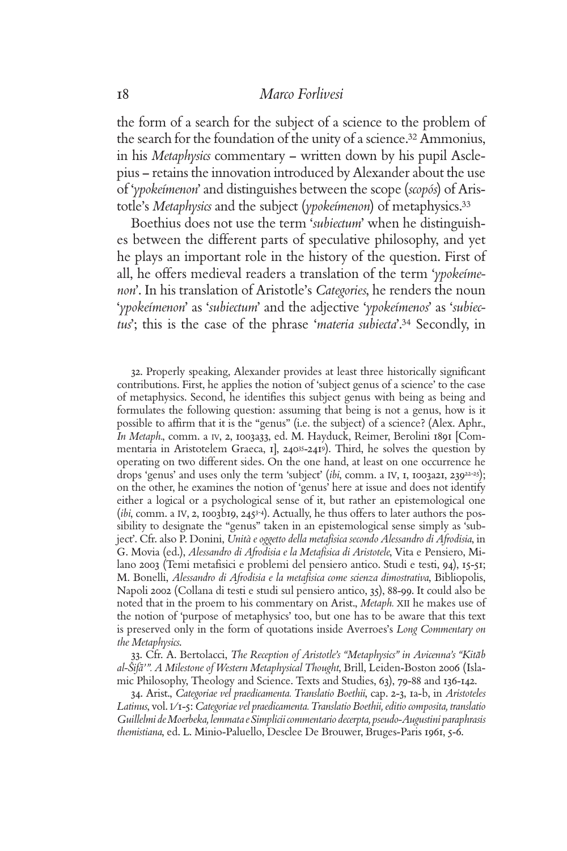the form of a search for the subject of a science to the problem of the search for the foundation of the unity of a science.32 Ammonius, in his *Metaphysics* commentary – written down by his pupil Asclepius – retains the innovation introduced by Alexander about the use of '*ypokeímenon*' and distinguishes between the scope (*scopós*) of Aristotle's *Metaphysics* and the subject (*ypokeímenon*) of metaphysics.<sup>33</sup>

Boethius does not use the term '*subiectum*' when he distinguishes between the different parts of speculative philosophy, and yet he plays an important role in the history of the question. First of all, he offers medieval readers a translation of the term '*ypokeímenon*'. In his translation of Aristotle's *Categories*, he renders the noun '*ypokeímenon*' as '*subiectum*' and the adjective '*ypokeímenos*' as '*subiectus*'; this is the case of the phrase '*materia subiecta*'.34 Secondly, in

32. Properly speaking, Alexander provides at least three historically significant contributions. First, he applies the notion of 'subject genus of a science' to the case of metaphysics. Second, he identifies this subject genus with being as being and formulates the following question: assuming that being is not a genus, how is it possible to affirm that it is the "genus" (i.e. the subject) of a science? (Alex. Aphr., *In Metaph.*, comm. a IV, 2, 1003a33, ed. M. Hayduck, Reimer, Berolini 1891 [Commentaria in Aristotelem Graeca, 1], 24035-2419). Third, he solves the question by operating on two different sides. On the one hand, at least on one occurrence he drops 'genus' and uses only the term 'subject' (*ibi*, comm. a IV, I, 1003a21, 239<sup>22-25</sup>); on the other, he examines the notion of 'genus' here at issue and does not identify either a logical or a psychological sense of it, but rather an epistemological one (*ibi*, comm. a IV, 2, 1003b19, 2453-4). Actually, he thus offers to later authors the possibility to designate the "genus" taken in an epistemological sense simply as 'subject'. Cfr. also P. Donini, *Unità e oggetto della metafi sica secondo Alessandro di Afrodisia*, in G. Movia (ed.), *Alessandro di Afrodisia e la Metafisica di Aristotele*, Vita e Pensiero, Milano 2003 (Temi metafisici e problemi del pensiero antico. Studi e testi, 94), 15-51; M. Bonelli, *Alessandro di Afrodisia e la metafi sica come scienza dimostrativa*, Bibliopolis, Napoli 2002 (Collana di testi e studi sul pensiero antico, 35), 88-99. It could also be noted that in the proem to his commentary on Arist., *Metaph.* XII he makes use of the notion of 'purpose of metaphysics' too, but one has to be aware that this text is preserved only in the form of quotations inside Averroes's *Long Commentary on the Metaphysics*.

33. Cfr. A. Bertolacci, *The Reception of Aristotle's "Metaphysics" in Avicenna's "Kitāb al-Sˇifa- '". A Milestone of Western Metaphysical Thought*, Brill, Leiden-Boston 2006 (Islamic Philosophy, Theology and Science. Texts and Studies, 63), 79-88 and 136-142.

34. Arist., *Categoriae vel praedicamenta. Translatio Boethii*, cap. 2-3, 1a-b, in *Aristoteles Latinus*, vol. I/1-5: *Categoriae vel praedicamenta. Translatio Boethii, editio composita, translatio Guillelmi de Moerbeka, lemmata e Simplicii commentario decerpta, pseudo-Augustini paraphrasis themistiana*, ed. L. Minio-Paluello, Desclee De Brouwer, Bruges-Paris 1961, 5-6.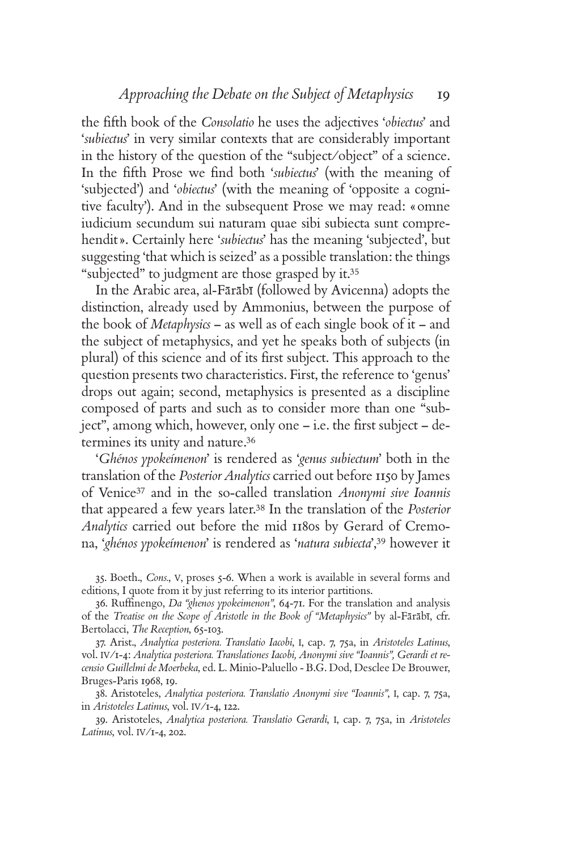the fi fth book of the *Consolatio* he uses the adjectives '*obiectus*' and '*subiectus*' in very similar contexts that are considerably important in the history of the question of the "subject/object" of a science. In the fifth Prose we find both 'subiectus' (with the meaning of 'subjected') and '*obiectus*' (with the meaning of 'opposite a cognitive faculty'). And in the subsequent Prose we may read: «omne iudicium secundum sui naturam quae sibi subiecta sunt comprehendit». Certainly here '*subiectus*' has the meaning 'subjected', but suggesting 'that which is seized' as a possible translation: the things "subjected" to judgment are those grasped by it.<sup>35</sup>

In the Arabic area, al-Fārābī (followed by Avicenna) adopts the distinction, already used by Ammonius, between the purpose of the book of *Metaphysics* – as well as of each single book of it – and the subject of metaphysics, and yet he speaks both of subjects (in plural) of this science and of its first subject. This approach to the question presents two characteristics. First, the reference to 'genus' drops out again; second, metaphysics is presented as a discipline composed of parts and such as to consider more than one "subject", among which, however, only one – i.e. the first subject – determines its unity and nature.<sup>36</sup>

'*Ghénos ypokeímenon*' is rendered as '*genus subiectum*' both in the translation of the *Posterior Analytics* carried out before 1150 by James of Venice37 and in the so-called translation *Anonymi sive Ioannis* that appeared a few years later.38 In the translation of the *Posterior Analytics* carried out before the mid 1180s by Gerard of Cremona, '*ghénos ypokeímenon*' is rendered as '*natura subiecta*',39 however it

35. Boeth., *Cons.*, V, proses 5-6. When a work is available in several forms and editions, I quote from it by just referring to its interior partitions.

36. Ruffinengo, *Da "ghenos ypokeimenon"*, 64-71. For the translation and analysis of the *Treatise on the Scope of Aristotle in the Book of "Metaphysics"* by al-Fārābī, cfr. Bertolacci, *The Reception*, 65-103.

37. Arist., *Analytica posteriora. Translatio Iacobi*, I, cap. 7, 75a, in *Aristoteles Latinus*, vol. IV/1-4: *Analytica posteriora. Translationes Iacobi, Anonymi sive "Ioannis", Gerardi et recensio Guillelmi de Moerbeka*, ed. L. Minio-Paluello - B.G. Dod, Desclee De Brouwer, Bruges-Paris 1968, 19.

38. Aristoteles, *Analytica posteriora. Translatio Anonymi sive "Ioannis"*, I, cap. 7, 75a, in *Aristoteles Latinus*, vol. IV/1-4, 122.

39. Aristoteles, *Analytica posteriora. Translatio Gerardi*, I, cap. 7, 75a, in *Aristoteles Latinus*, vol. IV/1-4, 202.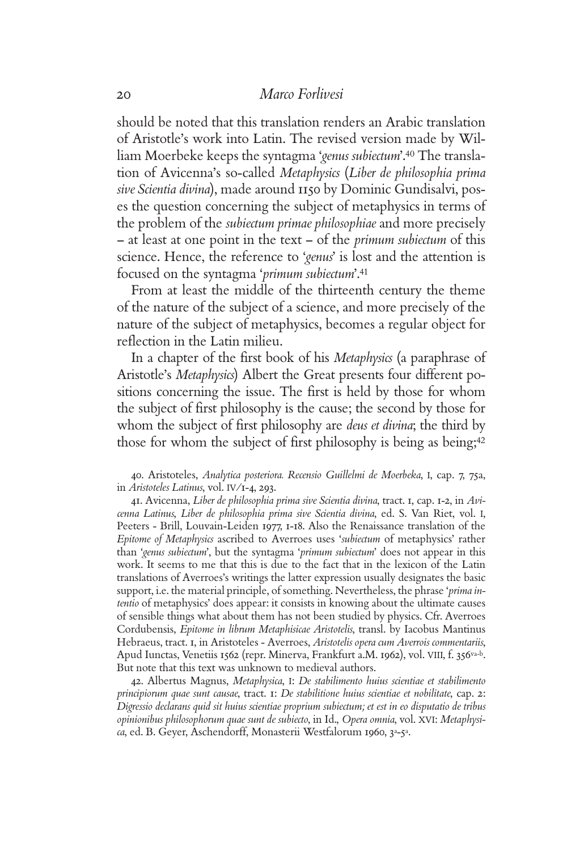should be noted that this translation renders an Arabic translation of Aristotle's work into Latin. The revised version made by William Moerbeke keeps the syntagma '*genus subiectum*'.40 The translation of Avicenna's so-called *Metaphysics* (*Liber de philosophia prima sive Scientia divina*), made around 1150 by Dominic Gundisalvi, poses the question concerning the subject of metaphysics in terms of the problem of the *subiectum primae philosophiae* and more precisely – at least at one point in the text – of the *primum subiectum* of this science. Hence, the reference to '*genus*' is lost and the attention is focused on the syntagma '*primum subiectum*'.<sup>41</sup>

From at least the middle of the thirteenth century the theme of the nature of the subject of a science, and more precisely of the nature of the subject of metaphysics, becomes a regular object for reflection in the Latin milieu.

In a chapter of the first book of his *Metaphysics* (a paraphrase of Aristotle's *Metaphysics*) Albert the Great presents four different positions concerning the issue. The first is held by those for whom the subject of first philosophy is the cause; the second by those for whom the subject of first philosophy are *deus et divina*; the third by those for whom the subject of first philosophy is being as being;<sup>42</sup>

40. Aristoteles, *Analytica posteriora. Recensio Guillelmi de Moerbeka*, I, cap. 7, 75a, in *Aristoteles Latinus*, vol. IV/1-4, 293.

41. Avicenna, *Liber de philosophia prima sive Scientia divina*, tract. 1, cap. 1-2, in *Avicenna Latinus*, *Liber de philosophia prima sive Scientia divina*, ed. S. Van Riet, vol. I, Peeters - Brill, Louvain-Leiden 1977, 1-18. Also the Renaissance translation of the *Epitome of Metaphysics* ascribed to Averroes uses '*subiectum* of metaphysics' rather than '*genus subiectum*', but the syntagma '*primum subiectum*' does not appear in this work. It seems to me that this is due to the fact that in the lexicon of the Latin translations of Averroes's writings the latter expression usually designates the basic support, i.e. the material principle, of something. Nevertheless, the phrase '*prima intentio* of metaphysics' does appear: it consists in knowing about the ultimate causes of sensible things what about them has not been studied by physics. Cfr. Averroes Cordubensis, *Epitome in librum Metaphisicae Aristotelis*, transl. by Iacobus Mantinus Hebraeus, tract. 1, in Aristoteles - Averroes, *Aristotelis opera cum Averrois commentariis*, Apud Iunctas, Venetiis 1562 (repr. Minerva, Frankfurt a.M. 1962), vol. VIII, f. 356<sup>va-b</sup>. But note that this text was unknown to medieval authors.

42. Albertus Magnus, *Metaphysica*, I: *De stabilimento huius scientiae et stabilimento principiorum quae sunt causae*, tract. 1: *De stabilitione huius scientiae et nobilitate*, cap. 2: *Digressio declarans quid sit huius scientiae proprium subiectum; et est in eo disputatio de tribus opinionibus philosophorum quae sunt de subiecto*, in Id., *Opera omnia*, vol. XVI: *Metaphysica*, ed. B. Geyer, Aschendorff, Monasterii Westfalorum 1960, 3a-5a.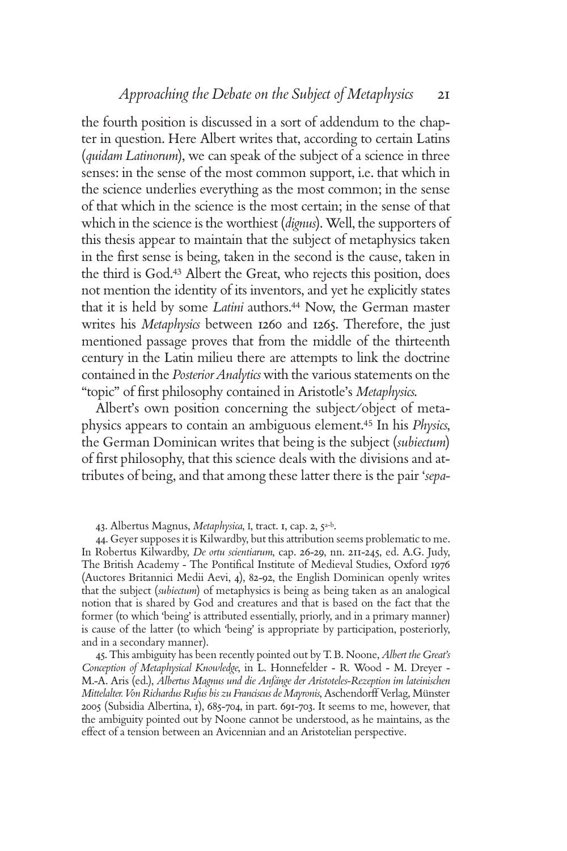the fourth position is discussed in a sort of addendum to the chapter in question. Here Albert writes that, according to certain Latins (*quidam Latinorum*), we can speak of the subject of a science in three senses: in the sense of the most common support, i.e. that which in the science underlies everything as the most common; in the sense of that which in the science is the most certain; in the sense of that which in the science is the worthiest (*dignus*). Well, the supporters of this thesis appear to maintain that the subject of metaphysics taken in the first sense is being, taken in the second is the cause, taken in the third is God.43 Albert the Great, who rejects this position, does not mention the identity of its inventors, and yet he explicitly states that it is held by some *Latini* authors.44 Now, the German master writes his *Metaphysics* between 1260 and 1265. Therefore, the just mentioned passage proves that from the middle of the thirteenth century in the Latin milieu there are attempts to link the doctrine contained in the *Posterior Analytics* with the various statements on the "topic" of first philosophy contained in Aristotle's Metaphysics.

Albert's own position concerning the subject/object of metaphysics appears to contain an ambiguous element.45 In his *Physics*, the German Dominican writes that being is the subject (*subiectum*) of first philosophy, that this science deals with the divisions and attributes of being, and that among these latter there is the pair '*sepa-*

43. Albertus Magnus, *Metaphysica*, I, tract. 1, cap. 2, 5a-b.

44. Geyer supposes it is Kilwardby, but this attribution seems problematic to me. In Robertus Kilwardby, *De ortu scientiarum*, cap. 26-29, nn. 211-245, ed. A.G. Judy, The British Academy - The Pontifical Institute of Medieval Studies, Oxford 1976 (Auctores Britannici Medii Aevi, 4), 82-92, the English Dominican openly writes that the subject (*subiectum*) of metaphysics is being as being taken as an analogical notion that is shared by God and creatures and that is based on the fact that the former (to which 'being' is attributed essentially, priorly, and in a primary manner) is cause of the latter (to which 'being' is appropriate by participation, posteriorly, and in a secondary manner).

45. This ambiguity has been recently pointed out by T. B. Noone, *Albert the Great's Conception of Metaphysical Knowledge*, in L. Honnefelder - R. Wood - M. Dreyer - M.-A. Aris (ed.), *Albertus Magnus und die Anfänge der Aristoteles-Rezeption im lateinischen Mittelalter. Von Richardus Rufus bis zu Franciscus de Mayronis*, Aschendorff Verlag, Münster 2005 (Subsidia Albertina, 1), 685-704, in part. 691-703. It seems to me, however, that the ambiguity pointed out by Noone cannot be understood, as he maintains, as the effect of a tension between an Avicennian and an Aristotelian perspective.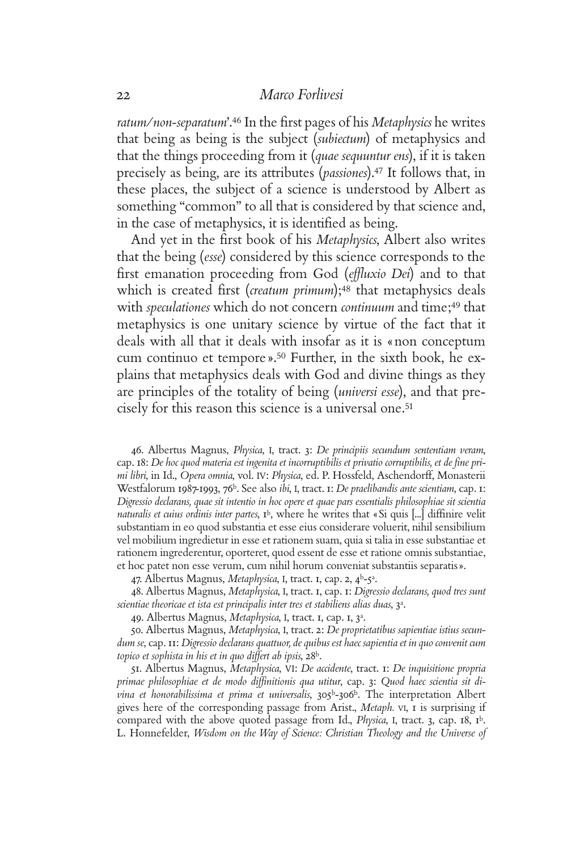*ratum/non-separatum*'.<sup>46</sup> In the first pages of his *Metaphysics* he writes that being as being is the subject (*subiectum*) of metaphysics and that the things proceeding from it (*quae sequuntur ens*), if it is taken precisely as being, are its attributes (*passiones*).47 It follows that, in these places, the subject of a science is understood by Albert as something "common" to all that is considered by that science and, in the case of metaphysics, it is identified as being.

And yet in the first book of his *Metaphysics*, Albert also writes that the being (*esse*) considered by this science corresponds to the first emanation proceeding from God (*effluxio Dei*) and to that which is created first *(creatum primum*);<sup>48</sup> that metaphysics deals with *speculationes* which do not concern *continuum* and time;49 that metaphysics is one unitary science by virtue of the fact that it deals with all that it deals with insofar as it is «non conceptum cum continuo et tempore».50 Further, in the sixth book, he explains that metaphysics deals with God and divine things as they are principles of the totality of being (*universi esse*), and that precisely for this reason this science is a universal one.<sup>51</sup>

46. Albertus Magnus, *Physica*, I, tract. 3: *De principiis secundum sententiam veram*, cap. 18: De hoc quod materia est ingenita et incorruptibilis et privatio corruptibilis, et de fine pri*mi libri*, in Id., *Opera omnia*, vol. IV: *Physica*, ed. P. Hossfeld, Aschendorff, Monasterii Westfalorum 1987-1993, 76<sup>b</sup>. See also *ibi*, I, tract. 1: *De praelibandis ante scientiam*, cap. 1: *Digressio declarans, quae sit intentio in hoc opere et quae pars essentialis philosophiae sit scientia naturalis et cuius ordinis inter partes*,  $I^b$ , where he writes that «Si quis [...] diffinire velit substantiam in eo quod substantia et esse eius considerare voluerit, nihil sensibilium vel mobilium ingredietur in esse et rationem suam, quia si talia in esse substantiae et rationem ingrederentur, oporteret, quod essent de esse et ratione omnis substantiae, et hoc patet non esse verum, cum nihil horum conveniat substantiis separatis».

47. Albertus Magnus, *Metaphysica*, I, tract. 1, cap. 2, 4b-5a.

48. Albertus Magnus, *Metaphysica*, I, tract. 1, cap. 1: *Digressio declarans, quod tres sunt scientiae theoricae et ista est principalis inter tres et stabiliens alias duas*, 3a.

49. Albertus Magnus, *Metaphysica*, I, tract. 1, cap. 1, 3a.

50. Albertus Magnus, *Metaphysica*, I, tract. 2: *De proprietatibus sapientiae istius secundum se*, cap. 11: *Digressio declarans quattuor, de quibus est haec sapientia et in quo convenit cum topico et sophista in his et in quo differt ab ipsis*, 28b.

51. Albertus Magnus, *Metaphysica*, VI: *De accidente*, tract. 1: *De inquisitione propria*  primae philosophiae et de modo diffinitionis qua utitur, cap. 3: Quod haec scientia sit di*vina et honorabilissima et prima et universalis*, 305b-306b. The interpretation Albert gives here of the corresponding passage from Arist., *Metaph.* VI, 1 is surprising if compared with the above quoted passage from Id., *Physica*, I, tract. 3, cap. 18, 1b. L. Honnefelder, *Wisdom on the Way of Science: Christian Theology and the Universe of*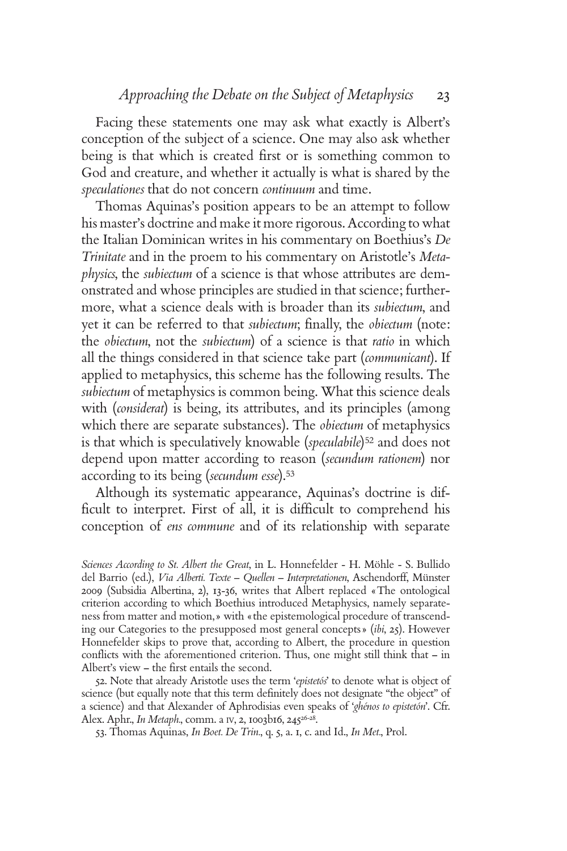Facing these statements one may ask what exactly is Albert's conception of the subject of a science. One may also ask whether being is that which is created first or is something common to God and creature, and whether it actually is what is shared by the *speculationes* that do not concern *continuum* and time.

Thomas Aquinas's position appears to be an attempt to follow his master's doctrine and make it more rigorous. According to what the Italian Dominican writes in his commentary on Boethius's *De Trinitate* and in the proem to his commentary on Aristotle's *Metaphysics*, the *subiectum* of a science is that whose attributes are demonstrated and whose principles are studied in that science; furthermore, what a science deals with is broader than its *subiectum*, and yet it can be referred to that *subiectum*; finally, the *obiectum* (note: the *obiectum*, not the *subiectum*) of a science is that *ratio* in which all the things considered in that science take part (*communicant*). If applied to metaphysics, this scheme has the following results. The *subiectum* of metaphysics is common being. What this science deals with (*considerat*) is being, its attributes, and its principles (among which there are separate substances). The *obiectum* of metaphysics is that which is speculatively knowable (*speculabile*)<sup>52</sup> and does not depend upon matter according to reason (*secundum rationem*) nor according to its being (*secundum esse*).<sup>53</sup>

Although its systematic appearance, Aquinas's doctrine is difficult to interpret. First of all, it is difficult to comprehend his conception of *ens commune* and of its relationship with separate

*Sciences According to St. Albert the Great*, in L. Honnefelder - H. Möhle - S. Bullido del Barrio (ed.), *Via Alberti. Texte – Quellen – Interpretationen*, Aschendorff, Münster 2009 (Subsidia Albertina, 2), 13-36, writes that Albert replaced «The ontological criterion according to which Boethius introduced Metaphysics, namely separateness from matter and motion,» with «the epistemological procedure of transcending our Categories to the presupposed most general concepts» (*ibi*, 25). However Honnefelder skips to prove that, according to Albert, the procedure in question conflicts with the aforementioned criterion. Thus, one might still think that – in Albert's view - the first entails the second.

52. Note that already Aristotle uses the term '*epistetós*' to denote what is object of science (but equally note that this term definitely does not designate "the object" of a science) and that Alexander of Aphrodisias even speaks of '*ghénos to epistetón*'. Cfr. Alex. Aphr., *In Metaph.*, comm. a IV, 2, 1003b16, 245<sup>26-28</sup>.

53. Thomas Aquinas, *In Boet. De Trin.*, q. 5, a. 1, c. and Id., *In Met.*, Prol.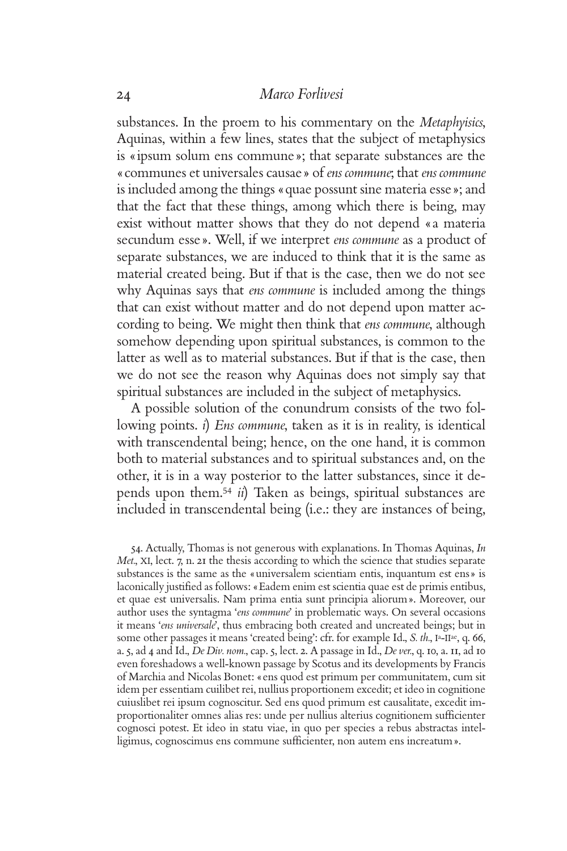substances. In the proem to his commentary on the *Metaphyisics*, Aquinas, within a few lines, states that the subject of metaphysics is «ipsum solum ens commune»; that separate substances are the «communes et universales causae» of *ens commune*; that *ens commune* is included among the things «quae possunt sine materia esse»; and that the fact that these things, among which there is being, may exist without matter shows that they do not depend «a materia secundum esse». Well, if we interpret *ens commune* as a product of separate substances, we are induced to think that it is the same as material created being. But if that is the case, then we do not see why Aquinas says that *ens commune* is included among the things that can exist without matter and do not depend upon matter according to being. We might then think that *ens commune*, although somehow depending upon spiritual substances, is common to the latter as well as to material substances. But if that is the case, then we do not see the reason why Aquinas does not simply say that spiritual substances are included in the subject of metaphysics.

A possible solution of the conundrum consists of the two following points. *i*) *Ens commune*, taken as it is in reality, is identical with transcendental being; hence, on the one hand, it is common both to material substances and to spiritual substances and, on the other, it is in a way posterior to the latter substances, since it depends upon them.<sup>54</sup> *ii*) Taken as beings, spiritual substances are included in transcendental being (i.e.: they are instances of being,

54. Actually, Thomas is not generous with explanations. In Thomas Aquinas, *In Met.*, XI, lect. 7, n. 21 the thesis according to which the science that studies separate substances is the same as the «universalem scientiam entis, inquantum est ens» is laconically justified as follows: «Eadem enim est scientia quae est de primis entibus, et quae est universalis. Nam prima entia sunt principia aliorum». Moreover, our author uses the syntagma '*ens commune*' in problematic ways. On several occasions it means '*ens universale*', thus embracing both created and uncreated beings; but in some other passages it means 'created being': cfr. for example Id., *S. th.*, I<sup>a</sup>-II<sup>ae</sup>, q. 66, a. 5, ad 4 and Id., *De Div. nom.*, cap. 5, lect. 2. A passage in Id., *De ver.*, q. 10, a. 11, ad 10 even foreshadows a well-known passage by Scotus and its developments by Francis of Marchia and Nicolas Bonet: «ens quod est primum per communitatem, cum sit idem per essentiam cuilibet rei, nullius proportionem excedit; et ideo in cognitione cuiuslibet rei ipsum cognoscitur. Sed ens quod primum est causalitate, excedit improportionaliter omnes alias res: unde per nullius alterius cognitionem sufficienter cognosci potest. Et ideo in statu viae, in quo per species a rebus abstractas intelligimus, cognoscimus ens commune sufficienter, non autem ens increatum».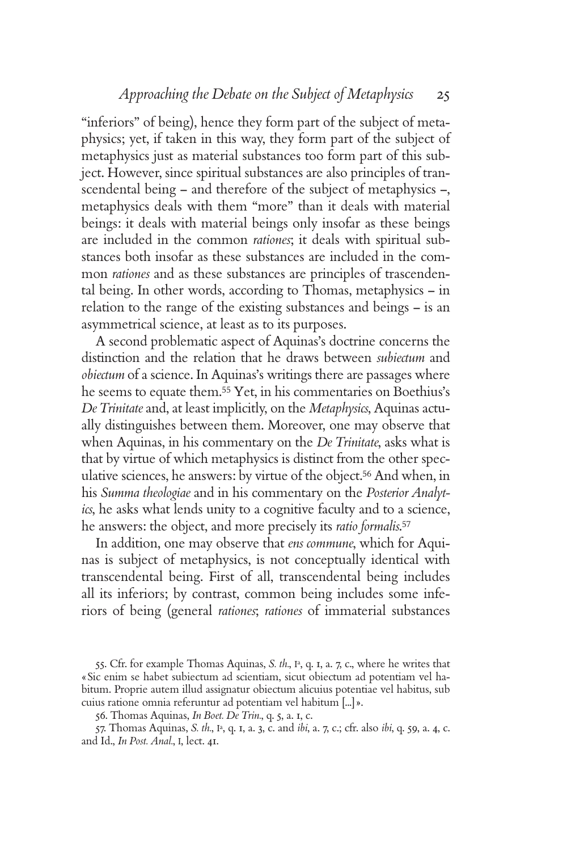"inferiors" of being), hence they form part of the subject of metaphysics; yet, if taken in this way, they form part of the subject of metaphysics just as material substances too form part of this subject. However, since spiritual substances are also principles of transcendental being – and therefore of the subject of metaphysics –, metaphysics deals with them "more" than it deals with material beings: it deals with material beings only insofar as these beings are included in the common *rationes*; it deals with spiritual substances both insofar as these substances are included in the common *rationes* and as these substances are principles of trascendental being. In other words, according to Thomas, metaphysics – in relation to the range of the existing substances and beings – is an asymmetrical science, at least as to its purposes.

A second problematic aspect of Aquinas's doctrine concerns the distinction and the relation that he draws between *subiectum* and *obiectum* of a science. In Aquinas's writings there are passages where he seems to equate them.55 Yet, in his commentaries on Boethius's *De Trinitate* and, at least implicitly, on the *Metaphysics*, Aquinas actually distinguishes between them. Moreover, one may observe that when Aquinas, in his commentary on the *De Trinitate*, asks what is that by virtue of which metaphysics is distinct from the other speculative sciences, he answers: by virtue of the object.56 And when, in his *Summa theologiae* and in his commentary on the *Posterior Analytics*, he asks what lends unity to a cognitive faculty and to a science, he answers: the object, and more precisely its *ratio formalis*. 57

In addition, one may observe that *ens commune*, which for Aquinas is subject of metaphysics, is not conceptually identical with transcendental being. First of all, transcendental being includes all its inferiors; by contrast, common being includes some inferiors of being (general *rationes*; *rationes* of immaterial substances

55. Cfr. for example Thomas Aquinas, *S. th.*, I<sup>a</sup>, q. I, a. 7, c., where he writes that «Sic enim se habet subiectum ad scientiam, sicut obiectum ad potentiam vel habitum. Proprie autem illud assignatur obiectum alicuius potentiae vel habitus, sub cuius ratione omnia referuntur ad potentiam vel habitum [...]».

56. Thomas Aquinas, *In Boet. De Trin.*, q. 5, a. 1, c.

57. Thomas Aquinas, *S. th.*, Ia, q. 1, a. 3, c. and *ibi*, a. 7, c.; cfr. also *ibi*, q. 59, a. 4, c. and Id., *In Post. Anal.*, I, lect. 41.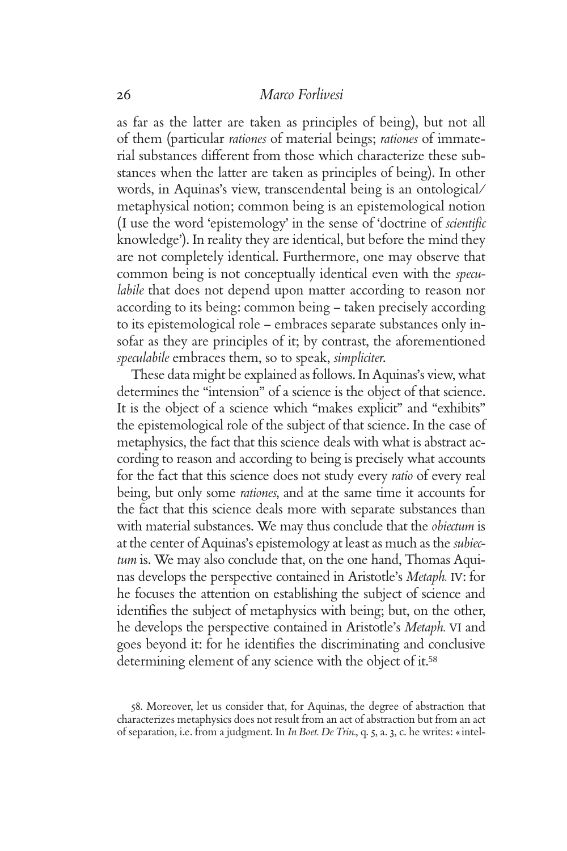as far as the latter are taken as principles of being), but not all of them (particular *rationes* of material beings; *rationes* of immaterial substances different from those which characterize these substances when the latter are taken as principles of being). In other words, in Aquinas's view, transcendental being is an ontological/ metaphysical notion; common being is an epistemological notion (I use the word 'epistemology' in the sense of 'doctrine of *scientifi c* knowledge'). In reality they are identical, but before the mind they are not completely identical. Furthermore, one may observe that common being is not conceptually identical even with the *speculabile* that does not depend upon matter according to reason nor according to its being: common being – taken precisely according to its epistemological role – embraces separate substances only insofar as they are principles of it; by contrast, the aforementioned *speculabile* embraces them, so to speak, *simpliciter*.

These data might be explained as follows. In Aquinas's view, what determines the "intension" of a science is the object of that science. It is the object of a science which "makes explicit" and "exhibits" the epistemological role of the subject of that science. In the case of metaphysics, the fact that this science deals with what is abstract according to reason and according to being is precisely what accounts for the fact that this science does not study every *ratio* of every real being, but only some *rationes*, and at the same time it accounts for the fact that this science deals more with separate substances than with material substances. We may thus conclude that the *obiectum* is at the center of Aquinas's epistemology at least as much as the *subiectum* is. We may also conclude that, on the one hand, Thomas Aquinas develops the perspective contained in Aristotle's *Metaph.* IV: for he focuses the attention on establishing the subject of science and identifies the subject of metaphysics with being; but, on the other, he develops the perspective contained in Aristotle's *Metaph.* VI and goes beyond it: for he identifies the discriminating and conclusive determining element of any science with the object of it.<sup>58</sup>

58. Moreover, let us consider that, for Aquinas, the degree of abstraction that characterizes metaphysics does not result from an act of abstraction but from an act of separation, i.e. from a judgment. In *In Boet. De Trin.*, q. 5, a. 3, c. he writes: «intel-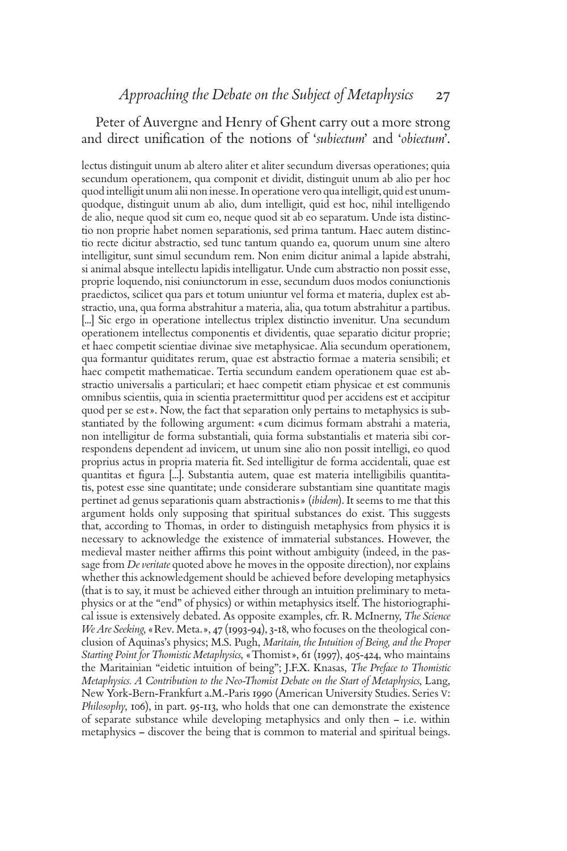# Peter of Auvergne and Henry of Ghent carry out a more strong and direct unification of the notions of '*subiectum*' and '*obiectum*'.

lectus distinguit unum ab altero aliter et aliter secundum diversas operationes; quia secundum operationem, qua componit et dividit, distinguit unum ab alio per hoc quod intelligit unum alii non inesse. In operatione vero qua intelligit, quid est unumquodque, distinguit unum ab alio, dum intelligit, quid est hoc, nihil intelligendo de alio, neque quod sit cum eo, neque quod sit ab eo separatum. Unde ista distinctio non proprie habet nomen separationis, sed prima tantum. Haec autem distinctio recte dicitur abstractio, sed tunc tantum quando ea, quorum unum sine altero intelligitur, sunt simul secundum rem. Non enim dicitur animal a lapide abstrahi, si animal absque intellectu lapidis intelligatur. Unde cum abstractio non possit esse, proprie loquendo, nisi coniunctorum in esse, secundum duos modos coniunctionis praedictos, scilicet qua pars et totum uniuntur vel forma et materia, duplex est abstractio, una, qua forma abstrahitur a materia, alia, qua totum abstrahitur a partibus. [...] Sic ergo in operatione intellectus triplex distinctio invenitur. Una secundum operationem intellectus componentis et dividentis, quae separatio dicitur proprie; et haec competit scientiae divinae sive metaphysicae. Alia secundum operationem, qua formantur quiditates rerum, quae est abstractio formae a materia sensibili; et haec competit mathematicae. Tertia secundum eandem operationem quae est abstractio universalis a particulari; et haec competit etiam physicae et est communis omnibus scientiis, quia in scientia praetermittitur quod per accidens est et accipitur quod per se est». Now, the fact that separation only pertains to metaphysics is substantiated by the following argument: «cum dicimus formam abstrahi a materia, non intelligitur de forma substantiali, quia forma substantialis et materia sibi correspondens dependent ad invicem, ut unum sine alio non possit intelligi, eo quod proprius actus in propria materia fit. Sed intelligitur de forma accidentali, quae est quantitas et figura [...]. Substantia autem, quae est materia intelligibilis quantitatis, potest esse sine quantitate; unde considerare substantiam sine quantitate magis pertinet ad genus separationis quam abstractionis» (*ibidem*). It seems to me that this argument holds only supposing that spiritual substances do exist. This suggests that, according to Thomas, in order to distinguish metaphysics from physics it is necessary to acknowledge the existence of immaterial substances. However, the medieval master neither affirms this point without ambiguity (indeed, in the passage from *De veritate* quoted above he moves in the opposite direction), nor explains whether this acknowledgement should be achieved before developing metaphysics (that is to say, it must be achieved either through an intuition preliminary to metaphysics or at the "end" of physics) or within metaphysics itself. The historiographical issue is extensively debated. As opposite examples, cfr. R. McInerny, *The Science We Are Seeking*, «Rev. Meta.», 47 (1993-94), 3-18, who focuses on the theological conclusion of Aquinas's physics; M.S. Pugh, *Maritain, the Intuition of Being, and the Proper Starting Point for Thomistic Metaphysics*, «Thomist», 61 (1997), 405-424, who maintains the Maritainian "eidetic intuition of being"; J.F.X. Knasas, *The Preface to Thomistic Metaphysics. A Contribution to the Neo-Thomist Debate on the Start of Metaphysics*, Lang, New York-Bern-Frankfurt a.M.-Paris 1990 (American University Studies. Series V: *Philosophy*, 106), in part. 95-113, who holds that one can demonstrate the existence of separate substance while developing metaphysics and only then – i.e. within metaphysics – discover the being that is common to material and spiritual beings.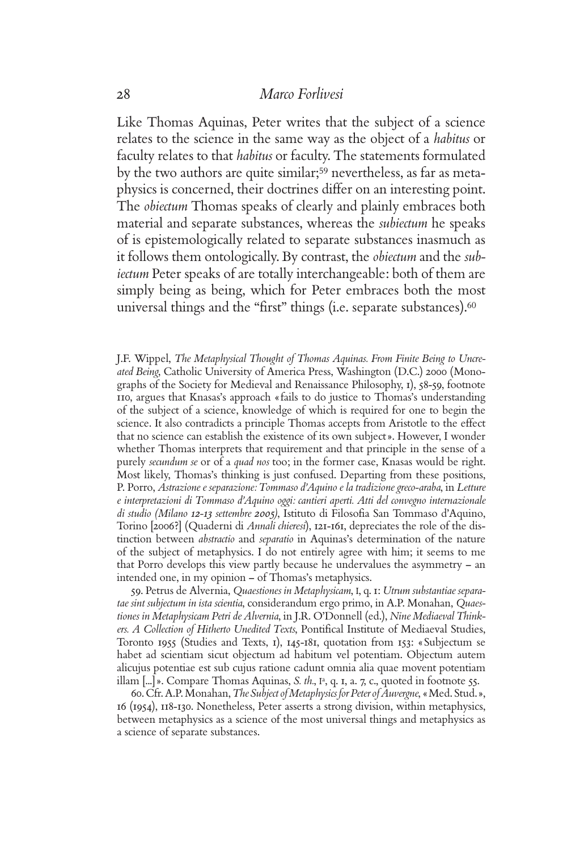Like Thomas Aquinas, Peter writes that the subject of a science relates to the science in the same way as the object of a *habitus* or faculty relates to that *habitus* or faculty. The statements formulated by the two authors are quite similar;59 nevertheless, as far as metaphysics is concerned, their doctrines differ on an interesting point. The *obiectum* Thomas speaks of clearly and plainly embraces both material and separate substances, whereas the *subiectum* he speaks of is epistemologically related to separate substances inasmuch as it follows them ontologically. By contrast, the *obiectum* and the *subiectum* Peter speaks of are totally interchangeable: both of them are simply being as being, which for Peter embraces both the most universal things and the "first" things (i.e. separate substances).<sup>60</sup>

J.F. Wippel, *The Metaphysical Thought of Thomas Aquinas. From Finite Being to Uncreated Being*, Catholic University of America Press, Washington (D.C.) 2000 (Monographs of the Society for Medieval and Renaissance Philosophy, 1), 58-59, footnote 110, argues that Knasas's approach «fails to do justice to Thomas's understanding of the subject of a science, knowledge of which is required for one to begin the science. It also contradicts a principle Thomas accepts from Aristotle to the effect that no science can establish the existence of its own subject». However, I wonder whether Thomas interprets that requirement and that principle in the sense of a purely *secundum se* or of a *quad nos* too; in the former case, Knasas would be right. Most likely, Thomas's thinking is just confused. Departing from these positions, P. Porro, *Astrazione e separazione: Tommaso d'Aquino e la tradizione greco-araba*, in *Letture e interpretazioni di Tommaso d'Aquino oggi: cantieri aperti. Atti del convegno internazionale*  di studio (Milano 12-13 settembre 2005), Istituto di Filosofia San Tommaso d'Aquino, Torino [2006?] (Quaderni di *Annali chieresi*), 121-161, depreciates the role of the distinction between *abstractio* and *separatio* in Aquinas's determination of the nature of the subject of metaphysics. I do not entirely agree with him; it seems to me that Porro develops this view partly because he undervalues the asymmetry – an intended one, in my opinion – of Thomas's metaphysics.

59. Petrus de Alvernia, *Quaestiones in Metaphysicam*, I, q. 1: *Utrum substantiae separatae sint subjectum in ista scientia*, considerandum ergo primo, in A.P. Monahan, *Quaestiones in Metaphysicam Petri de Alvernia*, in J.R. O'Donnell (ed.), *Nine Mediaeval Think*ers. A Collection of Hitherto Unedited Texts, Pontifical Institute of Mediaeval Studies, Toronto 1955 (Studies and Texts, 1), 145-181, quotation from 153: «Subjectum se habet ad scientiam sicut objectum ad habitum vel potentiam. Objectum autem alicujus potentiae est sub cujus ratione cadunt omnia alia quae movent potentiam illam  $[\dots]$ ». Compare Thomas Aquinas, *S. th.*,  $I^a$ , q. 1, a. 7, c., quoted in footnote 55.

60. Cfr. A.P. Monahan, *The Subject of Metaphysics for Peter of Auvergne*, «Med. Stud.», 16 (1954), 118-130. Nonetheless, Peter asserts a strong division, within metaphysics, between metaphysics as a science of the most universal things and metaphysics as a science of separate substances.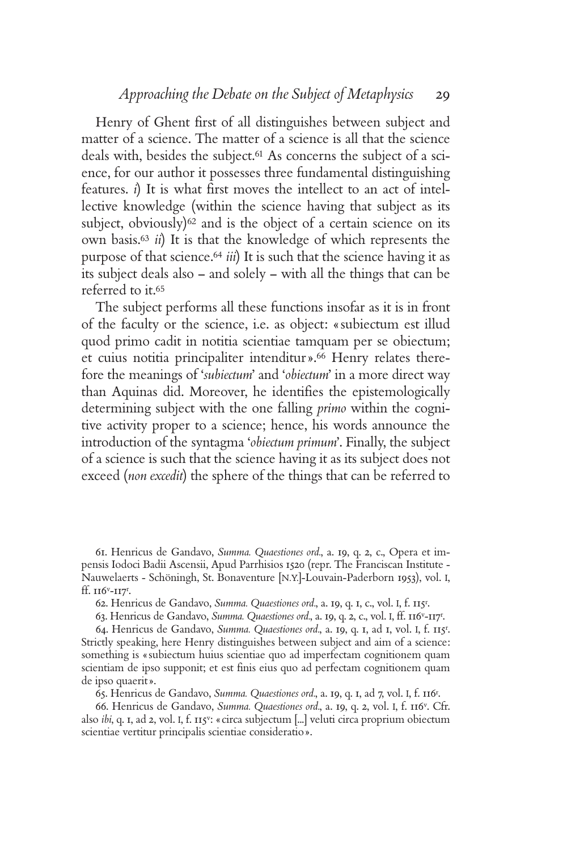Henry of Ghent first of all distinguishes between subject and matter of a science. The matter of a science is all that the science deals with, besides the subject.61 As concerns the subject of a science, for our author it possesses three fundamental distinguishing features. *i*) It is what first moves the intellect to an act of intellective knowledge (within the science having that subject as its subject, obviously) $62$  and is the object of a certain science on its own basis.<sup>63</sup> *ii*) It is that the knowledge of which represents the purpose of that science.<sup>64</sup> *iii*) It is such that the science having it as its subject deals also – and solely – with all the things that can be referred to it.<sup>65</sup>

The subject performs all these functions insofar as it is in front of the faculty or the science, i.e. as object: «subiectum est illud quod primo cadit in notitia scientiae tamquam per se obiectum; et cuius notitia principaliter intenditur».66 Henry relates therefore the meanings of '*subiectum*' and '*obiectum*' in a more direct way than Aquinas did. Moreover, he identifies the epistemologically determining subject with the one falling *primo* within the cognitive activity proper to a science; hence, his words announce the introduction of the syntagma '*obiectum primum*'. Finally, the subject of a science is such that the science having it as its subject does not exceed (*non excedit*) the sphere of the things that can be referred to

61. Henricus de Gandavo, *Summa. Quaestiones ord.*, a. 19, q. 2, c., Opera et impensis Iodoci Badii Ascensii, Apud Parrhisios 1520 (repr. The Franciscan Institute - Nauwelaerts - Schöningh, St. Bonaventure [N.Y.]-Louvain-Paderborn 1953), vol. I, ff. 116v-117r .

62. Henricus de Gandavo, *Summa. Quaestiones ord.*, a. 19, q. 1, c., vol. I, f. 115r .

63. Henricus de Gandavo, *Summa. Quaestiones ord.*, a. 19, q. 2, c., vol. I, ff. 116v-117r .

64. Henricus de Gandavo, *Summa. Quaestiones ord.*, a. 19, q. 1, ad 1, vol. I, f. 115r . Strictly speaking, here Henry distinguishes between subject and aim of a science: something is «subiectum huius scientiae quo ad imperfectam cognitionem quam scientiam de ipso supponit; et est finis eius quo ad perfectam cognitionem quam de ipso quaerit».

65. Henricus de Gandavo, *Summa. Quaestiones ord.*, a. 19, q. 1, ad 7, vol. I, f. 116r .

66. Henricus de Gandavo, *Summa. Quaestiones ord.*, a. 19, q. 2, vol. I, f. 116v. Cfr. also *ibi*, q. 1, ad 2, vol. I, f. 115v: «circa subjectum [...] veluti circa proprium obiectum scientiae vertitur principalis scientiae consideratio».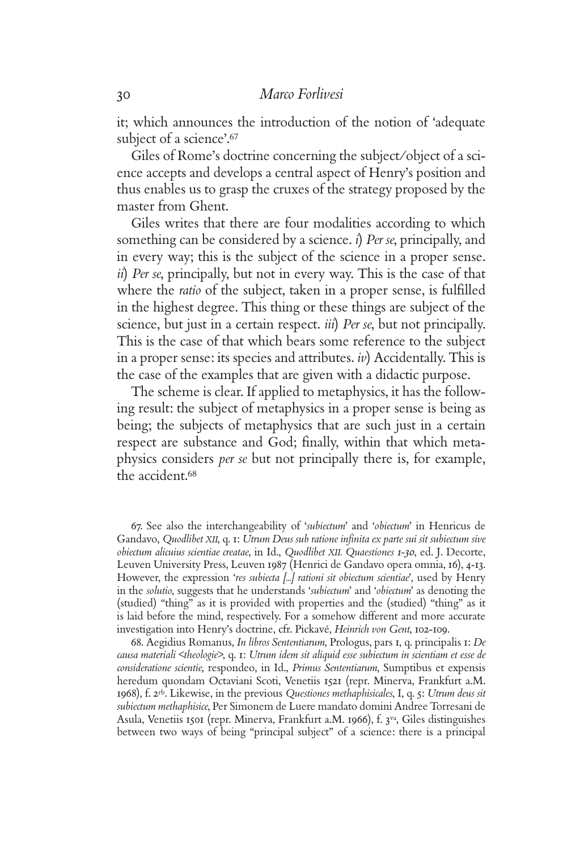it; which announces the introduction of the notion of 'adequate subject of a science'.<sup>67</sup>

Giles of Rome's doctrine concerning the subject/object of a science accepts and develops a central aspect of Henry's position and thus enables us to grasp the cruxes of the strategy proposed by the master from Ghent.

Giles writes that there are four modalities according to which something can be considered by a science. *i*) *Per se*, principally, and in every way; this is the subject of the science in a proper sense. *ii*) *Per se*, principally, but not in every way. This is the case of that where the *ratio* of the subject, taken in a proper sense, is fulfilled in the highest degree. This thing or these things are subject of the science, but just in a certain respect. *iii*) *Per se*, but not principally. This is the case of that which bears some reference to the subject in a proper sense: its species and attributes. *iv*) Accidentally. This is the case of the examples that are given with a didactic purpose.

The scheme is clear. If applied to metaphysics, it has the following result: the subject of metaphysics in a proper sense is being as being; the subjects of metaphysics that are such just in a certain respect are substance and God; finally, within that which metaphysics considers *per se* but not principally there is, for example, the accident.<sup>68</sup>

67. See also the interchangeability of '*subiectum*' and '*obiectum*' in Henricus de Gandavo, Quodlibet XII, q. 1: Utrum Deus sub ratione infinita ex parte sui sit subiectum sive *obiectum alicuius scientiae creatae*, in Id., *Quodlibet XII. Quaestiones 1-30*, ed. J. Decorte, Leuven University Press, Leuven 1987 (Henrici de Gandavo opera omnia, 16), 4-13. However, the expression '*res subiecta [...] rationi sit obiectum scientiae*', used by Henry in the *solutio*, suggests that he understands '*subiectum*' and '*obiectum*' as denoting the (studied) "thing" as it is provided with properties and the (studied) "thing" as it is laid before the mind, respectively. For a somehow different and more accurate investigation into Henry's doctrine, cfr. Pickavé, *Heinrich von Gent*, 102-109.

68. Aegidius Romanus, *In libros Sententiarum*, Prologus, pars 1, q. principalis 1: *De causa materiali <theologie>*, q. 1: *Utrum idem sit aliquid esse subiectum in scientiam et esse de consideratione scientie*, respondeo, in Id., *Primus Sententiarum*, Sumptibus et expensis heredum quondam Octaviani Scoti, Venetiis 1521 (repr. Minerva, Frankfurt a.M. 1968), f. 2rb. Likewise, in the previous *Questiones methaphisicales*, I, q. 5: *Utrum deus sit subiectum methaphisice*, Per Simonem de Luere mandato domini Andree Torresani de Asula, Venetiis 1501 (repr. Minerva, Frankfurt a.M. 1966), f. 3va, Giles distinguishes between two ways of being "principal subject" of a science: there is a principal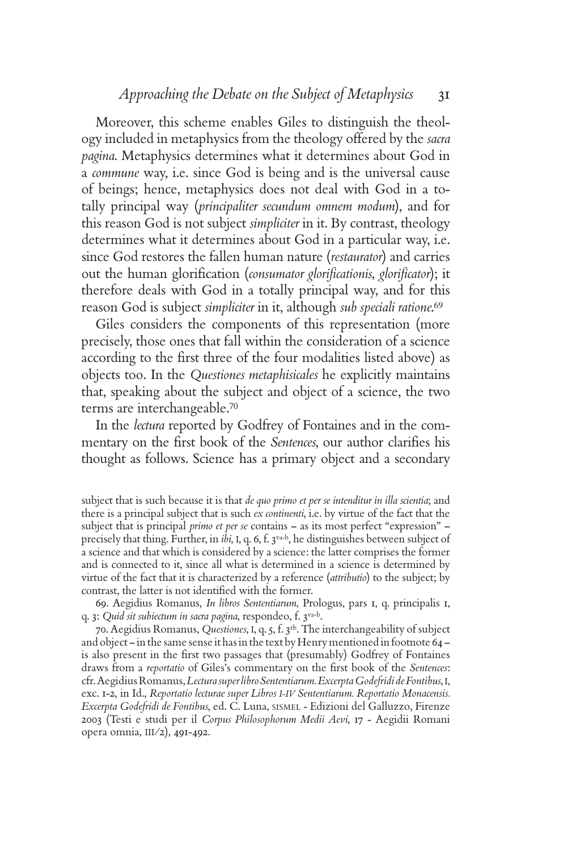Moreover, this scheme enables Giles to distinguish the theology included in metaphysics from the theology offered by the *sacra pagina*. Metaphysics determines what it determines about God in a *commune* way, i.e. since God is being and is the universal cause of beings; hence, metaphysics does not deal with God in a totally principal way (*principaliter secundum omnem modum*), and for this reason God is not subject *simpliciter* in it. By contrast, theology determines what it determines about God in a particular way, i.e. since God restores the fallen human nature (*restaurator*) and carries out the human glorification *(consumator glorificationis, glorificator)*; it therefore deals with God in a totally principal way, and for this reason God is subject *simpliciter* in it, although *sub speciali ratione*. 69

Giles considers the components of this representation (more precisely, those ones that fall within the consideration of a science according to the first three of the four modalities listed above) as objects too. In the *Questiones metaphisicales* he explicitly maintains that, speaking about the subject and object of a science, the two terms are interchangeable.<sup>70</sup>

In the *lectura* reported by Godfrey of Fontaines and in the commentary on the first book of the *Sentences*, our author clarifies his thought as follows. Science has a primary object and a secondary

69. Aegidius Romanus, *In libros Sententiarum*, Prologus, pars 1, q. principalis 1, q. 3: *Quid sit subiectum in sacra pagina*, respondeo, f. 3va-b.

70. Aegidius Romanus, *Questiones*, I, q. 5, f. 3rb. The interchangeability of subject and object – in the same sense it has in the text by Henry mentioned in footnote 64 – is also present in the first two passages that (presumably) Godfrey of Fontaines draws from a *reportatio* of Giles's commentary on the first book of the *Sentences*: cfr. Aegidius Romanus, *Lectura super libro Sententiarum. Excerpta Godefridi de Fontibus*, I, exc. 1-2, in Id., *Reportatio lecturae super Libros I-IV Sententiarum. Reportatio Monacensis. Excerpta Godefridi de Fontibus*, ed. C. Luna, SISMEL - Edizioni del Galluzzo, Firenze 2003 (Testi e studi per il *Corpus Philosophorum Medii Aevi*, 17 - Aegidii Romani opera omnia, III/2), 491-492.

subject that is such because it is that *de quo primo et per se intenditur in illa scientia*; and there is a principal subject that is such *ex continenti*, i.e. by virtue of the fact that the subject that is principal *primo et per se* contains – as its most perfect "expression" – precisely that thing. Further, in *ibi*, I, q. 6, f. 3va-b, he distinguishes between subject of a science and that which is considered by a science: the latter comprises the former and is connected to it, since all what is determined in a science is determined by virtue of the fact that it is characterized by a reference (*attributio*) to the subject; by contrast, the latter is not identified with the former.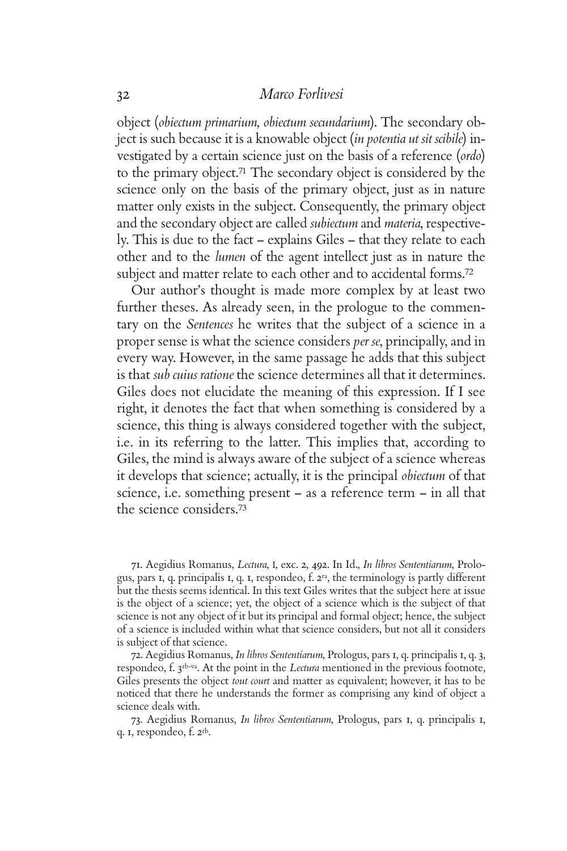object (*obiectum primarium*, *obiectum secundarium*). The secondary object is such because it is a knowable object (*in potentia ut sit scibile*) investigated by a certain science just on the basis of a reference (*ordo*) to the primary object.71 The secondary object is considered by the science only on the basis of the primary object, just as in nature matter only exists in the subject. Consequently, the primary object and the secondary object are called *subiectum* and *materia*, respectively. This is due to the fact – explains Giles – that they relate to each other and to the *lumen* of the agent intellect just as in nature the subject and matter relate to each other and to accidental forms.<sup>72</sup>

Our author's thought is made more complex by at least two further theses. As already seen, in the prologue to the commentary on the *Sentences* he writes that the subject of a science in a proper sense is what the science considers *per se*, principally, and in every way. However, in the same passage he adds that this subject is that *sub cuius ratione* the science determines all that it determines. Giles does not elucidate the meaning of this expression. If I see right, it denotes the fact that when something is considered by a science, this thing is always considered together with the subject, i.e. in its referring to the latter. This implies that, according to Giles, the mind is always aware of the subject of a science whereas it develops that science; actually, it is the principal *obiectum* of that science, i.e. something present – as a reference term – in all that the science considers.<sup>73</sup>

71. Aegidius Romanus, *Lectura*, I, exc. 2, 492. In Id., *In libros Sententiarum*, Prologus, pars 1, q. principalis 1, q. 1, respondeo, f. 2ra, the terminology is partly different but the thesis seems identical. In this text Giles writes that the subject here at issue is the object of a science; yet, the object of a science which is the subject of that science is not any object of it but its principal and formal object; hence, the subject of a science is included within what that science considers, but not all it considers is subject of that science.

72. Aegidius Romanus, *In libros Sententiarum*, Prologus, pars 1, q. principalis 1, q. 3, respondeo, f. 3rb-va. At the point in the *Lectura* mentioned in the previous footnote, Giles presents the object *tout court* and matter as equivalent; however, it has to be noticed that there he understands the former as comprising any kind of object a science deals with.

73. Aegidius Romanus, *In libros Sententiarum*, Prologus, pars 1, q. principalis 1, q. 1, respondeo, f. 2rb.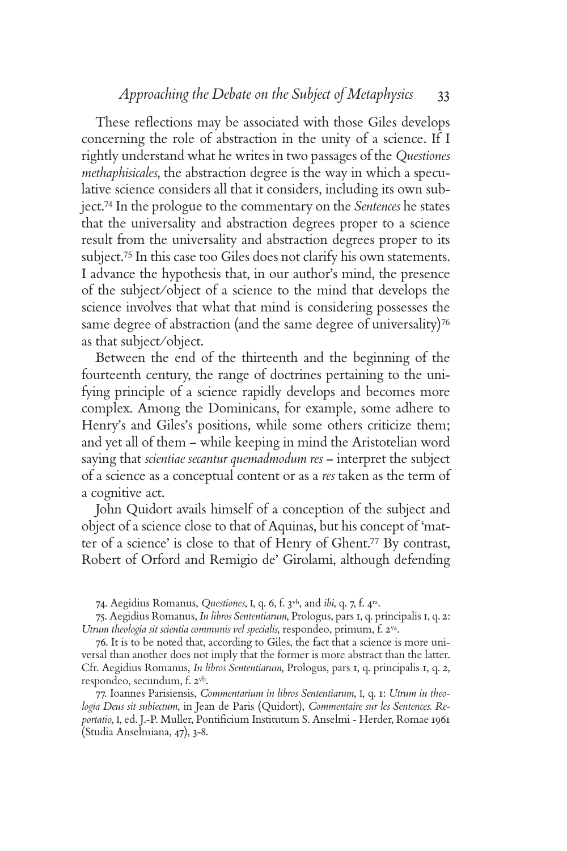These reflections may be associated with those Giles develops concerning the role of abstraction in the unity of a science. If I rightly understand what he writes in two passages of the *Questiones methaphisicales*, the abstraction degree is the way in which a speculative science considers all that it considers, including its own subject.74 In the prologue to the commentary on the *Sentences* he states that the universality and abstraction degrees proper to a science result from the universality and abstraction degrees proper to its subject.75 In this case too Giles does not clarify his own statements. I advance the hypothesis that, in our author's mind, the presence of the subject/object of a science to the mind that develops the science involves that what that mind is considering possesses the same degree of abstraction (and the same degree of universality)<sup>76</sup> as that subject/object.

Between the end of the thirteenth and the beginning of the fourteenth century, the range of doctrines pertaining to the unifying principle of a science rapidly develops and becomes more complex. Among the Dominicans, for example, some adhere to Henry's and Giles's positions, while some others criticize them; and yet all of them – while keeping in mind the Aristotelian word saying that *scientiae secantur quemadmodum res* – interpret the subject of a science as a conceptual content or as a *res* taken as the term of a cognitive act.

John Quidort avails himself of a conception of the subject and object of a science close to that of Aquinas, but his concept of 'matter of a science' is close to that of Henry of Ghent.77 By contrast, Robert of Orford and Remigio de' Girolami, although defending

74. Aegidius Romanus, *Questiones*, I, q. 6, f. 3vb, and *ibi*, q. 7, f. 4ra.

75. Aegidius Romanus, *In libros Sententiarum*, Prologus, pars 1, q. principalis 1, q. 2: *Utrum theologia sit scientia communis vel specialis*, respondeo, primum, f. 2va.

76. It is to be noted that, according to Giles, the fact that a science is more universal than another does not imply that the former is more abstract than the latter. Cfr. Aegidius Romanus, *In libros Sententiarum*, Prologus, pars 1, q. principalis 1, q. 2, respondeo, secundum, f. 2vb.

77. Ioannes Parisiensis, *Commentarium in libros Sententiarum*, I, q. 1: *Utrum in theologia Deus sit subiectum*, in Jean de Paris (Quidort), *Commentaire sur les Sentences. Re*portatio, I, ed. J.-P. Muller, Pontificium Institutum S. Anselmi - Herder, Romae 1961 (Studia Anselmiana, 47), 3-8.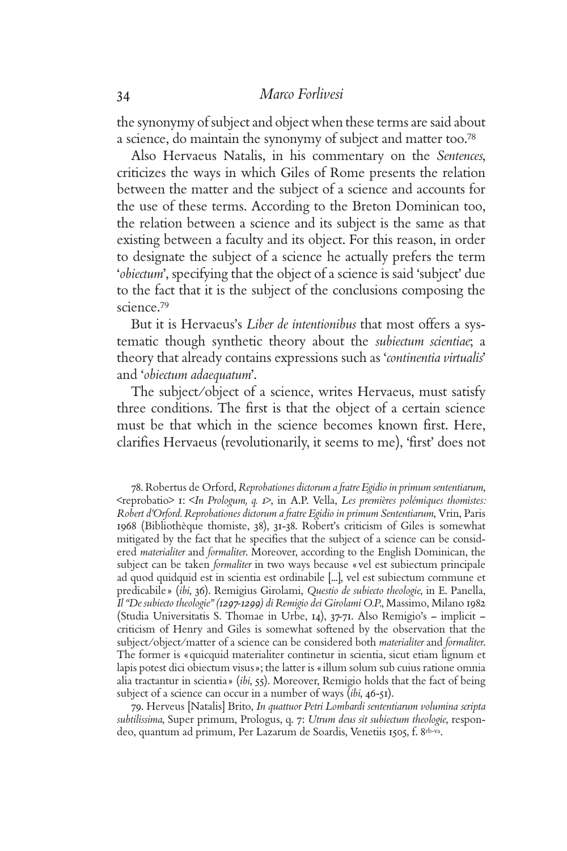the synonymy of subject and object when these terms are said about a science, do maintain the synonymy of subject and matter too.<sup>78</sup>

Also Hervaeus Natalis, in his commentary on the *Sentences*, criticizes the ways in which Giles of Rome presents the relation between the matter and the subject of a science and accounts for the use of these terms. According to the Breton Dominican too, the relation between a science and its subject is the same as that existing between a faculty and its object. For this reason, in order to designate the subject of a science he actually prefers the term '*obiectum*', specifying that the object of a science is said 'subject' due to the fact that it is the subject of the conclusions composing the science.<sup>79</sup>

But it is Hervaeus's *Liber de intentionibus* that most offers a systematic though synthetic theory about the *subiectum scientiae*; a theory that already contains expressions such as '*continentia virtualis*' and '*obiectum adaequatum*'.

The subject/object of a science, writes Hervaeus, must satisfy three conditions. The first is that the object of a certain science must be that which in the science becomes known first. Here, clarifies Hervaeus (revolutionarily, it seems to me), 'first' does not

78. Robertus de Orford, *Reprobationes dictorum a fratre Egidio in primum sententiarum*, <reprobatio> 1: <*In Prologum, q. 1*>, in A.P. Vella, *Les premières polémiques thomistes: Robert d'Orford. Reprobationes dictorum a fratre Egidio in primum Sententiarum*, Vrin, Paris 1968 (Bibliothèque thomiste, 38), 31-38. Robert's criticism of Giles is somewhat mitigated by the fact that he specifies that the subject of a science can be considered *materialiter* and *formaliter*. Moreover, according to the English Dominican, the subject can be taken *formaliter* in two ways because «vel est subiectum principale ad quod quidquid est in scientia est ordinabile [...], vel est subiectum commune et predicabile» (*ibi*, 36). Remigius Girolami, *Questio de subiecto theologie*, in E. Panella, *Il "De subiecto theologie" (1297-1299) di Remigio dei Girolami O.P.*, Massimo, Milano 1982 (Studia Universitatis S. Thomae in Urbe, 14), 37-71. Also Remigio's – implicit – criticism of Henry and Giles is somewhat softened by the observation that the subject/object/matter of a science can be considered both *materialiter* and *formaliter*. The former is «quicquid materialiter continetur in scientia, sicut etiam lignum et lapis potest dici obiectum visus»; the latter is «illum solum sub cuius ratione omnia alia tractantur in scientia» (*ibi*, 55). Moreover, Remigio holds that the fact of being subject of a science can occur in a number of ways (*ibi*, 46-51).

79. Herveus [Natalis] Brito, *In quattuor Petri Lombardi sententiarum volumina scripta subtilissima*, Super primum, Prologus, q. 7: *Utrum deus sit subiectum theologie*, respondeo, quantum ad primum, Per Lazarum de Soardis, Venetiis 1505, f. 8rb-va.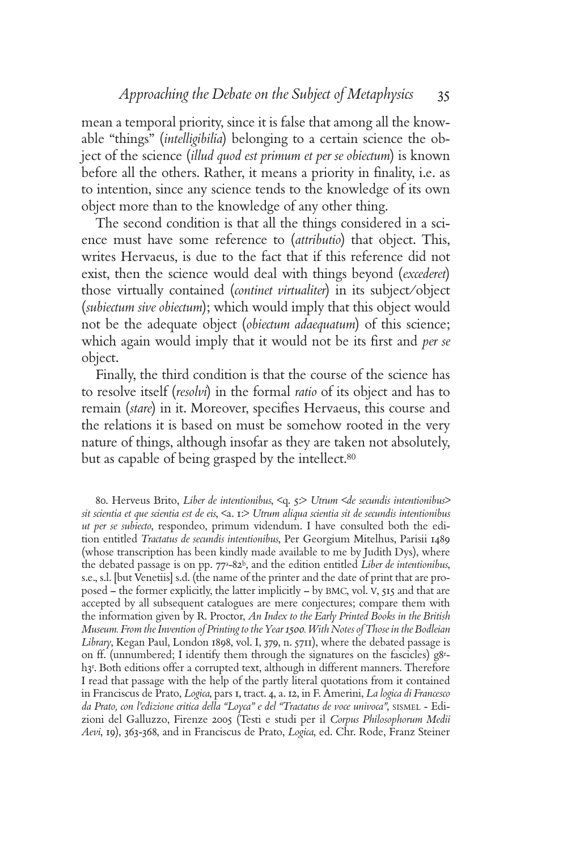mean a temporal priority, since it is false that among all the knowable "things" (*intelligibilia*) belonging to a certain science the object of the science (*illud quod est primum et per se obiectum*) is known before all the others. Rather, it means a priority in finality, i.e. as to intention, since any science tends to the knowledge of its own object more than to the knowledge of any other thing.

The second condition is that all the things considered in a science must have some reference to (*attributio*) that object. This, writes Hervaeus, is due to the fact that if this reference did not exist, then the science would deal with things beyond (*excederet*) those virtually contained (*continet virtualiter*) in its subject/object (*subiectum sive obiectum*); which would imply that this object would not be the adequate object (*obiectum adaequatum*) of this science; which again would imply that it would not be its first and *per se* object.

Finally, the third condition is that the course of the science has to resolve itself (*resolvi*) in the formal *ratio* of its object and has to remain (*stare*) in it. Moreover, specifies Hervaeus, this course and the relations it is based on must be somehow rooted in the very nature of things, although insofar as they are taken not absolutely, but as capable of being grasped by the intellect.<sup>80</sup>

80. Herveus Brito, *Liber de intentionibus*, <q. 5:> *Utrum <de secundis intentionibus> sit scientia et que scientia est de eis*, <a. 1:> *Utrum aliqua scientia sit de secundis intentionibus ut per se subiecto*, respondeo, primum videndum. I have consulted both the edition entitled *Tractatus de secundis intentionibus*, Per Georgium Mitelhus, Parisii 1489 (whose transcription has been kindly made available to me by Judith Dys), where the debated passage is on pp. 77a-82b, and the edition entitled *Liber de intentionibus*, s.e., s.l. [but Venetiis] s.d. (the name of the printer and the date of print that are proposed – the former explicitly, the latter implicitly – by BMC, vol. V, 515 and that are accepted by all subsequent catalogues are mere conjectures; compare them with the information given by R. Proctor, *An Index to the Early Printed Books in the British Museum. From the Invention of Printing to the Year 1500. With Notes of Those in the Bodleian Library*, Kegan Paul, London 1898, vol. I, 379, n. 5711), where the debated passage is on ff. (unnumbered; I identify them through the signatures on the fascicles) g8r h3r . Both editions offer a corrupted text, although in different manners. Therefore I read that passage with the help of the partly literal quotations from it contained in Franciscus de Prato, *Logica*, pars 1, tract. 4, a. 12, in F. Amerini, *La logica di Francesco da Prato, con l'edizione critica della "Loyca" e del "Tractatus de voce univoca"*, SISMEL - Edizioni del Galluzzo, Firenze 2005 (Testi e studi per il *Corpus Philosophorum Medii Aevi*, 19), 363-368, and in Franciscus de Prato, *Logica*, ed. Chr. Rode, Franz Steiner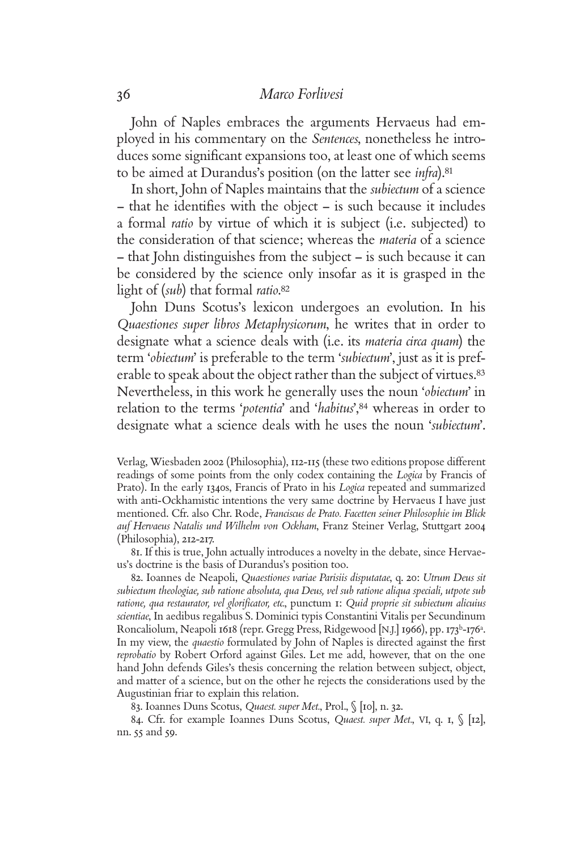John of Naples embraces the arguments Hervaeus had employed in his commentary on the *Sentences*, nonetheless he introduces some significant expansions too, at least one of which seems to be aimed at Durandus's position (on the latter see *infra*).<sup>81</sup>

In short, John of Naples maintains that the *subiectum* of a science – that he identifies with the object – is such because it includes a formal *ratio* by virtue of which it is subject (i.e. subjected) to the consideration of that science; whereas the *materia* of a science – that John distinguishes from the subject – is such because it can be considered by the science only insofar as it is grasped in the light of (*sub*) that formal *ratio*. 82

John Duns Scotus's lexicon undergoes an evolution. In his *Quaestiones super libros Metaphysicorum*, he writes that in order to designate what a science deals with (i.e. its *materia circa quam*) the term '*obiectum*' is preferable to the term '*subiectum*', just as it is preferable to speak about the object rather than the subject of virtues.<sup>83</sup> Nevertheless, in this work he generally uses the noun '*obiectum*' in relation to the terms '*potentia*' and '*habitus*',84 whereas in order to designate what a science deals with he uses the noun '*subiectum*'.

Verlag, Wiesbaden 2002 (Philosophia), 112-115 (these two editions propose different readings of some points from the only codex containing the *Logica* by Francis of Prato). In the early 1340s, Francis of Prato in his *Logica* repeated and summarized with anti-Ockhamistic intentions the very same doctrine by Hervaeus I have just mentioned. Cfr. also Chr. Rode, *Franciscus de Prato. Facetten seiner Philosophie im Blick auf Hervaeus Natalis und Wilhelm von Ockham*, Franz Steiner Verlag, Stuttgart 2004 (Philosophia), 212-217.

81. If this is true, John actually introduces a novelty in the debate, since Hervaeus's doctrine is the basis of Durandus's position too.

82. Ioannes de Neapoli, *Quaestiones variae Parisiis disputatae*, q. 20: *Utrum Deus sit subiectum theologiae, sub ratione absoluta, qua Deus, vel sub ratione aliqua speciali, utpote sub ratione, qua restaurator, vel glorifi cator, etc.*, punctum 1: *Quid proprie sit subiectum alicuius scientiae*, In aedibus regalibus S. Dominici typis Constantini Vitalis per Secundinum Roncaliolum, Neapoli 1618 (repr. Gregg Press, Ridgewood [N.J.] 1966), pp. 173<sup>b</sup>-176<sup>a</sup>. In my view, the *quaestio* formulated by John of Naples is directed against the first *reprobatio* by Robert Orford against Giles. Let me add, however, that on the one hand John defends Giles's thesis concerning the relation between subject, object, and matter of a science, but on the other he rejects the considerations used by the Augustinian friar to explain this relation.

83. Ioannes Duns Scotus, *Quaest. super Met.*, Prol., § [10], n. 32.

84. Cfr. for example Ioannes Duns Scotus, *Quaest. super Met.*, VI, q. 1, § [12], nn. 55 and 59.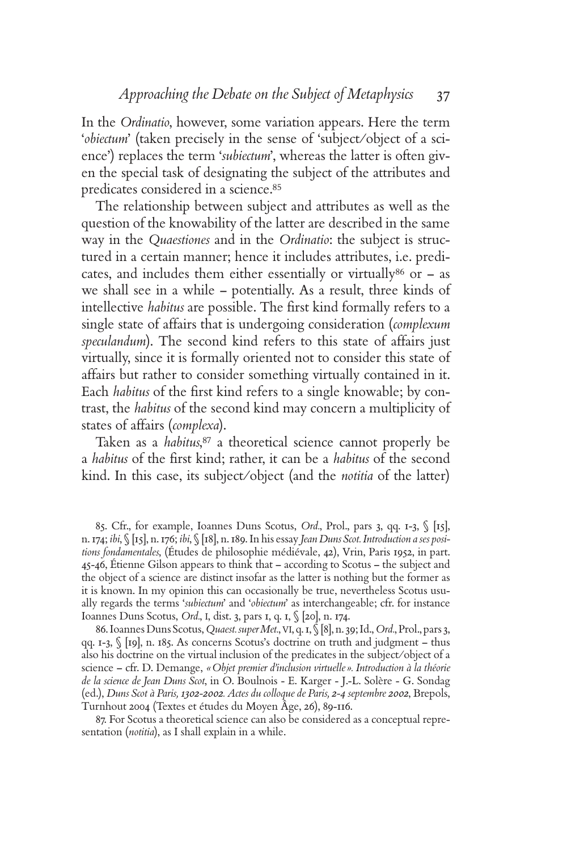In the *Ordinatio*, however, some variation appears. Here the term '*obiectum*' (taken precisely in the sense of 'subject/object of a science') replaces the term '*subiectum*', whereas the latter is often given the special task of designating the subject of the attributes and predicates considered in a science.<sup>85</sup>

The relationship between subject and attributes as well as the question of the knowability of the latter are described in the same way in the *Quaestiones* and in the *Ordinatio*: the subject is structured in a certain manner; hence it includes attributes, i.e. predicates, and includes them either essentially or virtually 86 or  $-$  as we shall see in a while – potentially. As a result, three kinds of intellective *habitus* are possible. The first kind formally refers to a single state of affairs that is undergoing consideration (*complexum speculandum*). The second kind refers to this state of affairs just virtually, since it is formally oriented not to consider this state of affairs but rather to consider something virtually contained in it. Each *habitus* of the first kind refers to a single knowable; by contrast, the *habitus* of the second kind may concern a multiplicity of states of affairs (*complexa*).

Taken as a *habitus*, <sup>87</sup> a theoretical science cannot properly be a *habitus* of the first kind; rather, it can be a *habitus* of the second kind. In this case, its subject/object (and the *notitia* of the latter)

85. Cfr., for example, Ioannes Duns Scotus, *Ord.*, Prol., pars 3, qq. 1-3, § [15], n. 174; *ibi*, § [15], n. 176; *ibi*, § [18], n. 189. In his essay *Jean Duns Scot. Introduction a ses positions fondamentales*, (Études de philosophie médiévale, 42), Vrin, Paris 1952, in part. 45-46, Étienne Gilson appears to think that – according to Scotus – the subject and the object of a science are distinct insofar as the latter is nothing but the former as it is known. In my opinion this can occasionally be true, nevertheless Scotus usually regards the terms '*subiectum*' and '*obiectum*' as interchangeable; cfr. for instance Ioannes Duns Scotus, *Ord.*, I, dist. 3, pars 1, q. 1, § [20], n. 174.

86. Ioannes Duns Scotus, *Quaest. super Met.*, VI, q. 1, § [8], n. 39; Id., *Ord.*, Prol., pars 3, qq. 1-3, § [19], n. 185. As concerns Scotus's doctrine on truth and judgment – thus also his doctrine on the virtual inclusion of the predicates in the subject/object of a science – cfr. D. Demange, *«Objet premier d'inclusion virtuelle». Introduction à la théorie de la science de Jean Duns Scot*, in O. Boulnois - E. Karger - J.-L. Solère - G. Sondag (ed.), *Duns Scot à Paris, 1302-2002. Actes du colloque de Paris, 2-4 septembre 2002*, Brepols, Turnhout 2004 (Textes et études du Moyen Âge, 26), 89-116.

87. For Scotus a theoretical science can also be considered as a conceptual representation (*notitia*), as I shall explain in a while.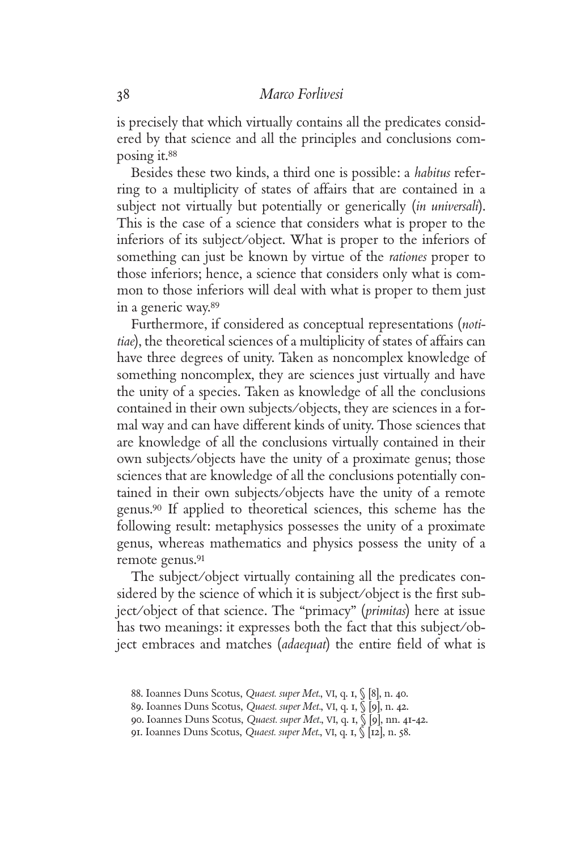is precisely that which virtually contains all the predicates considered by that science and all the principles and conclusions composing it.<sup>88</sup>

Besides these two kinds, a third one is possible: a *habitus* referring to a multiplicity of states of affairs that are contained in a subject not virtually but potentially or generically (*in universali*). This is the case of a science that considers what is proper to the inferiors of its subject/object. What is proper to the inferiors of something can just be known by virtue of the *rationes* proper to those inferiors; hence, a science that considers only what is common to those inferiors will deal with what is proper to them just in a generic way.<sup>89</sup>

Furthermore, if considered as conceptual representations (*notitiae*), the theoretical sciences of a multiplicity of states of affairs can have three degrees of unity. Taken as noncomplex knowledge of something noncomplex, they are sciences just virtually and have the unity of a species. Taken as knowledge of all the conclusions contained in their own subjects/objects, they are sciences in a formal way and can have different kinds of unity. Those sciences that are knowledge of all the conclusions virtually contained in their own subjects/objects have the unity of a proximate genus; those sciences that are knowledge of all the conclusions potentially contained in their own subjects/objects have the unity of a remote genus.90 If applied to theoretical sciences, this scheme has the following result: metaphysics possesses the unity of a proximate genus, whereas mathematics and physics possess the unity of a remote genus.<sup>91</sup>

The subject/object virtually containing all the predicates considered by the science of which it is subject/object is the first subject/object of that science. The "primacy" (*primitas*) here at issue has two meanings: it expresses both the fact that this subject/object embraces and matches *(adaequat)* the entire field of what is

<sup>88.</sup> Ioannes Duns Scotus, *Quaest. super Met.*, VI, q. 1, § [8], n. 40.

<sup>89.</sup> Ioannes Duns Scotus, *Quaest. super Met.*, VI, q. 1, § [9], n. 42.

<sup>90.</sup> Ioannes Duns Scotus, *Quaest. super Met.*, VI, q. 1, § [9], nn. 41-42.

<sup>91.</sup> Ioannes Duns Scotus, *Quaest. super Met.*, VI, q. 1, § [12], n. 58.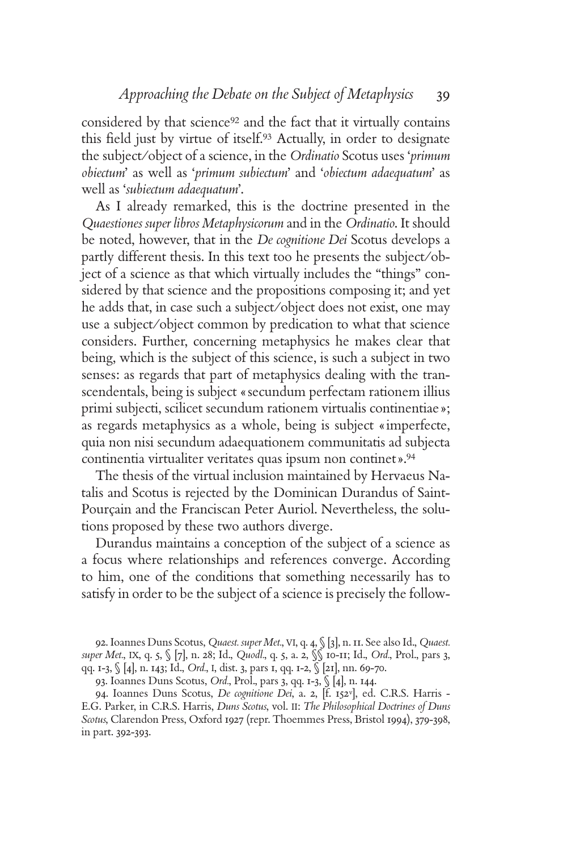considered by that science92 and the fact that it virtually contains this field just by virtue of itself.<sup>93</sup> Actually, in order to designate the subject/object of a science, in the *Ordinatio* Scotus uses '*primum obiectum*' as well as '*primum subiectum*' and '*obiectum adaequatum*' as well as '*subiectum adaequatum*'.

As I already remarked, this is the doctrine presented in the *Quaestiones super libros Metaphysicorum* and in the *Ordinatio*. It should be noted, however, that in the *De cognitione Dei* Scotus develops a partly different thesis. In this text too he presents the subject/object of a science as that which virtually includes the "things" considered by that science and the propositions composing it; and yet he adds that, in case such a subject/object does not exist, one may use a subject/object common by predication to what that science considers. Further, concerning metaphysics he makes clear that being, which is the subject of this science, is such a subject in two senses: as regards that part of metaphysics dealing with the transcendentals, being is subject «secundum perfectam rationem illius primi subjecti, scilicet secundum rationem virtualis continentiae»; as regards metaphysics as a whole, being is subject «imperfecte, quia non nisi secundum adaequationem communitatis ad subjecta continentia virtualiter veritates quas ipsum non continet».<sup>94</sup>

The thesis of the virtual inclusion maintained by Hervaeus Natalis and Scotus is rejected by the Dominican Durandus of Saint-Pourçain and the Franciscan Peter Auriol. Nevertheless, the solutions proposed by these two authors diverge.

Durandus maintains a conception of the subject of a science as a focus where relationships and references converge. According to him, one of the conditions that something necessarily has to satisfy in order to be the subject of a science is precisely the follow-

92. Ioannes Duns Scotus, *Quaest. super Met.*, VI, q. 4, § [3], n. 11. See also Id., *Quaest. super Met.*, IX, q. 5, § [7], n. 28; Id., *Quodl.*, q. 5, a. 2, §§ 10-11; Id., *Ord.*, Prol., pars 3, qq. 1-3, § [4], n. 143; Id., *Ord.*, I, dist. 3, pars 1, qq. 1-2, § [21], nn. 69-70.

94. Ioannes Duns Scotus, *De cognitione Dei*, a. 2, [f. 152v], ed. C.R.S. Harris - E.G. Parker, in C.R.S. Harris, *Duns Scotus*, vol. II: *The Philosophical Doctrines of Duns Scotus*, Clarendon Press, Oxford 1927 (repr. Thoemmes Press, Bristol 1994), 379-398, in part. 392-393.

<sup>93.</sup> Ioannes Duns Scotus, *Ord.*, Prol., pars 3, qq. 1-3, § [4], n. 144.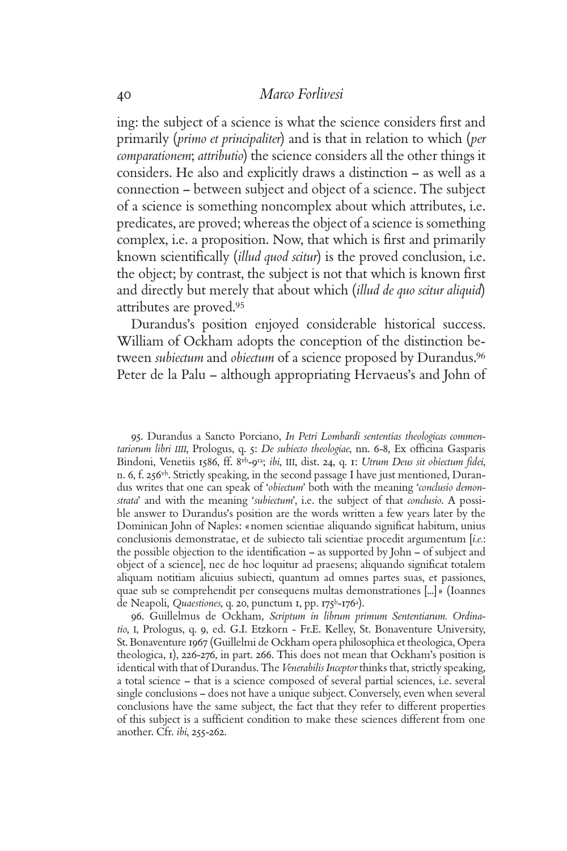ing: the subject of a science is what the science considers first and primarily (*primo et principaliter*) and is that in relation to which (*per comparationem*; *attributio*) the science considers all the other things it considers. He also and explicitly draws a distinction – as well as a connection – between subject and object of a science. The subject of a science is something noncomplex about which attributes, i.e. predicates, are proved; whereas the object of a science is something complex, i.e. a proposition. Now, that which is first and primarily known scientifically *(illud quod scitur)* is the proved conclusion, i.e. the object; by contrast, the subject is not that which is known first and directly but merely that about which (*illud de quo scitur aliquid*) attributes are proved.<sup>95</sup>

Durandus's position enjoyed considerable historical success. William of Ockham adopts the conception of the distinction between *subiectum* and *obiectum* of a science proposed by Durandus.<sup>96</sup> Peter de la Palu – although appropriating Hervaeus's and John of

95. Durandus a Sancto Porciano, *In Petri Lombardi sententias theologicas commentariorum libri IIII*, Prologus, q. 5: *De subiecto theologiae*, nn. 6-8, Ex officina Gasparis Bindoni, Venetiis 1586, ff. 8vb-9ra; *ibi*, III, dist. 24, q. 1: *Utrum Deus sit obiectum fi dei*, n. 6, f. 256vb. Strictly speaking, in the second passage I have just mentioned, Durandus writes that one can speak of '*obiectum*' both with the meaning '*conclusio demonstrata*' and with the meaning '*subiectum*', i.e. the subject of that *conclusio*. A possible answer to Durandus's position are the words written a few years later by the Dominican John of Naples: «nomen scientiae aliquando significat habitum, unius conclusionis demonstratae, et de subiecto tali scientiae procedit argumentum [*i.e.*: the possible objection to the identification – as supported by  $John - of subject$  and object of a science], nec de hoc loquitur ad praesens; aliquando significat totalem aliquam notitiam alicuius subiecti, quantum ad omnes partes suas, et passiones, quae sub se comprehendit per consequens multas demonstrationes [...]» (Ioannes de Neapoli, *Quaestiones*, q. 20, punctum 1, pp. 175b-176a).

96. Guillelmus de Ockham, *Scriptum in librum primum Sententiarum. Ordinatio*, I, Prologus, q. 9, ed. G.I. Etzkorn - Fr.E. Kelley, St. Bonaventure University, St. Bonaventure 1967 (Guillelmi de Ockham opera philosophica et theologica, Opera theologica, 1), 226-276, in part. 266. This does not mean that Ockham's position is identical with that of Durandus. The *Venerabilis Inceptor* thinks that, strictly speaking, a total science – that is a science composed of several partial sciences, i.e. several single conclusions – does not have a unique subject. Conversely, even when several conclusions have the same subject, the fact that they refer to different properties of this subject is a sufficient condition to make these sciences different from one another. Cfr. *ibi*, 255-262.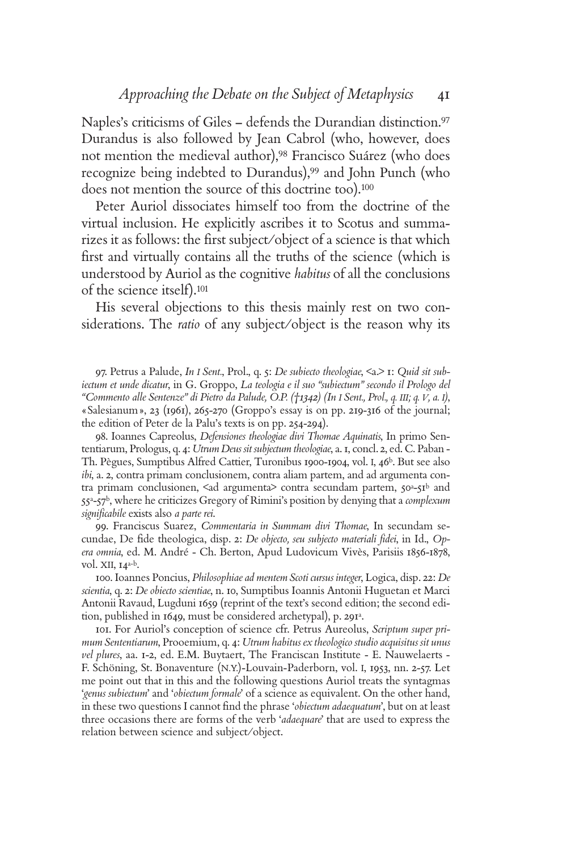Naples's criticisms of Giles - defends the Durandian distinction.<sup>97</sup> Durandus is also followed by Jean Cabrol (who, however, does not mention the medieval author),98 Francisco Suárez (who does recognize being indebted to Durandus),<sup>99</sup> and John Punch (who does not mention the source of this doctrine too).<sup>100</sup>

Peter Auriol dissociates himself too from the doctrine of the virtual inclusion. He explicitly ascribes it to Scotus and summarizes it as follows: the first subject/object of a science is that which first and virtually contains all the truths of the science (which is understood by Auriol as the cognitive *habitus* of all the conclusions of the science itself).<sup>101</sup>

His several objections to this thesis mainly rest on two considerations. The *ratio* of any subject/object is the reason why its

97. Petrus a Palude, *In I Sent.*, Prol., q. 5: *De subiecto theologiae*, <a.> 1: *Quid sit subiectum et unde dicatur*, in G. Groppo, *La teologia e il suo "subiectum" secondo il Prologo del "Commento alle Sentenze" di Pietro da Palude, O.P. (†1342) (In I Sent., Prol., q. III; q. V, a. I)*, «Salesianum», 23 (1961), 265-270 (Groppo's essay is on pp. 219-316 of the journal; the edition of Peter de la Palu's texts is on pp. 254-294).

98. Ioannes Capreolus, *Defensiones theologiae divi Thomae Aquinatis*, In primo Sententiarum, Prologus, q. 4: *Utrum Deus sit subjectum theologiae*, a. 1, concl. 2, ed. C. Paban - Th. Pègues, Sumptibus Alfred Cattier, Turonibus 1900-1904, vol. I, 46b. But see also *ibi*, a. 2, contra primam conclusionem, contra aliam partem, and ad argumenta contra primam conclusionen,  $\leq$ ad argumenta $\geq$  contra secundam partem,  $50^a$ - $51^b$  and 55a-57b, where he criticizes Gregory of Rimini's position by denying that a *complexum signifi cabile* exists also *a parte rei*.

99. Franciscus Suarez, *Commentaria in Summam divi Thomae*, In secundam secundae, De fide theologica, disp. 2: *De objecto, seu subjecto materiali fidei*, in Id., *Opera omnia*, ed. M. André - Ch. Berton, Apud Ludovicum Vivès, Parisiis 1856-1878, vol. XII, 14a-b.

100. Ioannes Poncius, *Philosophiae ad mentem Scoti cursus integer*, Logica, disp. 22: *De scientia*, q. 2: *De obiecto scientiae*, n. 10, Sumptibus Ioannis Antonii Huguetan et Marci Antonii Ravaud, Lugduni 1659 (reprint of the text's second edition; the second edition, published in 1649, must be considered archetypal), p. 291<sup>a</sup>.

101. For Auriol's conception of science cfr. Petrus Aureolus, *Scriptum super primum Sententiarum*, Prooemium, q. 4: *Utrum habitus ex theologico studio acquisitus sit unus vel plures*, aa. 1-2, ed. E.M. Buytaert, The Franciscan Institute - E. Nauwelaerts - F. Schöning, St. Bonaventure (N.Y.)-Louvain-Paderborn, vol. I, 1953, nn. 2-57. Let me point out that in this and the following questions Auriol treats the syntagmas '*genus subiectum*' and '*obiectum formale*' of a science as equivalent. On the other hand, in these two questions I cannot find the phrase '*obiectum adaequatum*', but on at least three occasions there are forms of the verb '*adaequare*' that are used to express the relation between science and subject/object.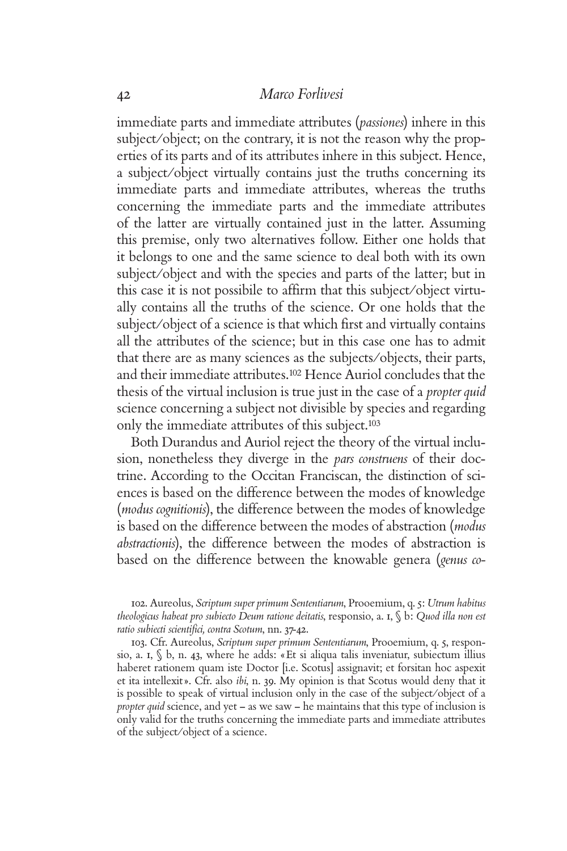immediate parts and immediate attributes (*passiones*) inhere in this subject/object; on the contrary, it is not the reason why the properties of its parts and of its attributes inhere in this subject. Hence, a subject/object virtually contains just the truths concerning its immediate parts and immediate attributes, whereas the truths concerning the immediate parts and the immediate attributes of the latter are virtually contained just in the latter. Assuming this premise, only two alternatives follow. Either one holds that it belongs to one and the same science to deal both with its own subject/object and with the species and parts of the latter; but in this case it is not possibile to affirm that this subject/object virtually contains all the truths of the science. Or one holds that the subject/object of a science is that which first and virtually contains all the attributes of the science; but in this case one has to admit that there are as many sciences as the subjects/objects, their parts, and their immediate attributes.102 Hence Auriol concludes that the thesis of the virtual inclusion is true just in the case of a *propter quid* science concerning a subject not divisible by species and regarding only the immediate attributes of this subject.<sup>103</sup>

Both Durandus and Auriol reject the theory of the virtual inclusion, nonetheless they diverge in the *pars construens* of their doctrine. According to the Occitan Franciscan, the distinction of sciences is based on the difference between the modes of knowledge (*modus cognitionis*), the difference between the modes of knowledge is based on the difference between the modes of abstraction (*modus abstractionis*), the difference between the modes of abstraction is based on the difference between the knowable genera (*genus co-*

103. Cfr. Aureolus, *Scriptum super primum Sententiarum*, Prooemium, q. 5, responsio, a. 1,  $\int$  b, n. 43, where he adds: «Et si aliqua talis inveniatur, subiectum illius haberet rationem quam iste Doctor [i.e. Scotus] assignavit; et forsitan hoc aspexit et ita intellexit». Cfr. also *ibi*, n. 39. My opinion is that Scotus would deny that it is possible to speak of virtual inclusion only in the case of the subject/object of a *propter quid* science, and yet – as we saw – he maintains that this type of inclusion is only valid for the truths concerning the immediate parts and immediate attributes of the subject/object of a science.

<sup>102.</sup> Aureolus, *Scriptum super primum Sententiarum*, Prooemium, q. 5: *Utrum habitus theologicus habeat pro subiecto Deum ratione deitatis*, responsio, a. 1, § b: *Quod illa non est*  ratio subiecti scientifici, contra Scotum, nn. 37-42.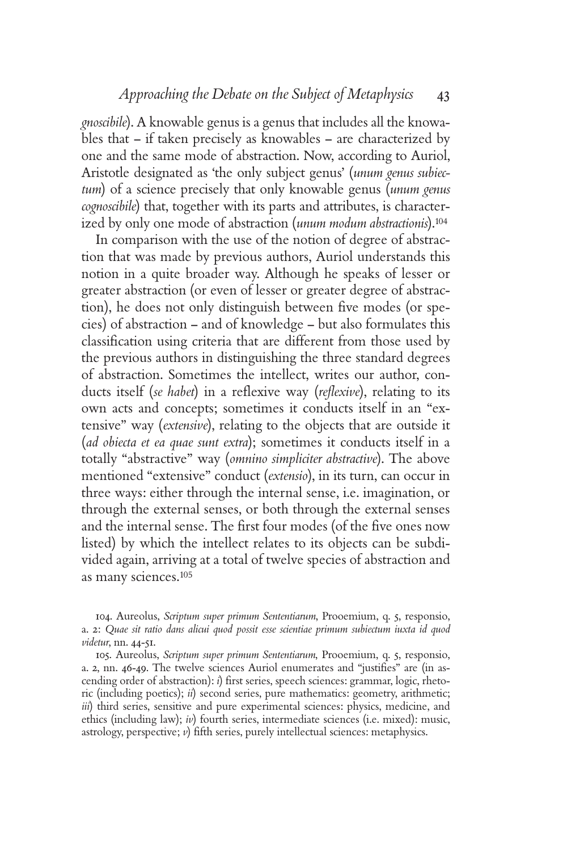*gnoscibile*). A knowable genus is a genus that includes all the knowables that – if taken precisely as knowables – are characterized by one and the same mode of abstraction. Now, according to Auriol, Aristotle designated as 'the only subject genus' (*unum genus subiectum*) of a science precisely that only knowable genus (*unum genus cognoscibile*) that, together with its parts and attributes, is characterized by only one mode of abstraction (*unum modum abstractionis*).<sup>104</sup>

In comparison with the use of the notion of degree of abstraction that was made by previous authors, Auriol understands this notion in a quite broader way. Although he speaks of lesser or greater abstraction (or even of lesser or greater degree of abstraction), he does not only distinguish between five modes (or species) of abstraction – and of knowledge – but also formulates this classification using criteria that are different from those used by the previous authors in distinguishing the three standard degrees of abstraction. Sometimes the intellect, writes our author, conducts itself (*se habet*) in a reflexive way (*reflexive*), relating to its own acts and concepts; sometimes it conducts itself in an "extensive" way (*extensive*), relating to the objects that are outside it (*ad obiecta et ea quae sunt extra*); sometimes it conducts itself in a totally "abstractive" way (*omnino simpliciter abstractive*). The above mentioned "extensive" conduct (*extensio*), in its turn, can occur in three ways: either through the internal sense, i.e. imagination, or through the external senses, or both through the external senses and the internal sense. The first four modes (of the five ones now listed) by which the intellect relates to its objects can be subdivided again, arriving at a total of twelve species of abstraction and as many sciences.<sup>105</sup>

104. Aureolus, *Scriptum super primum Sententiarum*, Prooemium, q. 5, responsio, a. 2: *Quae sit ratio dans alicui quod possit esse scientiae primum subiectum iuxta id quod videtur*, nn. 44-51.

105. Aureolus, *Scriptum super primum Sententiarum*, Prooemium, q. 5, responsio, a. 2, nn. 46-49. The twelve sciences Auriol enumerates and "justifies" are (in ascending order of abstraction): *i*) first series, speech sciences: grammar, logic, rhetoric (including poetics); *ii*) second series, pure mathematics: geometry, arithmetic; *iii*) third series, sensitive and pure experimental sciences: physics, medicine, and ethics (including law); *iv*) fourth series, intermediate sciences (i.e. mixed): music, astrology, perspective;  $\nu$ ) fifth series, purely intellectual sciences: metaphysics.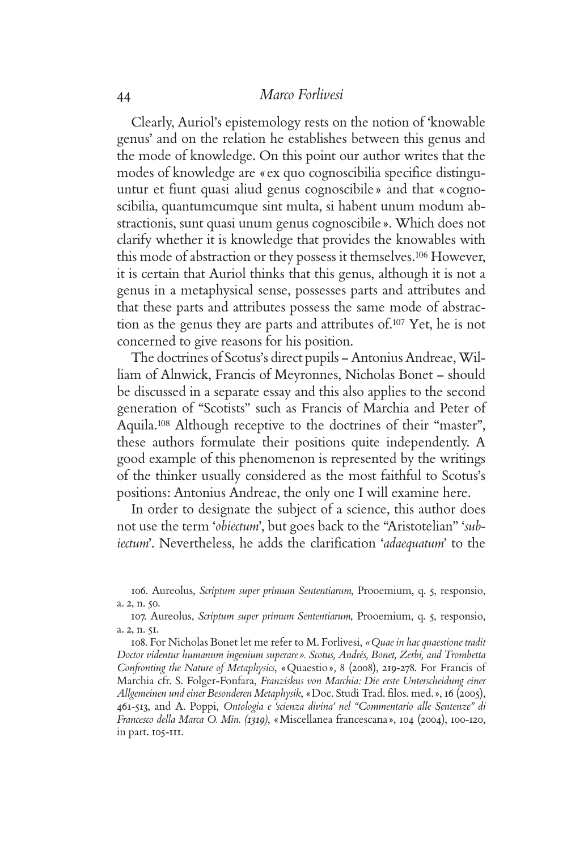Clearly, Auriol's epistemology rests on the notion of 'knowable genus' and on the relation he establishes between this genus and the mode of knowledge. On this point our author writes that the modes of knowledge are «ex quo cognoscibilia specifice distinguuntur et fiunt quasi aliud genus cognoscibile » and that «cognoscibilia, quantumcumque sint multa, si habent unum modum abstractionis, sunt quasi unum genus cognoscibile». Which does not clarify whether it is knowledge that provides the knowables with this mode of abstraction or they possess it themselves.106 However, it is certain that Auriol thinks that this genus, although it is not a genus in a metaphysical sense, possesses parts and attributes and that these parts and attributes possess the same mode of abstraction as the genus they are parts and attributes of.107 Yet, he is not concerned to give reasons for his position.

The doctrines of Scotus's direct pupils – Antonius Andreae, William of Alnwick, Francis of Meyronnes, Nicholas Bonet – should be discussed in a separate essay and this also applies to the second generation of "Scotists" such as Francis of Marchia and Peter of Aquila.108 Although receptive to the doctrines of their "master", these authors formulate their positions quite independently. A good example of this phenomenon is represented by the writings of the thinker usually considered as the most faithful to Scotus's positions: Antonius Andreae, the only one I will examine here.

In order to designate the subject of a science, this author does not use the term '*obiectum*', but goes back to the "Aristotelian" '*subiectum*'. Nevertheless, he adds the clarification 'adaequatum' to the

<sup>106.</sup> Aureolus, *Scriptum super primum Sententiarum*, Prooemium, q. 5, responsio, a. 2, n. 50.

<sup>107.</sup> Aureolus, *Scriptum super primum Sententiarum*, Prooemium, q. 5, responsio, a. 2, n. 51.

<sup>108.</sup> For Nicholas Bonet let me refer to M. Forlivesi, *«Quae in hac quaestione tradit Doctor videntur humanum ingenium superare». Scotus, Andrés, Bonet, Zerbi, and Trombetta Confronting the Nature of Metaphysics*, «Quaestio», 8 (2008), 219-278. For Francis of Marchia cfr. S. Folger-Fonfara, *Franziskus von Marchia: Die erste Unterscheidung einer*  Allgemeinen und einer Besonderen Metaphysik, «Doc. Studi Trad. filos. med. », 16 (2005), 461-513, and A. Poppi, *Ontologia e 'scienza divina' nel "Commentario alle Sentenze" di Francesco della Marca O. Min. (1319)*, «Miscellanea francescana», 104 (2004), 100-120, in part. 105-111.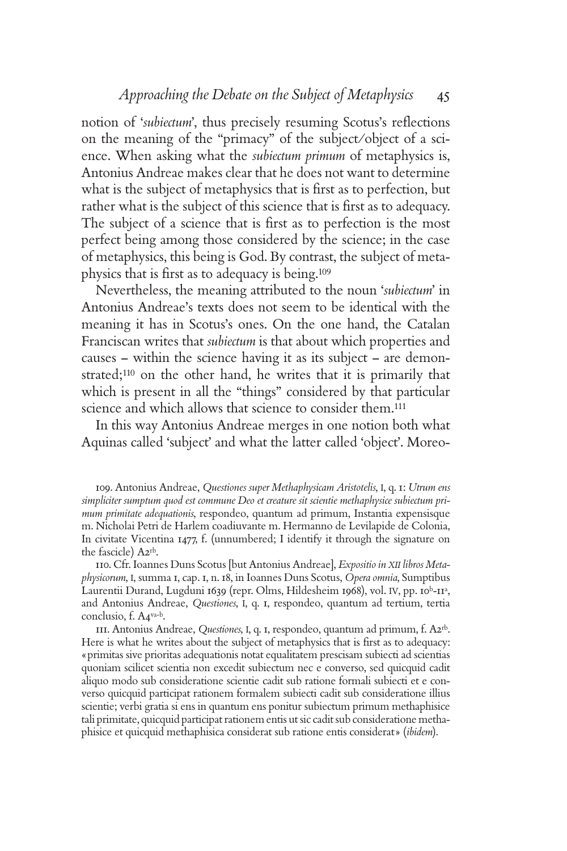notion of '*subiectum*', thus precisely resuming Scotus's reflections on the meaning of the "primacy" of the subject/object of a science. When asking what the *subiectum primum* of metaphysics is, Antonius Andreae makes clear that he does not want to determine what is the subject of metaphysics that is first as to perfection, but rather what is the subject of this science that is first as to adequacy. The subject of a science that is first as to perfection is the most perfect being among those considered by the science; in the case of metaphysics, this being is God. By contrast, the subject of metaphysics that is first as to adequacy is being.<sup>109</sup>

Nevertheless, the meaning attributed to the noun '*subiectum*' in Antonius Andreae's texts does not seem to be identical with the meaning it has in Scotus's ones. On the one hand, the Catalan Franciscan writes that *subiectum* is that about which properties and causes – within the science having it as its subject – are demonstrated;110 on the other hand, he writes that it is primarily that which is present in all the "things" considered by that particular science and which allows that science to consider them.<sup>111</sup>

In this way Antonius Andreae merges in one notion both what Aquinas called 'subject' and what the latter called 'object'. Moreo-

109. Antonius Andreae, *Questiones super Methaphysicam Aristotelis*, I, q. 1: *Utrum ens simpliciter sumptum quod est commune Deo et creature sit scientie methaphysice subiectum primum primitate adequationis*, respondeo, quantum ad primum, Instantia expensisque m. Nicholai Petri de Harlem coadiuvante m. Hermanno de Levilapide de Colonia, In civitate Vicentina 1477, f. (unnumbered; I identify it through the signature on the fascicle) A2rb.

110. Cfr. Ioannes Duns Scotus [but Antonius Andreae], *Expositio in XII libros Metaphysicorum*, I, summa 1, cap. 1, n. 18, in Ioannes Duns Scotus, *Opera omnia*, Sumptibus Laurentii Durand, Lugduni 1639 (repr. Olms, Hildesheim 1968), vol. IV, pp. 10<sup>b</sup>-11<sup>a</sup>, and Antonius Andreae, *Questiones*, I, q. 1, respondeo, quantum ad tertium, tertia conclusio, f. A4va-b.

111. Antonius Andreae, *Questiones*, I, q. 1, respondeo, quantum ad primum, f. A2rb. Here is what he writes about the subject of metaphysics that is first as to adequacy: «primitas sive prioritas adequationis notat equalitatem prescisam subiecti ad scientias quoniam scilicet scientia non excedit subiectum nec e converso, sed quicquid cadit aliquo modo sub consideratione scientie cadit sub ratione formali subiecti et e converso quicquid participat rationem formalem subiecti cadit sub consideratione illius scientie; verbi gratia si ens in quantum ens ponitur subiectum primum methaphisice tali primitate, quicquid participat rationem entis ut sic cadit sub consideratione methaphisice et quicquid methaphisica considerat sub ratione entis considerat» (*ibidem*).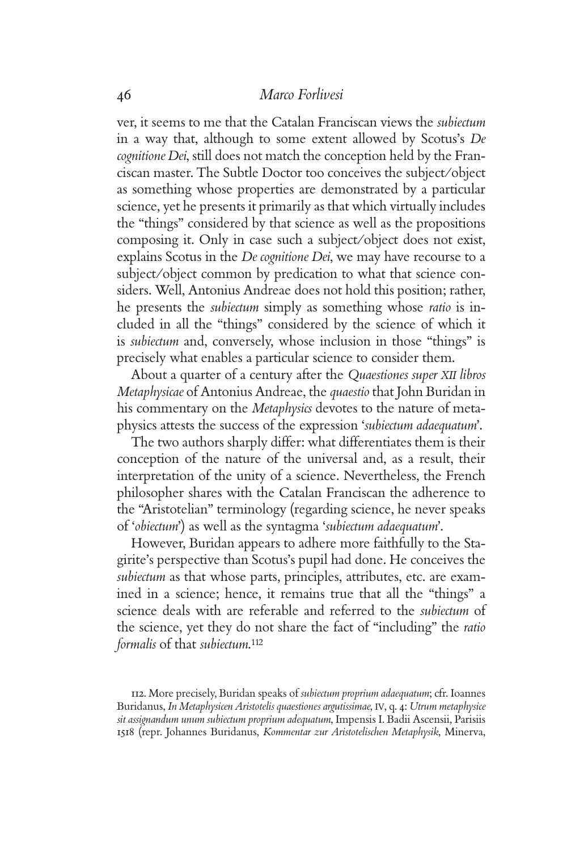ver, it seems to me that the Catalan Franciscan views the *subiectum* in a way that, although to some extent allowed by Scotus's *De cognitione Dei*, still does not match the conception held by the Franciscan master. The Subtle Doctor too conceives the subject/object as something whose properties are demonstrated by a particular science, yet he presents it primarily as that which virtually includes the "things" considered by that science as well as the propositions composing it. Only in case such a subject/object does not exist, explains Scotus in the *De cognitione Dei*, we may have recourse to a subject/object common by predication to what that science considers. Well, Antonius Andreae does not hold this position; rather, he presents the *subiectum* simply as something whose *ratio* is included in all the "things" considered by the science of which it is *subiectum* and, conversely, whose inclusion in those "things" is precisely what enables a particular science to consider them.

About a quarter of a century after the *Quaestiones super XII libros Metaphysicae* of Antonius Andreae, the *quaestio* that John Buridan in his commentary on the *Metaphysics* devotes to the nature of metaphysics attests the success of the expression '*subiectum adaequatum*'.

The two authors sharply differ: what differentiates them is their conception of the nature of the universal and, as a result, their interpretation of the unity of a science. Nevertheless, the French philosopher shares with the Catalan Franciscan the adherence to the "Aristotelian" terminology (regarding science, he never speaks of '*obiectum*') as well as the syntagma '*subiectum adaequatum*'.

However, Buridan appears to adhere more faithfully to the Stagirite's perspective than Scotus's pupil had done. He conceives the *subiectum* as that whose parts, principles, attributes, etc. are examined in a science; hence, it remains true that all the "things" a science deals with are referable and referred to the *subiectum* of the science, yet they do not share the fact of "including" the *ratio formalis* of that *subiectum*. 112

<sup>112.</sup> More precisely, Buridan speaks of *subiectum proprium adaequatum*; cfr. Ioannes Buridanus, *In Metaphysicen Aristotelis quaestiones argutissimae*, IV, q. 4: *Utrum metaphysice sit assignandum unum subiectum proprium adequatum*, Impensis I. Badii Ascensii, Parisiis 1518 (repr. Johannes Buridanus, *Kommentar zur Aristotelischen Metaphysik*, Minerva,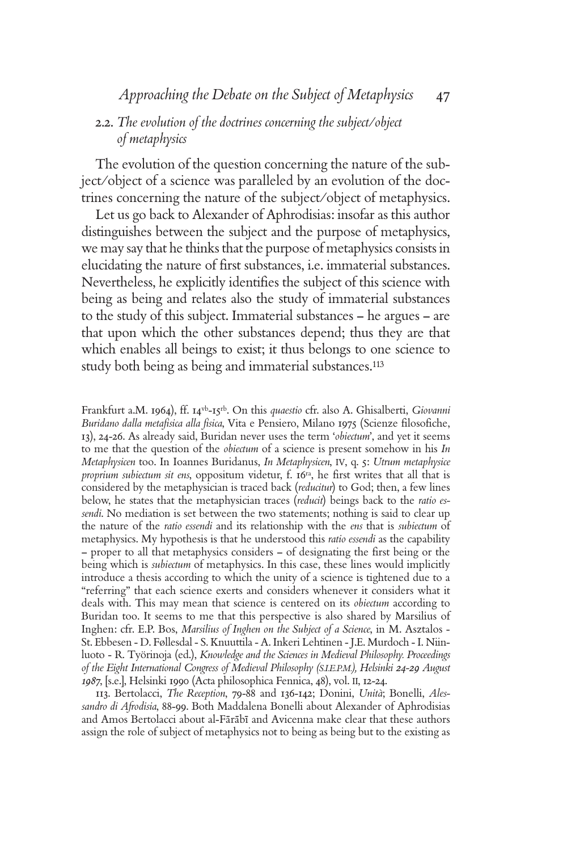# 2.2. *The evolution of the doctrines concerning the subject/object of metaphysics*

The evolution of the question concerning the nature of the subject/object of a science was paralleled by an evolution of the doctrines concerning the nature of the subject/object of metaphysics.

Let us go back to Alexander of Aphrodisias: insofar as this author distinguishes between the subject and the purpose of metaphysics, we may say that he thinks that the purpose of metaphysics consists in elucidating the nature of first substances, i.e. immaterial substances. Nevertheless, he explicitly identifies the subject of this science with being as being and relates also the study of immaterial substances to the study of this subject. Immaterial substances – he argues – are that upon which the other substances depend; thus they are that which enables all beings to exist; it thus belongs to one science to study both being as being and immaterial substances.<sup>113</sup>

Frankfurt a.M. 1964), ff. 14vb-15rb. On this *quaestio* cfr. also A. Ghisalberti, *Giovanni*  Buridano dalla metafisica alla fisica, Vita e Pensiero, Milano 1975 (Scienze filosofiche, 13), 24-26. As already said, Buridan never uses the term '*obiectum*', and yet it seems to me that the question of the *obiectum* of a science is present somehow in his *In Metaphysicen* too. In Ioannes Buridanus, *In Metaphysicen*, IV, q. 5: *Utrum metaphysice proprium subiectum sit ens*, oppositum videtur, f. 16<sup>ra</sup>, he first writes that all that is considered by the metaphysician is traced back (*reducitur*) to God; then, a few lines below, he states that the metaphysician traces (*reducit*) beings back to the *ratio essendi*. No mediation is set between the two statements; nothing is said to clear up the nature of the *ratio essendi* and its relationship with the *ens* that is *subiectum* of metaphysics. My hypothesis is that he understood this *ratio essendi* as the capability  $-$  proper to all that metaphysics considers  $-$  of designating the first being or the being which is *subiectum* of metaphysics. In this case, these lines would implicitly introduce a thesis according to which the unity of a science is tightened due to a "referring" that each science exerts and considers whenever it considers what it deals with. This may mean that science is centered on its *obiectum* according to Buridan too. It seems to me that this perspective is also shared by Marsilius of Inghen: cfr. E.P. Bos, *Marsilius of Inghen on the Subject of a Science*, in M. Asztalos - St. Ebbesen - D. Føllesdal - S. Knuuttila - A. Inkeri Lehtinen - J.E. Murdoch - I. Niinluoto - R. Työrinoja (ed.), *Knowledge and the Sciences in Medieval Philosophy. Proceedings of the Eight International Congress of Medieval Philosophy (S.I.E.P.M.), Helsinki 24-29 August 1987*, [s.e.], Helsinki 1990 (Acta philosophica Fennica, 48), vol. II, 12-24.

113. Bertolacci, *The Reception*, 79-88 and 136-142; Donini, *Unità*; Bonelli, *Alessandro di Afrodisia*, 88-99. Both Maddalena Bonelli about Alexander of Aphrodisias and Amos Bertolacci about al-Fārābī and Avicenna make clear that these authors assign the role of subject of metaphysics not to being as being but to the existing as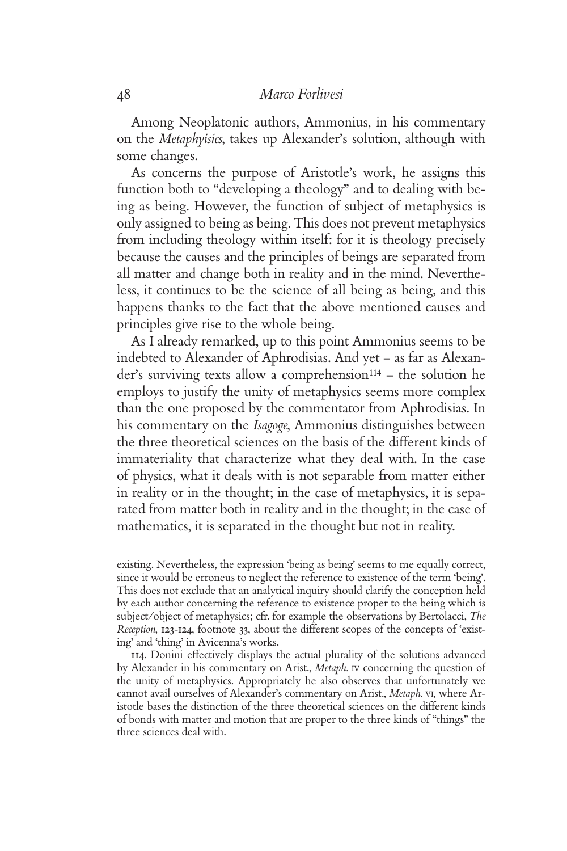Among Neoplatonic authors, Ammonius, in his commentary on the *Metaphyisics*, takes up Alexander's solution, although with some changes.

As concerns the purpose of Aristotle's work, he assigns this function both to "developing a theology" and to dealing with being as being. However, the function of subject of metaphysics is only assigned to being as being. This does not prevent metaphysics from including theology within itself: for it is theology precisely because the causes and the principles of beings are separated from all matter and change both in reality and in the mind. Nevertheless, it continues to be the science of all being as being, and this happens thanks to the fact that the above mentioned causes and principles give rise to the whole being.

As I already remarked, up to this point Ammonius seems to be indebted to Alexander of Aphrodisias. And yet – as far as Alexander's surviving texts allow a comprehension<sup>114</sup> – the solution he employs to justify the unity of metaphysics seems more complex than the one proposed by the commentator from Aphrodisias. In his commentary on the *Isagoge*, Ammonius distinguishes between the three theoretical sciences on the basis of the different kinds of immateriality that characterize what they deal with. In the case of physics, what it deals with is not separable from matter either in reality or in the thought; in the case of metaphysics, it is separated from matter both in reality and in the thought; in the case of mathematics, it is separated in the thought but not in reality.

existing. Nevertheless, the expression 'being as being' seems to me equally correct, since it would be erroneus to neglect the reference to existence of the term 'being'. This does not exclude that an analytical inquiry should clarify the conception held by each author concerning the reference to existence proper to the being which is subject/object of metaphysics; cfr. for example the observations by Bertolacci, *The Reception*, 123-124, footnote 33, about the different scopes of the concepts of 'existing' and 'thing' in Avicenna's works.

114. Donini effectively displays the actual plurality of the solutions advanced by Alexander in his commentary on Arist., *Metaph.* IV concerning the question of the unity of metaphysics. Appropriately he also observes that unfortunately we cannot avail ourselves of Alexander's commentary on Arist., *Metaph.* VI, where Aristotle bases the distinction of the three theoretical sciences on the different kinds of bonds with matter and motion that are proper to the three kinds of "things" the three sciences deal with.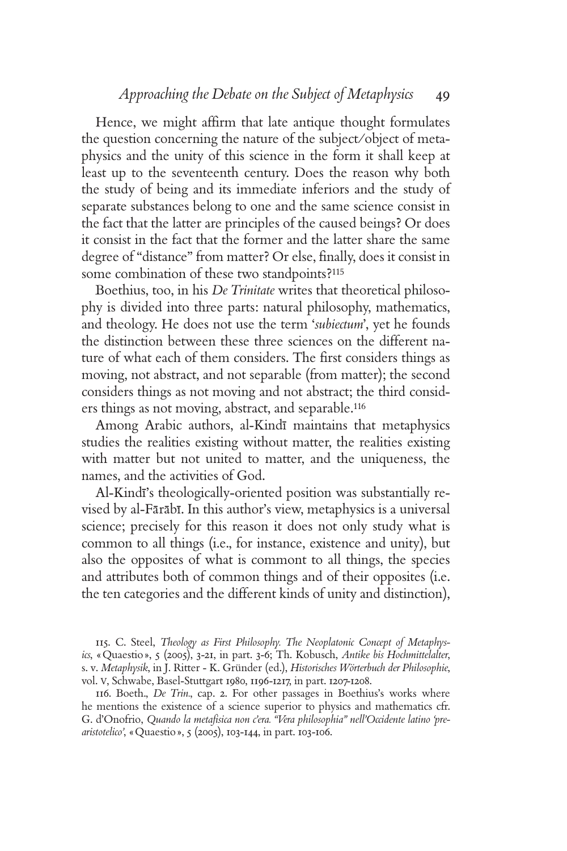Hence, we might affirm that late antique thought formulates the question concerning the nature of the subject/object of metaphysics and the unity of this science in the form it shall keep at least up to the seventeenth century. Does the reason why both the study of being and its immediate inferiors and the study of separate substances belong to one and the same science consist in the fact that the latter are principles of the caused beings? Or does it consist in the fact that the former and the latter share the same degree of "distance" from matter? Or else, finally, does it consist in some combination of these two standpoints?<sup>115</sup>

Boethius, too, in his *De Trinitate* writes that theoretical philosophy is divided into three parts: natural philosophy, mathematics, and theology. He does not use the term '*subiectum*', yet he founds the distinction between these three sciences on the different nature of what each of them considers. The first considers things as moving, not abstract, and not separable (from matter); the second considers things as not moving and not abstract; the third considers things as not moving, abstract, and separable.<sup>116</sup>

Among Arabic authors, al-Kindī-maintains that metaphysics studies the realities existing without matter, the realities existing with matter but not united to matter, and the uniqueness, the names, and the activities of God.

Al-Kindī's theologically-oriented position was substantially revised by al-Fārābī. In this author's view, metaphysics is a universal science; precisely for this reason it does not only study what is common to all things (i.e., for instance, existence and unity), but also the opposites of what is commont to all things, the species and attributes both of common things and of their opposites (i.e. the ten categories and the different kinds of unity and distinction),

115. C. Steel, *Theology as First Philosophy. The Neoplatonic Concept of Metaphysics*, «Quaestio», 5 (2005), 3-21, in part. 3-6; Th. Kobusch, *Antike bis Hochmittelalter*, s. v. *Metaphysik*, in J. Ritter - K. Gründer (ed.), *Historisches Wörterbuch der Philosophie*, vol. V, Schwabe, Basel-Stuttgart 1980, 1196-1217, in part. 1207-1208.

116. Boeth., *De Trin.*, cap. 2. For other passages in Boethius's works where he mentions the existence of a science superior to physics and mathematics cfr. G. d'Onofrio, Quando la metafisica non c'era. "Vera philosophia" nell'Occidente latino 'pre*aristotelico'*, «Quaestio», 5 (2005), 103-144, in part. 103-106.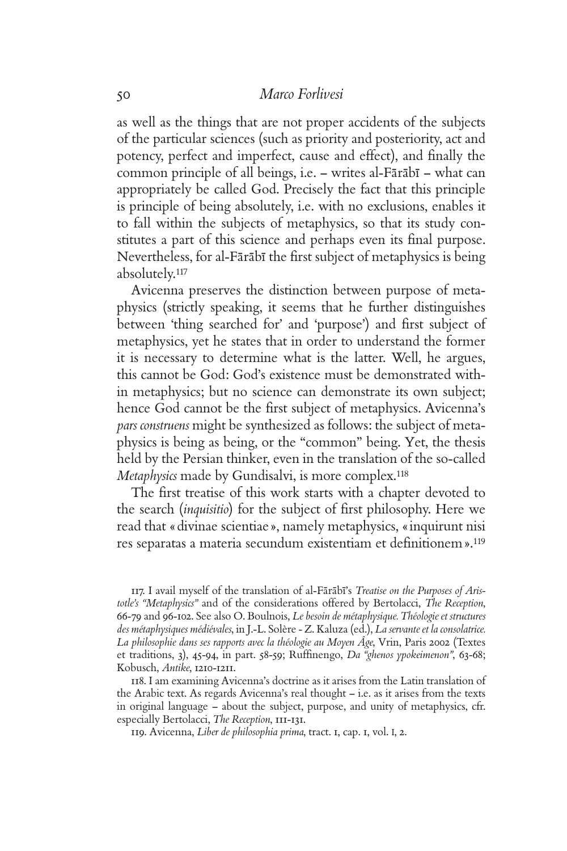as well as the things that are not proper accidents of the subjects of the particular sciences (such as priority and posteriority, act and potency, perfect and imperfect, cause and effect), and finally the common principle of all beings, i.e. – writes al-Fārābī – what can appropriately be called God. Precisely the fact that this principle is principle of being absolutely, i.e. with no exclusions, enables it to fall within the subjects of metaphysics, so that its study constitutes a part of this science and perhaps even its final purpose. Nevertheless, for al-Fārābī the first subject of metaphysics is being absolutely.<sup>117</sup>

Avicenna preserves the distinction between purpose of metaphysics (strictly speaking, it seems that he further distinguishes between 'thing searched for' and 'purpose') and first subject of metaphysics, yet he states that in order to understand the former it is necessary to determine what is the latter. Well, he argues, this cannot be God: God's existence must be demonstrated within metaphysics; but no science can demonstrate its own subject; hence God cannot be the first subject of metaphysics. Avicenna's *pars construens* might be synthesized as follows: the subject of metaphysics is being as being, or the "common" being. Yet, the thesis held by the Persian thinker, even in the translation of the so-called *Metaphysics* made by Gundisalvi, is more complex.<sup>118</sup>

The first treatise of this work starts with a chapter devoted to the search *(inquisitio)* for the subject of first philosophy. Here we read that «divinae scientiae», namely metaphysics, «inquirunt nisi res separatas a materia secundum existentiam et definitionem ».<sup>119</sup>

117. I avail myself of the translation of al-Fārābī's *Treatise on the Purposes of Aristotle's "Metaphysics"* and of the considerations offered by Bertolacci, *The Reception*, 66-79 and 96-102. See also O. Boulnois, *Le besoin de métaphysique. Théologie et structures des métaphysiques médiévales*, in J.-L. Solère - Z. Kaluza (ed.), *La servante et la consolatrice. La philosophie dans ses rapports avec la théologie au Moyen Âge*, Vrin, Paris 2002 (Textes et traditions, 3), 45-94, in part. 58-59; Ruffinengo, *Da "ghenos ypokeimenon"*, 63-68; Kobusch, *Antike*, 1210-1211.

118. I am examining Avicenna's doctrine as it arises from the Latin translation of the Arabic text. As regards Avicenna's real thought – i.e. as it arises from the texts in original language – about the subject, purpose, and unity of metaphysics, cfr. especially Bertolacci, *The Reception*, 111-131.

119. Avicenna, *Liber de philosophia prima*, tract. 1, cap. 1, vol. I, 2.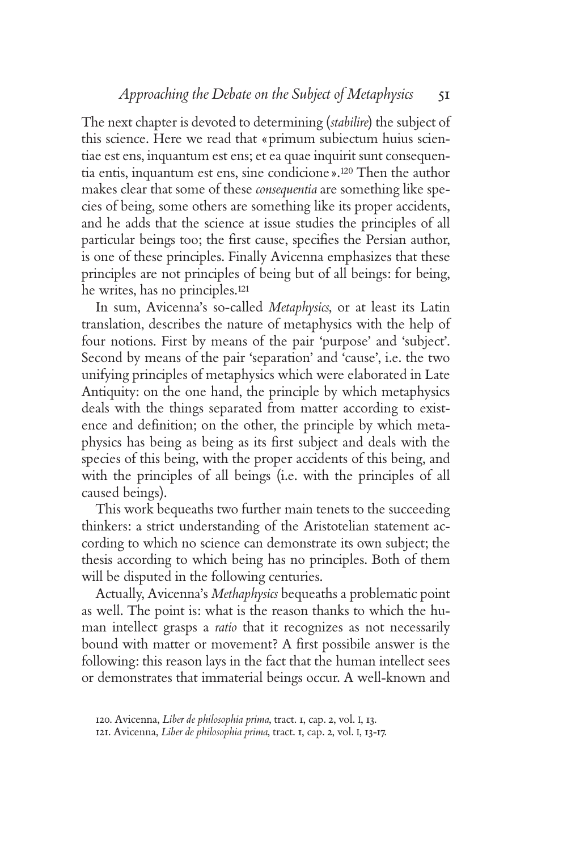The next chapter is devoted to determining (*stabilire*) the subject of this science. Here we read that «primum subiectum huius scientiae est ens, inquantum est ens; et ea quae inquirit sunt consequentia entis, inquantum est ens, sine condicione».120 Then the author makes clear that some of these *consequentia* are something like species of being, some others are something like its proper accidents, and he adds that the science at issue studies the principles of all particular beings too; the first cause, specifies the Persian author, is one of these principles. Finally Avicenna emphasizes that these principles are not principles of being but of all beings: for being, he writes, has no principles.<sup>121</sup>

In sum, Avicenna's so-called *Metaphysics*, or at least its Latin translation, describes the nature of metaphysics with the help of four notions. First by means of the pair 'purpose' and 'subject'. Second by means of the pair 'separation' and 'cause', i.e. the two unifying principles of metaphysics which were elaborated in Late Antiquity: on the one hand, the principle by which metaphysics deals with the things separated from matter according to existence and definition; on the other, the principle by which metaphysics has being as being as its first subject and deals with the species of this being, with the proper accidents of this being, and with the principles of all beings (i.e. with the principles of all caused beings).

This work bequeaths two further main tenets to the succeeding thinkers: a strict understanding of the Aristotelian statement according to which no science can demonstrate its own subject; the thesis according to which being has no principles. Both of them will be disputed in the following centuries.

Actually, Avicenna's *Methaphysics* bequeaths a problematic point as well. The point is: what is the reason thanks to which the human intellect grasps a *ratio* that it recognizes as not necessarily bound with matter or movement? A first possibile answer is the following: this reason lays in the fact that the human intellect sees or demonstrates that immaterial beings occur. A well-known and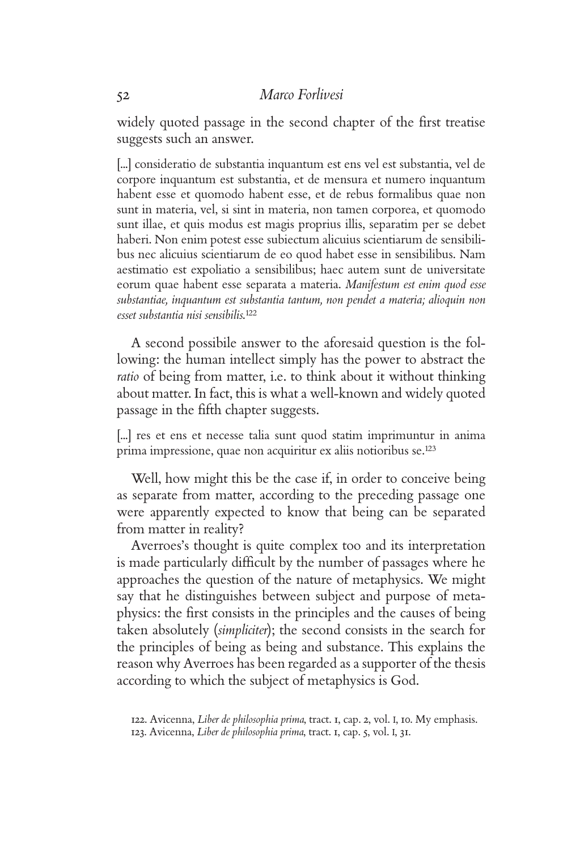widely quoted passage in the second chapter of the first treatise suggests such an answer.

[...] consideratio de substantia inquantum est ens vel est substantia, vel de corpore inquantum est substantia, et de mensura et numero inquantum habent esse et quomodo habent esse, et de rebus formalibus quae non sunt in materia, vel, si sint in materia, non tamen corporea, et quomodo sunt illae, et quis modus est magis proprius illis, separatim per se debet haberi. Non enim potest esse subiectum alicuius scientiarum de sensibilibus nec alicuius scientiarum de eo quod habet esse in sensibilibus. Nam aestimatio est expoliatio a sensibilibus; haec autem sunt de universitate eorum quae habent esse separata a materia. *Manifestum est enim quod esse substantiae, inquantum est substantia tantum, non pendet a materia; alioquin non esset substantia nisi sensibilis*. 122

A second possibile answer to the aforesaid question is the following: the human intellect simply has the power to abstract the *ratio* of being from matter, i.e. to think about it without thinking about matter. In fact, this is what a well-known and widely quoted passage in the fifth chapter suggests.

[...] res et ens et necesse talia sunt quod statim imprimuntur in anima prima impressione, quae non acquiritur ex aliis notioribus se.<sup>123</sup>

Well, how might this be the case if, in order to conceive being as separate from matter, according to the preceding passage one were apparently expected to know that being can be separated from matter in reality?

Averroes's thought is quite complex too and its interpretation is made particularly difficult by the number of passages where he approaches the question of the nature of metaphysics. We might say that he distinguishes between subject and purpose of metaphysics: the first consists in the principles and the causes of being taken absolutely (*simpliciter*); the second consists in the search for the principles of being as being and substance. This explains the reason why Averroes has been regarded as a supporter of the thesis according to which the subject of metaphysics is God.

<sup>122.</sup> Avicenna, *Liber de philosophia prima*, tract. 1, cap. 2, vol. I, 10. My emphasis. 123. Avicenna, *Liber de philosophia prima*, tract. 1, cap. 5, vol. I, 31.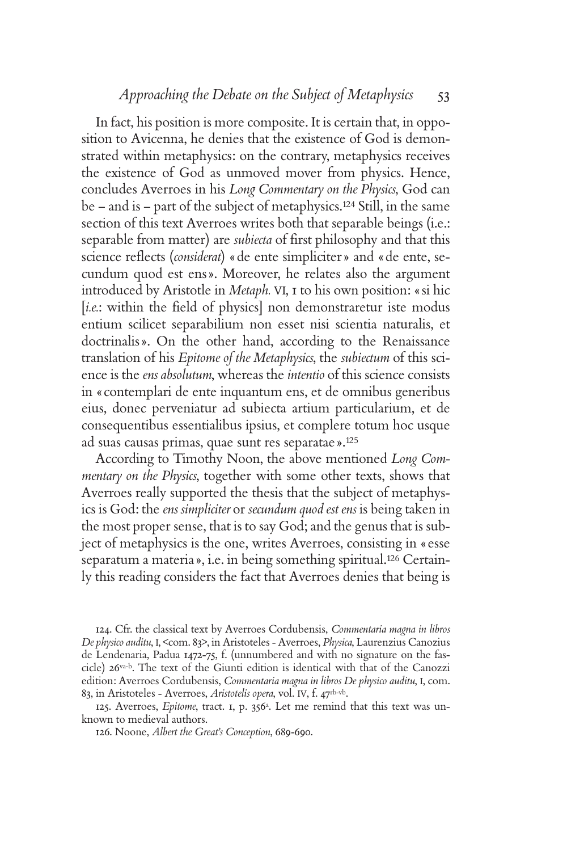In fact, his position is more composite. It is certain that, in opposition to Avicenna, he denies that the existence of God is demonstrated within metaphysics: on the contrary, metaphysics receives the existence of God as unmoved mover from physics. Hence, concludes Averroes in his *Long Commentary on the Physics*, God can be – and is – part of the subject of metaphysics.124 Still, in the same section of this text Averroes writes both that separable beings (i.e.: separable from matter) are *subiecta* of first philosophy and that this science reflects (*considerat*) «de ente simpliciter » and «de ente, secundum quod est ens». Moreover, he relates also the argument introduced by Aristotle in *Metaph.* VI, 1 to his own position: «si hic [*i.e.*: within the field of physics] non demonstraretur iste modus entium scilicet separabilium non esset nisi scientia naturalis, et doctrinalis». On the other hand, according to the Renaissance translation of his *Epitome of the Metaphysics*, the *subiectum* of this science is the *ens absolutum*, whereas the *intentio* of this science consists in «contemplari de ente inquantum ens, et de omnibus generibus eius, donec perveniatur ad subiecta artium particularium, et de consequentibus essentialibus ipsius, et complere totum hoc usque ad suas causas primas, quae sunt res separatae».<sup>125</sup>

According to Timothy Noon, the above mentioned *Long Commentary on the Physics*, together with some other texts, shows that Averroes really supported the thesis that the subject of metaphysics is God: the *ens simpliciter* or *secundum quod est ens* is being taken in the most proper sense, that is to say God; and the genus that is subject of metaphysics is the one, writes Averroes, consisting in «esse separatum a materia», i.e. in being something spiritual.126 Certainly this reading considers the fact that Averroes denies that being is

124. Cfr. the classical text by Averroes Cordubensis, *Commentaria magna in libros De physico auditu*, I, <com. 83>, in Aristoteles - Averroes, *Physica*, Laurenzius Canozius de Lendenaria, Padua 1472-75, f. (unnumbered and with no signature on the fascicle) 26va-b. The text of the Giunti edition is identical with that of the Canozzi edition: Averroes Cordubensis, *Commentaria magna in libros De physico auditu*, I, com. 83, in Aristoteles - Averroes, *Aristotelis opera*, vol. IV, f. 47rb-vb.

125. Averroes, *Epitome*, tract. 1, p. 356a. Let me remind that this text was unknown to medieval authors.

<sup>126.</sup> Noone, *Albert the Great's Conception*, 689-690.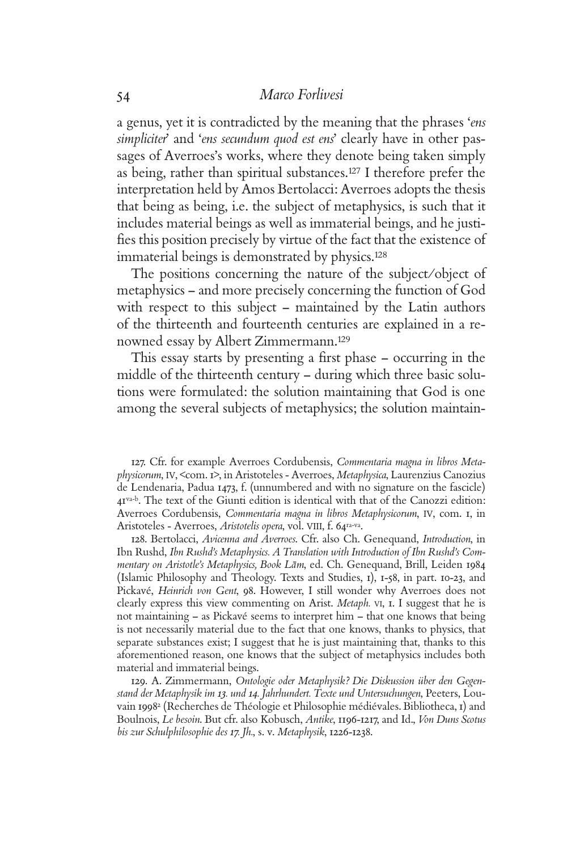a genus, yet it is contradicted by the meaning that the phrases '*ens simpliciter*' and '*ens secundum quod est ens*' clearly have in other passages of Averroes's works, where they denote being taken simply as being, rather than spiritual substances.127 I therefore prefer the interpretation held by Amos Bertolacci: Averroes adopts the thesis that being as being, i.e. the subject of metaphysics, is such that it includes material beings as well as immaterial beings, and he justifies this position precisely by virtue of the fact that the existence of immaterial beings is demonstrated by physics.<sup>128</sup>

The positions concerning the nature of the subject/object of metaphysics – and more precisely concerning the function of God with respect to this subject – maintained by the Latin authors of the thirteenth and fourteenth centuries are explained in a renowned essay by Albert Zimmermann.<sup>129</sup>

This essay starts by presenting a first phase – occurring in the middle of the thirteenth century – during which three basic solutions were formulated: the solution maintaining that God is one among the several subjects of metaphysics; the solution maintain-

127. Cfr. for example Averroes Cordubensis, *Commentaria magna in libros Metaphysicorum*, IV, <com. 1>, in Aristoteles - Averroes, *Metaphysica*, Laurenzius Canozius de Lendenaria, Padua 1473, f. (unnumbered and with no signature on the fascicle) 41va-b. The text of the Giunti edition is identical with that of the Canozzi edition: Averroes Cordubensis, *Commentaria magna in libros Metaphysicorum*, IV, com. 1, in Aristoteles - Averroes, *Aristotelis opera*, vol. VIII, f. 64ra-va.

128. Bertolacci, *Avicenna and Averroes*. Cfr. also Ch. Genequand, *Introduction*, in Ibn Rushd, *Ibn Rushd's Metaphysics. A Translation with Introduction of Ibn Rushd's Commentary on Aristotle's Metaphysics, Book La-m*, ed. Ch. Genequand, Brill, Leiden 1984 (Islamic Philosophy and Theology. Texts and Studies, 1), 1-58, in part. 10-23, and Pickavé, *Heinrich von Gent*, 98. However, I still wonder why Averroes does not clearly express this view commenting on Arist. *Metaph.* VI, 1. I suggest that he is not maintaining – as Pickavé seems to interpret him – that one knows that being is not necessarily material due to the fact that one knows, thanks to physics, that separate substances exist; I suggest that he is just maintaining that, thanks to this aforementioned reason, one knows that the subject of metaphysics includes both material and immaterial beings.

129. A. Zimmermann, *Ontologie oder Metaphysik? Die Diskussion über den Gegenstand der Metaphysik im 13. und 14. Jahrhundert. Texte und Untersuchungen*, Peeters, Louvain 19982 (Recherches de Théologie et Philosophie médiévales. Bibliotheca, 1) and Boulnois, *Le besoin*. But cfr. also Kobusch, *Antike*, 1196-1217, and Id., *Von Duns Scotus bis zur Schulphilosophie des 17. Jh.*, s. v. *Metaphysik*, 1226-1238.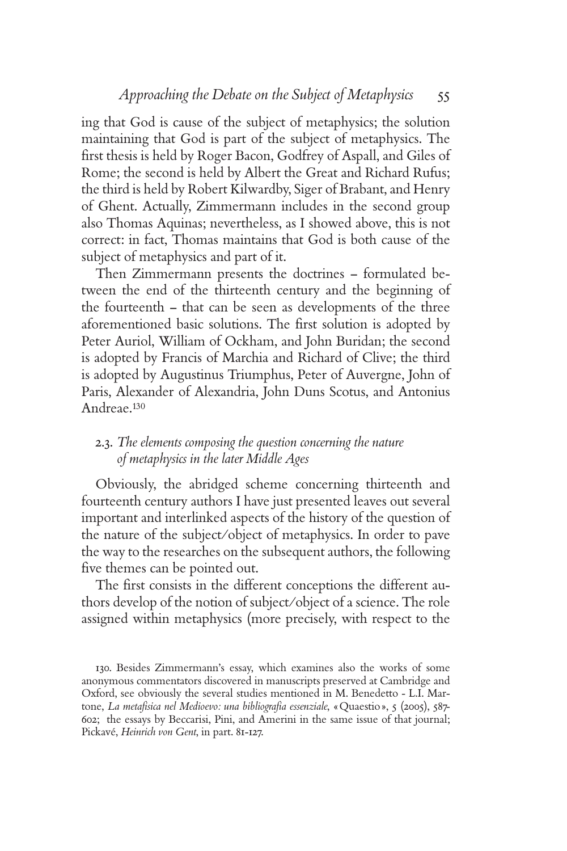ing that God is cause of the subject of metaphysics; the solution maintaining that God is part of the subject of metaphysics. The first thesis is held by Roger Bacon, Godfrey of Aspall, and Giles of Rome; the second is held by Albert the Great and Richard Rufus; the third is held by Robert Kilwardby, Siger of Brabant, and Henry of Ghent. Actually, Zimmermann includes in the second group also Thomas Aquinas; nevertheless, as I showed above, this is not correct: in fact, Thomas maintains that God is both cause of the subject of metaphysics and part of it.

Then Zimmermann presents the doctrines – formulated between the end of the thirteenth century and the beginning of the fourteenth – that can be seen as developments of the three aforementioned basic solutions. The first solution is adopted by Peter Auriol, William of Ockham, and John Buridan; the second is adopted by Francis of Marchia and Richard of Clive; the third is adopted by Augustinus Triumphus, Peter of Auvergne, John of Paris, Alexander of Alexandria, John Duns Scotus, and Antonius Andreae.<sup>130</sup>

# 2.3. *The elements composing the question concerning the nature of metaphysics in the later Middle Ages*

Obviously, the abridged scheme concerning thirteenth and fourteenth century authors I have just presented leaves out several important and interlinked aspects of the history of the question of the nature of the subject/object of metaphysics. In order to pave the way to the researches on the subsequent authors, the following five themes can be pointed out.

The first consists in the different conceptions the different authors develop of the notion of subject/object of a science. The role assigned within metaphysics (more precisely, with respect to the

<sup>130.</sup> Besides Zimmermann's essay, which examines also the works of some anonymous commentators discovered in manuscripts preserved at Cambridge and Oxford, see obviously the several studies mentioned in M. Benedetto - L.I. Martone, *La metafisica nel Medioevo: una bibliografia essenziale*, «Quaestio», 5 (2005), 587-602; the essays by Beccarisi, Pini, and Amerini in the same issue of that journal; Pickavé, *Heinrich von Gent*, in part. 81-127.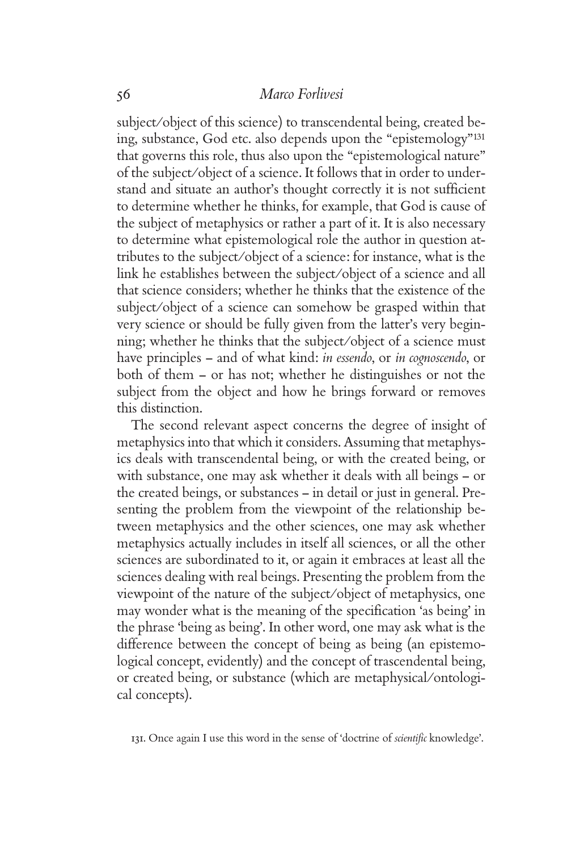subject/object of this science) to transcendental being, created being, substance, God etc. also depends upon the "epistemology"<sup>131</sup> that governs this role, thus also upon the "epistemological nature" of the subject/object of a science. It follows that in order to understand and situate an author's thought correctly it is not sufficient to determine whether he thinks, for example, that God is cause of the subject of metaphysics or rather a part of it. It is also necessary to determine what epistemological role the author in question attributes to the subject/object of a science: for instance, what is the link he establishes between the subject/object of a science and all that science considers; whether he thinks that the existence of the subject/object of a science can somehow be grasped within that very science or should be fully given from the latter's very beginning; whether he thinks that the subject/object of a science must have principles – and of what kind: *in essendo*, or *in cognoscendo*, or both of them – or has not; whether he distinguishes or not the subject from the object and how he brings forward or removes this distinction.

The second relevant aspect concerns the degree of insight of metaphysics into that which it considers. Assuming that metaphysics deals with transcendental being, or with the created being, or with substance, one may ask whether it deals with all beings – or the created beings, or substances – in detail or just in general. Presenting the problem from the viewpoint of the relationship between metaphysics and the other sciences, one may ask whether metaphysics actually includes in itself all sciences, or all the other sciences are subordinated to it, or again it embraces at least all the sciences dealing with real beings. Presenting the problem from the viewpoint of the nature of the subject/object of metaphysics, one may wonder what is the meaning of the specification 'as being' in the phrase 'being as being'. In other word, one may ask what is the difference between the concept of being as being (an epistemological concept, evidently) and the concept of trascendental being, or created being, or substance (which are metaphysical/ontological concepts).

131. Once again I use this word in the sense of 'doctrine of *scientifi c* knowledge'.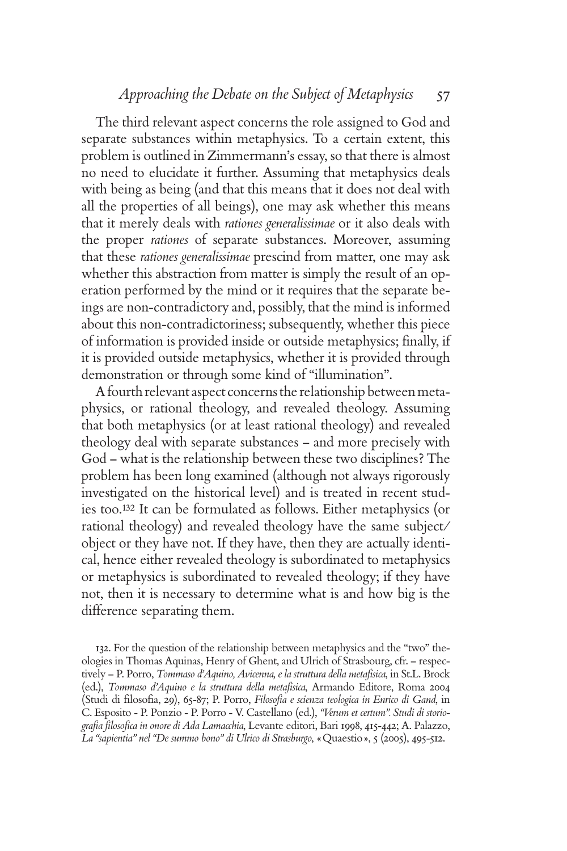# *Approaching the Debate on the Subject of Metaphysics* 57

The third relevant aspect concerns the role assigned to God and separate substances within metaphysics. To a certain extent, this problem is outlined in Zimmermann's essay, so that there is almost no need to elucidate it further. Assuming that metaphysics deals with being as being (and that this means that it does not deal with all the properties of all beings), one may ask whether this means that it merely deals with *rationes generalissimae* or it also deals with the proper *rationes* of separate substances. Moreover, assuming that these *rationes generalissimae* prescind from matter, one may ask whether this abstraction from matter is simply the result of an operation performed by the mind or it requires that the separate beings are non-contradictory and, possibly, that the mind is informed about this non-contradictoriness; subsequently, whether this piece of information is provided inside or outside metaphysics; finally, if it is provided outside metaphysics, whether it is provided through demonstration or through some kind of "illumination".

A fourth relevant aspect concerns the relationship between metaphysics, or rational theology, and revealed theology. Assuming that both metaphysics (or at least rational theology) and revealed theology deal with separate substances – and more precisely with God – what is the relationship between these two disciplines? The problem has been long examined (although not always rigorously investigated on the historical level) and is treated in recent studies too.132 It can be formulated as follows. Either metaphysics (or rational theology) and revealed theology have the same subject/ object or they have not. If they have, then they are actually identical, hence either revealed theology is subordinated to metaphysics or metaphysics is subordinated to revealed theology; if they have not, then it is necessary to determine what is and how big is the difference separating them.

132. For the question of the relationship between metaphysics and the "two" theologies in Thomas Aquinas, Henry of Ghent, and Ulrich of Strasbourg, cfr. – respectively – P. Porro, *Tommaso d'Aquino, Avicenna, e la struttura della metafisica*, in St.L. Brock (ed.), *Tommaso d'Aquino e la struttura della metafisica*, Armando Editore, Roma 2004 (Studi di filosofia, 29), 65-87; P. Porro, *Filosofia e scienza teologica in Enrico di Gand*, in C. Esposito - P. Ponzio - P. Porro - V. Castellano (ed.), *"Verum et certum". Studi di storio*grafia filosofica in onore di Ada Lamacchia, Levante editori, Bari 1998, 415-442; A. Palazzo, *La "sapientia" nel "De summo bono" di Ulrico di Strasburgo*, «Quaestio», 5 (2005), 495-512.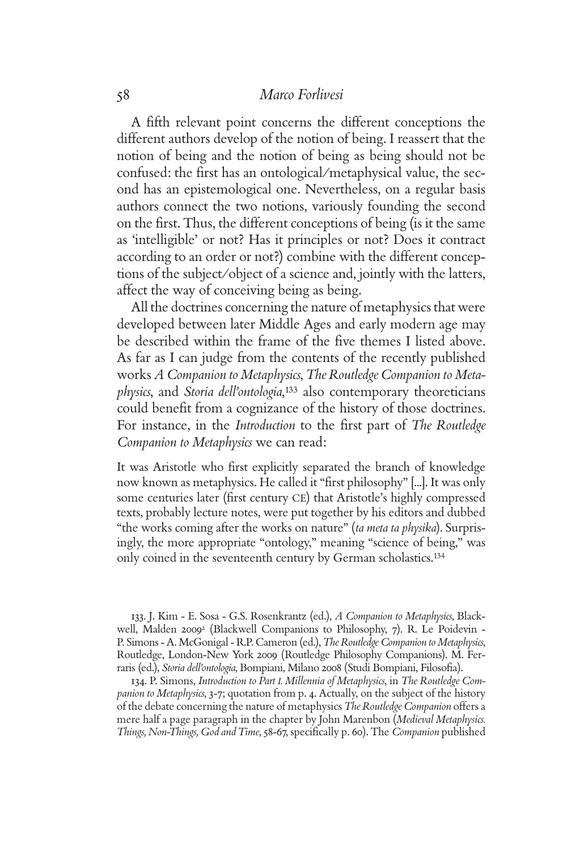A fifth relevant point concerns the different conceptions the different authors develop of the notion of being. I reassert that the notion of being and the notion of being as being should not be confused: the first has an ontological/metaphysical value, the second has an epistemological one. Nevertheless, on a regular basis authors connect the two notions, variously founding the second on the first. Thus, the different conceptions of being (is it the same as 'intelligible' or not? Has it principles or not? Does it contract according to an order or not?) combine with the different conceptions of the subject/object of a science and, jointly with the latters, affect the way of conceiving being as being.

All the doctrines concerning the nature of metaphysics that were developed between later Middle Ages and early modern age may be described within the frame of the five themes I listed above. As far as I can judge from the contents of the recently published works *A Companion to Metaphysics*, *The Routledge Companion to Metaphysics*, and *Storia dell'ontologia*, <sup>133</sup> also contemporary theoreticians could benefit from a cognizance of the history of those doctrines. For instance, in the *Introduction* to the first part of *The Routledge Companion to Metaphysics* we can read:

It was Aristotle who first explicitly separated the branch of knowledge now known as metaphysics. He called it "first philosophy" [...]. It was only some centuries later (first century CE) that Aristotle's highly compressed texts, probably lecture notes, were put together by his editors and dubbed "the works coming after the works on nature" (*ta meta ta physika*). Surprisingly, the more appropriate "ontology," meaning "science of being," was only coined in the seventeenth century by German scholastics.<sup>134</sup>

133. J. Kim - E. Sosa - G.S. Rosenkrantz (ed.), *A Companion to Metaphysics*, Blackwell, Malden 2009<sup>2</sup> (Blackwell Companions to Philosophy, 7). R. Le Poidevin -P. Simons - A. McGonigal - R.P. Cameron (ed.), *The Routledge Companion to Metaphysics*, Routledge, London-New York 2009 (Routledge Philosophy Companions). M. Ferraris (ed.), *Storia dell'ontologia*, Bompiani, Milano 2008 (Studi Bompiani, Filosofia).

134. P. Simons, *Introduction to Part I. Millennia of Metaphysics*, in *The Routledge Companion to Metaphysics*, 3-7; quotation from p. 4. Actually, on the subject of the history of the debate concerning the nature of metaphysics *The Routledge Companion* offers a mere half a page paragraph in the chapter by John Marenbon (*Medieval Metaphysics. Things, Non-Things, God and Time, 58-67, specifically p. 60). The <i>Companion* published